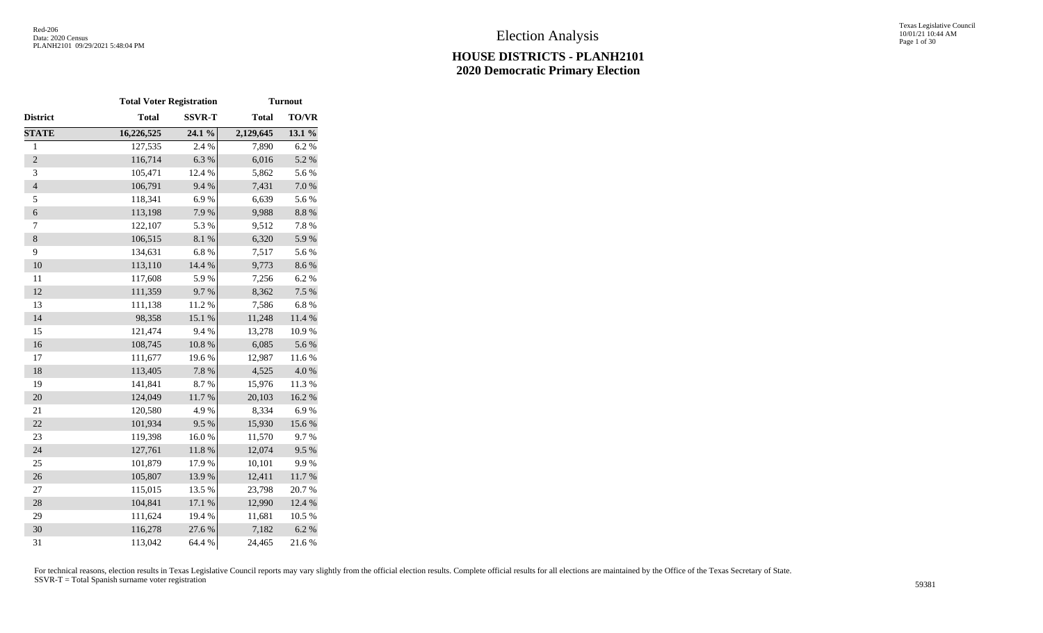Texas Legislative Council 10/01/21 10:44 AM Page 1 of 30

|                | <b>Total Voter Registration</b> |                  |              | <b>Turnout</b> |
|----------------|---------------------------------|------------------|--------------|----------------|
| District       | <b>Total</b>                    | <b>SSVR-T</b>    | <b>Total</b> | <b>TO/VR</b>   |
| <b>STATE</b>   | 16,226,525                      | 24.1 %           | 2,129,645    | 13.1 %         |
| $\,1$          | 127,535                         | 2.4 %            | 7,890        | 6.2%           |
| $\overline{c}$ | 116,714                         | 6.3%             | 6,016        | 5.2 %          |
| 3              | 105,471                         | 12.4 %           | 5,862        | 5.6 %          |
| $\overline{4}$ | 106,791                         | 9.4%             | 7,431        | $7.0\ \%$      |
| 5              | 118,341                         | 6.9%             | 6,639        | 5.6%           |
| 6              | 113,198                         | 7.9%             | 9,988        | $8.8\ \%$      |
| 7              | 122,107                         | 5.3 %            | 9,512        | 7.8 %          |
| $\,8$          | 106,515                         | $8.1~\%$         | 6,320        | 5.9%           |
| 9              | 134,631                         | 6.8%             | 7,517        | 5.6%           |
| 10             | 113,110                         | 14.4 %           | 9,773        | 8.6%           |
| 11             | 117,608                         | 5.9%             | 7,256        | 6.2%           |
| 12             | 111,359                         | 9.7%             | 8,362        | 7.5 %          |
| 13             | 111,138                         | 11.2%            | 7,586        | 6.8%           |
| 14             | 98,358                          | 15.1 %           | 11,248       | 11.4 %         |
| 15             | 121,474                         | 9.4%             | 13,278       | 10.9%          |
| 16             | 108,745                         | $10.8~\%$        | 6,085        | 5.6%           |
| 17             | 111,677                         | 19.6%            | 12,987       | 11.6%          |
| 18             | 113,405                         | 7.8 %            | 4,525        | $4.0\ \%$      |
| 19             | 141,841                         | 8.7%             | 15,976       | 11.3 %         |
| 20             | 124,049                         | 11.7 %           | 20,103       | 16.2%          |
| 21             | 120,580                         | 4.9%             | 8,334        | 6.9%           |
| 22             | 101,934                         | 9.5%             | 15,930       | 15.6 %         |
| 23             | 119,398                         | 16.0%            | 11,570       | 9.7%           |
| 24             | 127,761                         | $11.8~\%$        | 12,074       | 9.5%           |
| 25             | 101,879                         | 17.9%            | 10,101       | 9.9%           |
| 26             | 105,807                         | 13.9%            | 12,411       | $11.7\ \%$     |
| 27             | 115,015                         | 13.5 %           | 23,798       | 20.7%          |
| 28             | 104,841                         | $17.1\text{ }\%$ | 12,990       | 12.4 %         |
| 29             | 111,624                         | 19.4 %           | 11,681       | 10.5 %         |
| 30             | 116,278                         | 27.6%            | 7,182        | 6.2%           |
| 31             | 113,042                         | 64.4 %           | 24,465       | 21.6%          |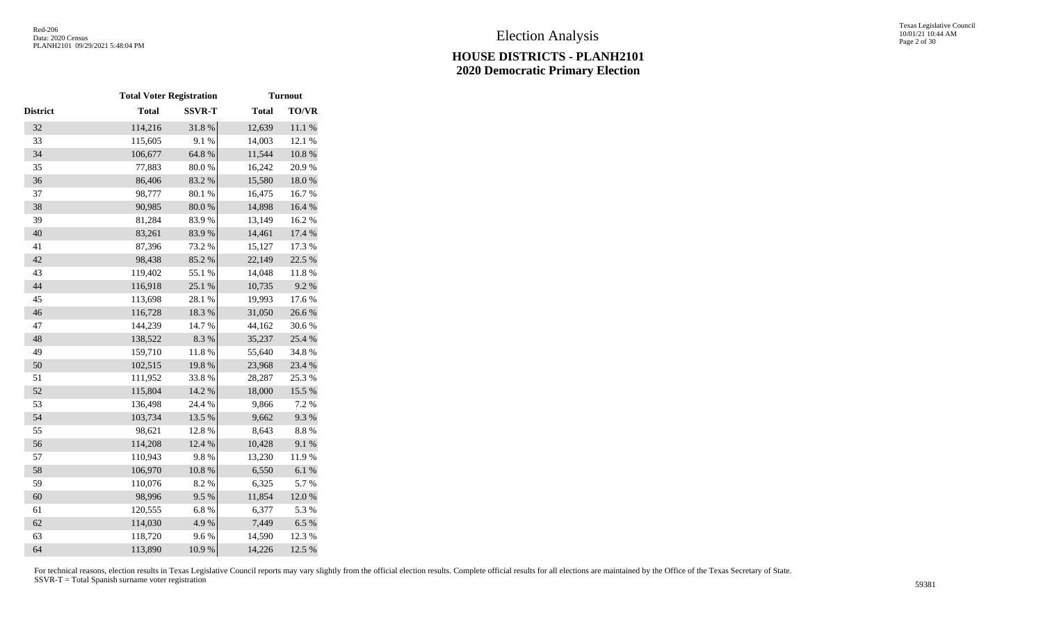|                 | <b>Total Voter Registration</b> |               |              | <b>Turnout</b> |
|-----------------|---------------------------------|---------------|--------------|----------------|
| <b>District</b> | <b>Total</b>                    | <b>SSVR-T</b> | <b>Total</b> | <b>TO/VR</b>   |
| 32              | 114,216                         | 31.8%         | 12,639       | $11.1\ \%$     |
| 33              | 115,605                         | 9.1%          | 14,003       | 12.1 %         |
| 34              | 106,677                         | 64.8 %        | 11,544       | $10.8~\%$      |
| 35              | 77,883                          | 80.0%         | 16,242       | 20.9%          |
| 36              | 86,406                          | 83.2%         | 15,580       | 18.0%          |
| 37              | 98,777                          | 80.1 %        | 16,475       | 16.7%          |
| 38              | 90,985                          | $80.0\ \%$    | 14,898       | 16.4 %         |
| 39              | 81,284                          | 83.9%         | 13,149       | 16.2%          |
| 40              | 83,261                          | 83.9%         | 14,461       | 17.4 %         |
| 41              | 87,396                          | 73.2 %        | 15,127       | 17.3 %         |
| 42              | 98,438                          | 85.2%         | 22,149       | 22.5 %         |
| 43              | 119,402                         | 55.1 %        | 14,048       | 11.8 %         |
| 44              | 116,918                         | 25.1 %        | 10,735       | 9.2%           |
| 45              | 113,698                         | 28.1 %        | 19,993       | 17.6 %         |
| 46              | 116,728                         | 18.3 %        | 31,050       | 26.6%          |
| 47              | 144,239                         | 14.7 %        | 44,162       | 30.6%          |
| 48              | 138,522                         | 8.3%          | 35,237       | 25.4 %         |
| 49              | 159,710                         | 11.8 %        | 55,640       | 34.8%          |
| 50              | 102,515                         | 19.8%         | 23,968       | 23.4 %         |
| 51              | 111,952                         | 33.8%         | 28,287       | 25.3 %         |
| 52              | 115,804                         | 14.2 %        | 18,000       | 15.5 %         |
| 53              | 136,498                         | 24.4 %        | 9,866        | 7.2 %          |
| 54              | 103,734                         | 13.5 %        | 9,662        | 9.3%           |
| 55              | 98,621                          | 12.8 %        | 8,643        | $8.8\ \%$      |
| 56              | 114,208                         | 12.4 %        | 10,428       | 9.1 %          |
| 57              | 110,943                         | 9.8%          | 13,230       | 11.9%          |
| 58              | 106,970                         | $10.8~\%$     | 6,550        | 6.1%           |
| 59              | 110,076                         | 8.2%          | 6,325        | 5.7%           |
| 60              | 98,996                          | 9.5%          | 11,854       | 12.0%          |
| 61              | 120,555                         | 6.8%          | 6,377        | 5.3 %          |
| 62              | 114,030                         | 4.9%          | 7,449        | 6.5 %          |
| 63              | 118,720                         | 9.6%          | 14,590       | 12.3 %         |
| 64              | 113,890                         | 10.9%         | 14,226       | 12.5 %         |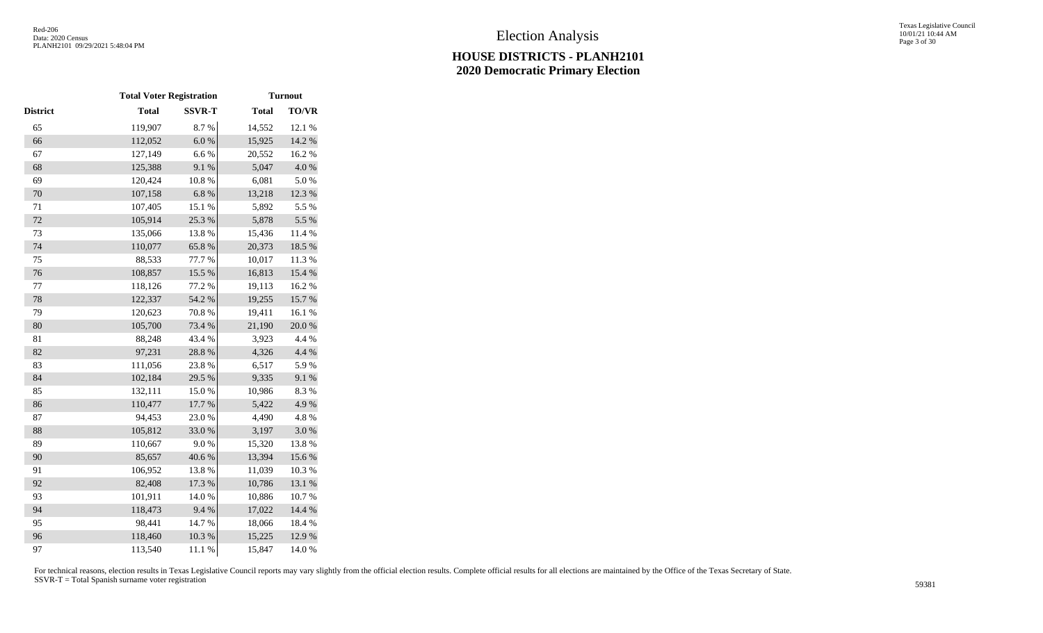|          | <b>Total Voter Registration</b> |               |              | <b>Turnout</b> |
|----------|---------------------------------|---------------|--------------|----------------|
| District | <b>Total</b>                    | <b>SSVR-T</b> | <b>Total</b> | <b>TO/VR</b>   |
| 65       | 119,907                         | 8.7%          | 14,552       | 12.1 %         |
| 66       | 112,052                         | 6.0 %         | 15,925       | 14.2 %         |
| 67       | 127,149                         | 6.6%          | 20,552       | 16.2%          |
| 68       | 125,388                         | 9.1%          | 5,047        | 4.0 %          |
| 69       | 120,424                         | $10.8~\%$     | 6,081        | 5.0%           |
| 70       | 107,158                         | $6.8~\%$      | 13,218       | 12.3 %         |
| 71       | 107,405                         | 15.1 %        | 5,892        | 5.5 %          |
| 72       | 105,914                         | 25.3 %        | 5,878        | 5.5 %          |
| 73       | 135,066                         | 13.8%         | 15,436       | 11.4 %         |
| 74       | 110,077                         | 65.8%         | 20,373       | 18.5 %         |
| 75       | 88,533                          | 77.7 %        | 10,017       | 11.3 %         |
| 76       | 108,857                         | 15.5 %        | 16,813       | 15.4 %         |
| $77\,$   | 118,126                         | 77.2 %        | 19,113       | 16.2%          |
| 78       | 122,337                         | 54.2 %        | 19,255       | 15.7 %         |
| 79       | 120,623                         | 70.8 %        | 19,411       | 16.1 %         |
| 80       | 105,700                         | 73.4 %        | 21,190       | $20.0\;\%$     |
| 81       | 88,248                          | 43.4 %        | 3,923        | 4.4 %          |
| 82       | 97,231                          | 28.8 %        | 4,326        | 4.4 %          |
| 83       | 111,056                         | 23.8%         | 6,517        | 5.9%           |
| 84       | 102,184                         | 29.5 %        | 9,335        | 9.1 %          |
| 85       | 132,111                         | $15.0\ \%$    | 10,986       | 8.3%           |
| 86       | 110,477                         | 17.7 %        | 5,422        | 4.9%           |
| 87       | 94,453                          | 23.0%         | 4,490        | 4.8%           |
| 88       | 105,812                         | 33.0%         | 3,197        | $3.0\ \%$      |
| 89       | 110,667                         | 9.0%          | 15,320       | 13.8%          |
| 90       | 85,657                          | 40.6%         | 13,394       | 15.6 %         |
| 91       | 106,952                         | 13.8 %        | 11,039       | 10.3 %         |
| 92       | 82,408                          | 17.3 %        | 10,786       | 13.1 %         |
| 93       | 101,911                         | 14.0%         | 10,886       | 10.7%          |
| 94       | 118,473                         | 9.4%          | 17,022       | 14.4 %         |
| 95       | 98,441                          | 14.7%         | 18,066       | 18.4 %         |
| 96       | 118,460                         | 10.3 %        | 15,225       | 12.9%          |
| 97       | 113,540                         | 11.1 %        | 15,847       | 14.0%          |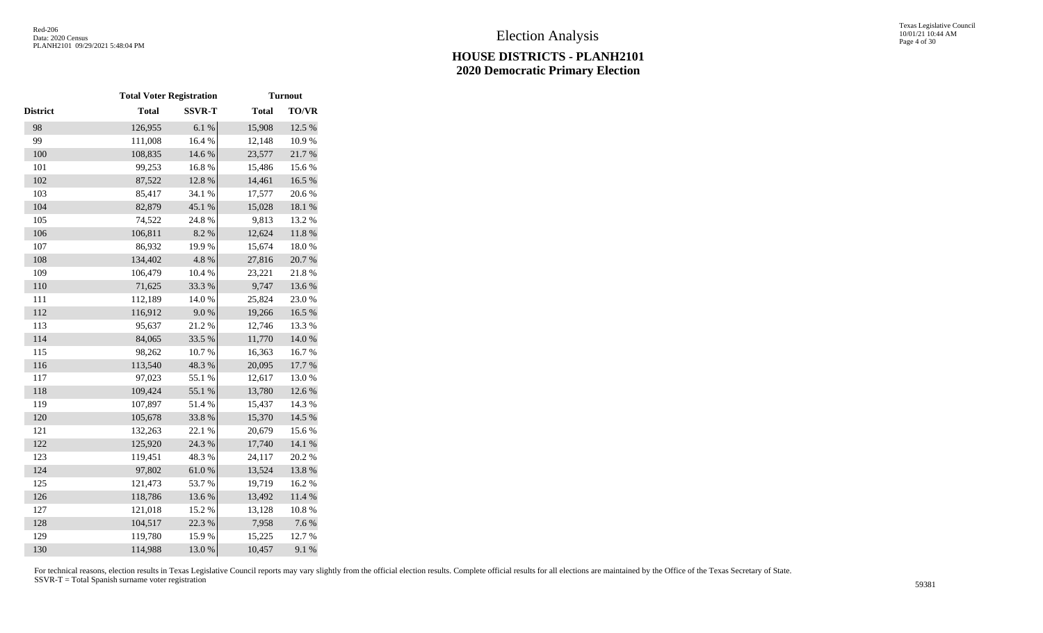|                 | <b>Total Voter Registration</b> |               |              | <b>Turnout</b> |
|-----------------|---------------------------------|---------------|--------------|----------------|
| <b>District</b> | <b>Total</b>                    | <b>SSVR-T</b> | <b>Total</b> | <b>TO/VR</b>   |
| 98              | 126,955                         | 6.1%          | 15,908       | 12.5 %         |
| 99              | 111,008                         | 16.4 %        | 12,148       | 10.9%          |
| 100             | 108,835                         | 14.6 %        | 23,577       | 21.7%          |
| 101             | 99,253                          | 16.8%         | 15,486       | 15.6%          |
| 102             | 87,522                          | 12.8%         | 14,461       | 16.5 %         |
| 103             | 85,417                          | 34.1 %        | 17,577       | 20.6%          |
| 104             | 82,879                          | 45.1 %        | 15,028       | $18.1\ \%$     |
| 105             | 74,522                          | 24.8%         | 9,813        | 13.2 %         |
| 106             | 106,811                         | $8.2~\%$      | 12,624       | $11.8\ \%$     |
| 107             | 86,932                          | 19.9%         | 15,674       | 18.0%          |
| 108             | 134,402                         | 4.8 %         | 27,816       | 20.7 %         |
| 109             | 106,479                         | 10.4 %        | 23,221       | 21.8%          |
| 110             | 71,625                          | 33.3 %        | 9,747        | 13.6 %         |
| 111             | 112,189                         | $14.0\ \%$    | 25,824       | 23.0%          |
| 112             | 116,912                         | $9.0\ \%$     | 19,266       | 16.5 %         |
| 113             | 95,637                          | 21.2%         | 12,746       | 13.3 %         |
| 114             | 84,065                          | 33.5 %        | 11,770       | $14.0\ \%$     |
| 115             | 98,262                          | 10.7%         | 16,363       | 16.7%          |
| 116             | 113,540                         | 48.3%         | 20,095       | 17.7 %         |
| 117             | 97,023                          | 55.1 %        | 12,617       | 13.0%          |
| 118             | 109,424                         | 55.1 %        | 13,780       | 12.6 %         |
| 119             | 107,897                         | 51.4%         | 15,437       | 14.3 %         |
| 120             | 105,678                         | 33.8%         | 15,370       | 14.5 %         |
| 121             | 132,263                         | 22.1 %        | 20,679       | 15.6%          |
| 122             | 125,920                         | 24.3 %        | 17,740       | 14.1 %         |
| 123             | 119,451                         | 48.3 %        | 24,117       | 20.2 %         |
| 124             | 97,802                          | $61.0\ \%$    | 13,524       | 13.8 %         |
| 125             | 121,473                         | 53.7%         | 19,719       | 16.2%          |
| 126             | 118,786                         | 13.6 %        | 13,492       | $11.4\ \%$     |
| 127             | 121,018                         | $15.2~\%$     | 13,128       | $10.8~\%$      |
| 128             | 104,517                         | 22.3 %        | 7,958        | 7.6 %          |
| 129             | 119,780                         | 15.9%         | 15,225       | 12.7%          |
| 130             | 114,988                         | 13.0%         | 10,457       | 9.1%           |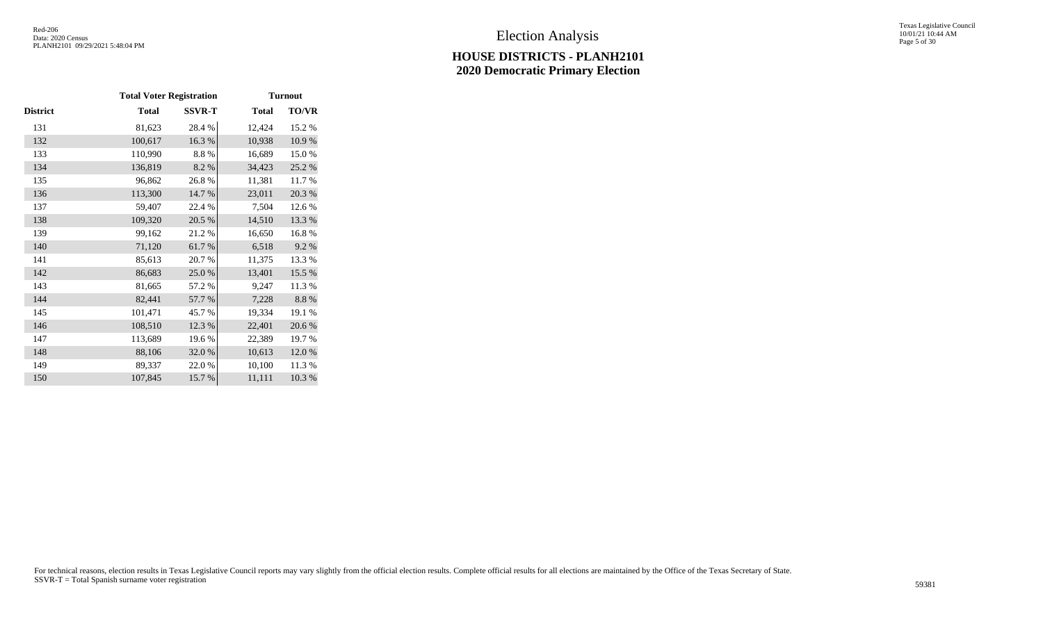Texas Legislative Council 10/01/21 10:44 AM Page 5 of 30

|          | <b>Total Voter Registration</b> |               |              | <b>Turnout</b> |
|----------|---------------------------------|---------------|--------------|----------------|
| District | <b>Total</b>                    | <b>SSVR-T</b> | <b>Total</b> | <b>TO/VR</b>   |
| 131      | 81,623                          | 28.4%         | 12,424       | 15.2 %         |
| 132      | 100,617                         | 16.3 %        | 10,938       | 10.9%          |
| 133      | 110,990                         | 8.8%          | 16,689       | 15.0%          |
| 134      | 136,819                         | 8.2 %         | 34,423       | 25.2 %         |
| 135      | 96,862                          | 26.8%         | 11,381       | 11.7%          |
| 136      | 113,300                         | 14.7 %        | 23,011       | 20.3 %         |
| 137      | 59,407                          | 22.4 %        | 7,504        | 12.6 %         |
| 138      | 109,320                         | 20.5 %        | 14,510       | 13.3 %         |
| 139      | 99,162                          | 21.2%         | 16,650       | 16.8%          |
| 140      | 71,120                          | 61.7%         | 6,518        | 9.2%           |
| 141      | 85,613                          | 20.7 %        | 11,375       | 13.3 %         |
| 142      | 86,683                          | 25.0%         | 13,401       | 15.5 %         |
| 143      | 81,665                          | 57.2 %        | 9,247        | 11.3 %         |
| 144      | 82,441                          | 57.7 %        | 7,228        | 8.8 %          |
| 145      | 101,471                         | 45.7%         | 19,334       | 19.1 %         |
| 146      | 108,510                         | 12.3 %        | 22,401       | 20.6 %         |
| 147      | 113,689                         | 19.6%         | 22,389       | 19.7%          |
| 148      | 88,106                          | 32.0%         | 10,613       | 12.0 %         |
| 149      | 89,337                          | 22.0%         | 10,100       | 11.3 %         |
| 150      | 107,845                         | 15.7%         | 11,111       | 10.3%          |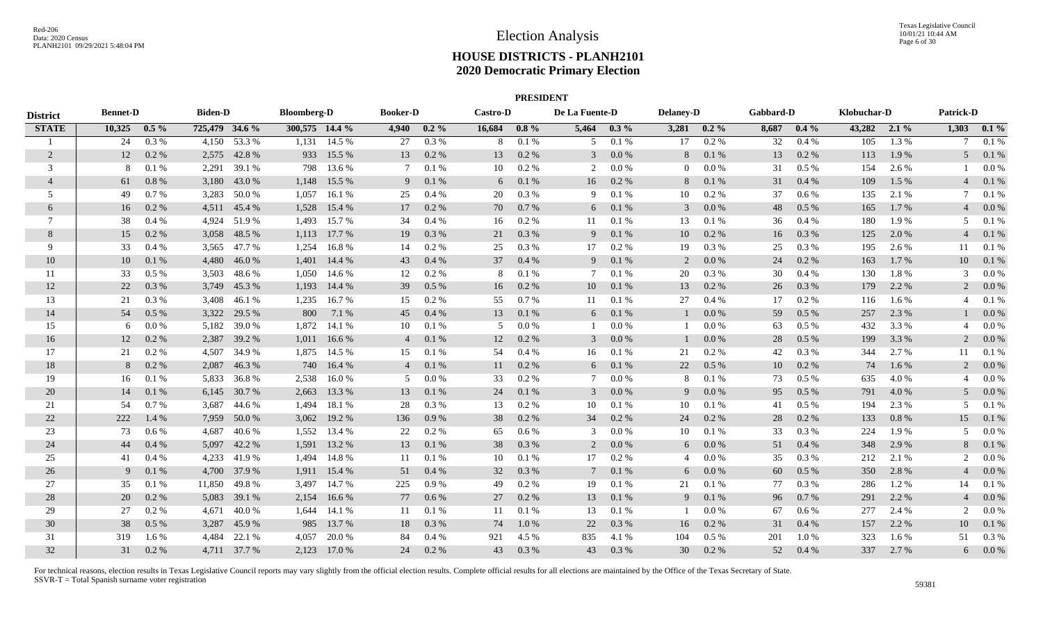|                 |                 |           |                |              |                    |                |                 |           |                 | <b>PRESIDENT</b> |                |           |                  |          |           |           |             |         |                               |         |
|-----------------|-----------------|-----------|----------------|--------------|--------------------|----------------|-----------------|-----------|-----------------|------------------|----------------|-----------|------------------|----------|-----------|-----------|-------------|---------|-------------------------------|---------|
| <b>District</b> | <b>Bennet-D</b> |           | <b>Biden-D</b> |              | <b>Bloomberg-D</b> |                | <b>Booker-D</b> |           | <b>Castro-D</b> |                  | De La Fuente-D |           | <b>Delaney-D</b> |          | Gabbard-D |           | Klobuchar-D |         | <b>Patrick-D</b>              |         |
| <b>STATE</b>    | 10,325          | $0.5\%$   | 725,479 34.6 % |              | 300,575 14.4 %     |                | 4,940           | $0.2\%$   | 16,684          | $0.8\%$          | 5,464          | $0.3\%$   | 3,281            | $0.2\%$  | 8,687     | $0.4\%$   | 43,282      | $2.1\%$ | 1,303                         | $0.1\%$ |
|                 | 24              | $0.3\%$   | 4,150          | 53.3 %       |                    | $1,131$ 14.5 % | 27              | 0.3%      | 8               | 0.1%             | 5              | 0.1%      | 17               | $0.2\%$  | 32        | $0.4\%$   | 105         | 1.3 %   | -7                            | 0.1%    |
| 2               | 12              | 0.2 %     | 2,575          | 42.8%        | 933                | 15.5 %         | 13              | 0.2 %     | 13              | 0.2%             | 3              | $0.0\ \%$ | 8                | 0.1%     | 13        | 0.2 %     | 113         | 1.9 %   | 5                             | 0.1%    |
| 3               | 8               | 0.1%      | 2,291          | 39.1 %       | 798                | 13.6 %         | $7\phantom{.0}$ | 0.1%      | 10              | 0.2 %            | 2              | $0.0\ \%$ | $\overline{0}$   | 0.0 %    | 31        | $0.5\%$   | 154         | 2.6 %   |                               | 0.0 %   |
| $\overline{4}$  | 61              | 0.8%      | 3,180          | 43.0 %       | 1,148              | 15.5 %         | 9               | 0.1 %     | 6               | 0.1 %            | 16             | 0.2 %     | 8                | 0.1%     | 31        | 0.4%      | 109         | 1.5 %   |                               | 0.1 %   |
| 5               | 49              | 0.7%      | 3,283          | 50.0%        | 1.057              | 16.1 %         | 25              | 0.4%      | 20              | 0.3%             | 9              | 0.1%      | 10               | 0.2 %    | 37        | $0.6\,\%$ | 135         | 2.1 %   | 7                             | 0.1%    |
| 6               | 16              | $0.2~\%$  | 4,511          | 45.4 %       | 1,528              | 15.4 %         | 17              | 0.2 %     | 70              | 0.7%             | 6              | $0.1\ \%$ | 3                | 0.0 %    | 48        | $0.5~\%$  | 165         | 1.7%    |                               | $0.0\%$ |
| $\tau$          | 38              | $0.4\%$   | 4,924          | 51.9%        | 1,493              | 15.7 %         | 34              | 0.4%      | 16              | 0.2 %            | 11             | 0.1%      | 13               | 0.1%     | 36        | $0.4\%$   | 180         | 1.9%    | 5                             | 0.1%    |
| 8               | 15              | 0.2 %     |                | 3,058 48.5 % | 1,113              | 17.7 %         | 19              | 0.3 %     | 21              | 0.3%             | 9              | 0.1 %     | 10               | 0.2 %    | 16        | 0.3%      | 125         | 2.0 %   | $\overline{4}$                | 0.1%    |
| 9               | 33              | 0.4%      |                | 3,565 47.7 % | 1,254              | 16.8%          | 14              | 0.2 %     | 25              | 0.3%             | 17             | 0.2 %     | 19               | 0.3%     | 25        | 0.3%      | 195         | 2.6 %   | 11                            | 0.1%    |
| 10              | 10              | 0.1%      | 4,480          | 46.0%        | 1,401              | 14.4 %         | 43              | 0.4%      | 37              | 0.4%             | 9              | 0.1 %     | 2                | 0.0 %    | 24        | 0.2 %     | 163         | 1.7 %   | 10                            | 0.1%    |
| 11              | 33              | $0.5\%$   |                | 3,503 48.6 % | 1,050              | 14.6 %         | 12              | 0.2 %     | 8               | 0.1%             | 7              | 0.1%      | 20               | 0.3 %    | 30        | 0.4%      | 130         | 1.8%    | 3                             | 0.0 %   |
| 12              | 22              | 0.3 %     |                | 3,749 45.3 % | 1,193              | 14.4 %         | 39              | 0.5%      | 16              | 0.2 %            | 10             | 0.1 %     | 13               | 0.2 %    | 26        | 0.3 %     | 179         | 2.2 %   |                               | $0.0\%$ |
| 13              | 21              | 0.3 %     |                | 3,408 46.1 % | 1,235              | 16.7 %         | 15              | 0.2 %     | 55              | 0.7%             | 11             | 0.1%      | 27               | 0.4%     | 17        | 0.2 %     | 116         | $1.6\%$ | $\boldsymbol{\varDelta}$      | 0.1%    |
| 14              | 54              | 0.5%      | 3,322          | 29.5 %       | 800                | 7.1 %          | 45              | $0.4~\%$  | 13              | 0.1 %            | 6              | 0.1 %     |                  | 0.0 %    | 59        | 0.5 %     | 257         | 2.3 %   |                               | $0.0\%$ |
| 15              | 6               | $0.0\ \%$ | 5,182          | 39.0%        | 1,872              | 14.1 %         | 10              | $0.1~\%$  | 5               | 0.0 %            | -1             | $0.0\ \%$ |                  | 0.0 %    | 63        | $0.5~\%$  | 432         | 3.3 %   |                               | 0.0 %   |
| 16              | 12              | 0.2 %     | 2,387          | 39.2 %       | 1,011              | 16.6 %         | $\overline{4}$  | 0.1 %     | 12              | 0.2 %            | 3              | 0.0 %     |                  | 0.0 %    | 28        | $0.5\%$   | 199         | 3.3 %   | $\mathfrak{D}$                | $0.0\%$ |
| 17              | 21              | 0.2 %     | 4,507          | 34.9 %       | 1,875              | 14.5 %         | 15              | 0.1%      | 54              | 0.4%             | 16             | 0.1%      | 21               | 0.2 %    | 42        | 0.3 %     | 344         | 2.7 %   | 11                            | 0.1%    |
| 18              | 8               | 0.2 %     | 2,087          | 46.3%        | 740                | 16.4 %         | $\overline{4}$  | 0.1 %     | 11              | 0.2 %            | 6              | 0.1 %     | 22               | 0.5 %    | 10        | $0.2~\%$  | 74          | 1.6 %   | $\overline{2}$                | $0.0\%$ |
| 19              | 16              | 0.1%      | 5,833          | 36.8%        | 2,538              | 16.0%          | 5               | $0.0\ \%$ | 33              | 0.2%             | 7              | 0.0 %     | 8                | 0.1%     | 73        | $0.5\%$   | 635         | 4.0%    | $\overline{4}$                | 0.0 %   |
| 20              | 14              | 0.1 %     | 6,145          | 30.7 %       | 2,663              | 13.3 %         | 13              | 0.1 %     | 24              | 0.1%             | 3              | $0.0\ \%$ | 9                | 0.0 %    | 95        | $0.5\%$   | 791         | 4.0 %   | 5                             | $0.0\%$ |
| 21              | 54              | 0.7%      | 3,687          | 44.6 %       | 1,494              | 18.1 %         | 28              | 0.3 %     | 13              | 0.2 %            | 10             | 0.1 %     | 10               | 0.1%     | 41        | $0.5\%$   | 194         | 2.3 %   | .5                            | 0.1%    |
| 22              | 222             | 1.4 %     | 7,959          | 50.0 %       | 3,062              | 19.2 %         | 136             | 0.9 %     | 38              | 0.2 %            | 34             | 0.2 %     | 24               | 0.2 %    | 28        | 0.2 %     | 133         | 0.8 %   | 15                            | 0.1%    |
| 23              | 73              | $0.6\%$   | 4,687          | 40.6 %       | 1.552              | 13.4 %         | 22              | 0.2 %     | 65              | 0.6 %            | 3              | 0.0 %     | 10               | 0.1%     | 33        | 0.3%      | 224         | 1.9%    | 5                             | 0.0 %   |
| 24              | 44              | 0.4%      | 5,097          | 42.2 %       | 1,591              | 13.2 %         | 13              | $0.1\ \%$ | 38              | 0.3%             | 2              | $0.0\ \%$ | 6                | 0.0 %    | 51        | $0.4~\%$  | 348         | 2.9%    | 8                             | 0.1%    |
| 25              | 41              | $0.4\%$   | 4,233          | 41.9%        | 1,494              | 14.8%          | 11              | 0.1%      | 10              | 0.1%             | 17             | 0.2 %     | $\overline{4}$   | 0.0 %    | 35        | 0.3 %     | 212         | 2.1 %   | $\mathfrak{D}_{\mathfrak{p}}$ | 0.0 %   |
| 26              | 9               | 0.1%      | 4,700          | 37.9 %       | 1,911              | 15.4 %         | 51              | $0.4~\%$  | 32              | 0.3%             | $\tau$         | 0.1 %     | 6                | 0.0 %    | 60        | $0.5\%$   | 350         | 2.8 %   | 4                             | $0.0\%$ |
| 27              | 35              | 0.1%      | 11,850         | 49.8%        | 3,497              | 14.7 %         | 225             | 0.9 %     | 49              | 0.2 %            | 19             | 0.1 %     | 21               | 0.1%     | 77        | 0.3%      | 286         | 1.2%    | 14                            | 0.1%    |
| 28              | 20              | 0.2 %     | 5,083          | 39.1 %       | 2,154              | 16.6 %         | 77              | 0.6 %     | 27              | 0.2 %            | 13             | $0.1\ \%$ | 9                | 0.1%     | 96        | $0.7\ \%$ | 291         | 2.2 %   | $\overline{4}$                | $0.0\%$ |
| 29              | 27              | 0.2 %     | 4,671          | 40.0%        |                    | 1,644 14.1 %   | 11              | 0.1%      | 11              | 0.1%             | 13             | 0.1 %     |                  | 0.0 %    | 67        | 0.6 %     | 277         | 2.4 %   | 2                             | 0.0 %   |
| 30              | 38              | $0.5\%$   | 3,287          | 45.9%        | 985                | 13.7 %         | 18              | 0.3%      | 74              | 1.0%             | 22             | $0.3~\%$  | 16               | $0.2 \%$ | 31        | 0.4%      | 157         | 2.2 %   | 10                            | 0.1 %   |
| 31              | 319             | 1.6 %     | 4,484          | 22.1 %       | 4.057              | 20.0 %         | -84             | 0.4%      | 921             | 4.5 %            | 835            | 4.1 %     | 104              | $0.5\%$  | 201       | 1.0%      | 323         | 1.6 %   | 51                            | 0.3%    |
| 32              | 31              | 0.2 %     |                | 4,711 37.7 % | 2,123              | 17.0 %         | 24              | 0.2 %     | 43              | 0.3%             | 43             | 0.3 %     | 30               | 0.2 %    | 52        | 0.4%      | 337         | 2.7 %   | 6                             | $0.0\%$ |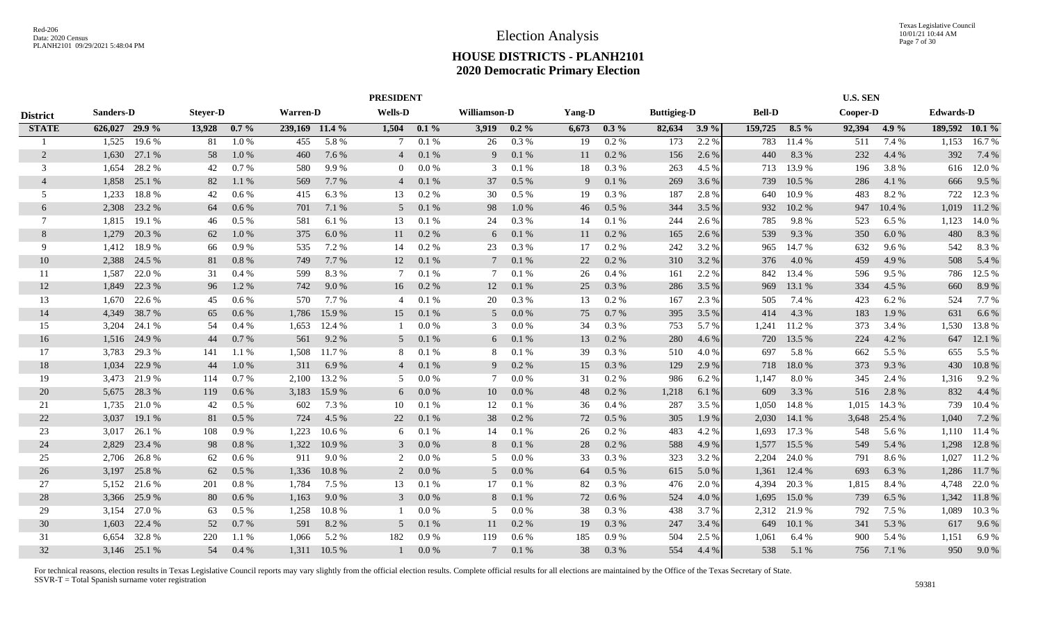|                 |                  |              |                 |         |          |                | <b>PRESIDENT</b> |         |              |         |        |           |                    |         |               |         | <b>U.S. SEN</b> |        |                  |                |
|-----------------|------------------|--------------|-----------------|---------|----------|----------------|------------------|---------|--------------|---------|--------|-----------|--------------------|---------|---------------|---------|-----------------|--------|------------------|----------------|
| <b>District</b> | <b>Sanders-D</b> |              | <b>Steyer-D</b> |         | Warren-D |                | <b>Wells-D</b>   |         | Williamson-D |         | Yang-D |           | <b>Buttigieg-D</b> |         | <b>Bell-D</b> |         | Cooper-D        |        | <b>Edwards-D</b> |                |
| <b>STATE</b>    | 626,027 29.9 %   |              | 13,928          | $0.7\%$ |          | 239,169 11.4 % | 1,504            | $0.1\%$ | 3,919        | $0.2\%$ | 6,673  | $0.3\%$   | 82,634             | $3.9\%$ | 159,725       | $8.5\%$ | 92,394          | 4.9%   |                  | 189,592 10.1 % |
|                 | 1,525            | 19.6%        | 81              | 1.0%    | 455      | 5.8 %          |                  | 0.1%    | 26           | 0.3%    | 19     | 0.2 %     | 173                | 2.2 %   | 783           | 11.4 %  | 511             | 7.4 %  | 1,153            | 16.7%          |
| 2               | 1,630            | 27.1 %       | 58              | 1.0%    | 460      | 7.6 %          | $\overline{4}$   | 0.1%    | 9            | 0.1%    | 11     | 0.2 %     | 156                | 2.6 %   | 440           | 8.3%    | 232             | 4.4 %  | 392              | 7.4 %          |
| 3               | 1.654            | 28.2 %       | 42              | 0.7%    | 580      | 9.9%           | $\overline{0}$   | 0.0 %   | 3            | 0.1%    | 18     | 0.3%      | 263                | 4.5 %   | 713           | 13.9%   | 196             | 3.8%   | 616              | 12.0 %         |
| $\overline{4}$  | 1,858            | 25.1 %       | 82              | 1.1 %   | 569      | 7.7 %          | $\overline{4}$   | 0.1%    | 37           | 0.5 %   | 9      | 0.1%      | 269                | 3.6 %   | 739           | 10.5 %  | 286             | 4.1 %  | 666              | 9.5 %          |
| 5               | 1,233            | 18.8 %       | 42              | 0.6 %   | 415      | 6.3%           | 13               | 0.2%    | 30           | 0.5%    | 19     | 0.3 %     | 187                | 2.8 %   | 640           | 10.9%   | 483             | 8.2%   | 722              | 12.3 %         |
| 6               | 2,308            | 23.2 %       | 64              | 0.6 %   | 701      | 7.1 %          | 5                | 0.1%    | 98           | 1.0%    | 46     | 0.5 %     | 344                | 3.5 %   | 932           | 10.2%   | 947             | 10.4 % | 1,019            | 11.2 %         |
| $\tau$          | 1.815            | 19.1 %       | 46              | 0.5%    | 581      | 6.1 %          | 13               | 0.1%    | 24           | 0.3%    | 14     | 0.1%      | 244                | 2.6 %   | 785           | 9.8%    | 523             | 6.5%   | 1,123            | 14.0 %         |
| 8               | 1,279            | 20.3 %       | 62              | 1.0%    | 375      | 6.0%           | 11               | 0.2 %   | 6            | 0.1%    | 11     | $0.2~\%$  | 165                | 2.6 %   | 539           | 9.3%    | 350             | 6.0%   | 480              | 8.3%           |
| 9               | 1,412            | 18.9%        | 66              | 0.9%    | 535      | 7.2 %          | 14               | 0.2 %   | 23           | 0.3%    | 17     | 0.2 %     | 242                | 3.2 %   | 965           | 14.7%   | 632             | 9.6%   | 542              | 8.3%           |
| 10              | 2,388            | 24.5 %       | 81              | 0.8%    | 749      | 7.7%           | 12               | 0.1%    |              | 0.1%    | 22     | $0.2~\%$  | 310                | 3.2 %   | 376           | 4.0%    | 459             | 4.9%   | 508              | 5.4 %          |
| 11              | 1,587            | 22.0%        | 31              | $0.4\%$ | 599      | 8.3%           | $\tau$           | 0.1%    |              | 0.1%    | 26     | 0.4%      | 161                | 2.2 %   | 842           | 13.4 %  | 596             | 9.5%   | 786              | 12.5 %         |
| 12              | 1,849            | 22.3 %       | 96              | 1.2%    | 742      | 9.0%           | 16               | 0.2 %   | 12           | 0.1%    | 25     | $0.3\ \%$ | 286                | 3.5 %   | 969           | 13.1 %  | 334             | 4.5 %  | 660              | 8.9%           |
| 13              | 1.670            | 22.6 %       | 45              | 0.6 %   | 570      | 7.7%           | $\overline{4}$   | 0.1%    | 20           | 0.3%    | 13     | 0.2 %     | 167                | 2.3 %   | 505           | 7.4 %   | 423             | 6.2%   | 524              | 7.7 %          |
| 14              | 4.349            | 38.7%        | 65              | 0.6%    | 1,786    | 15.9%          | 15               | 0.1%    | 5            | 0.0 %   | 75     | 0.7%      | 395                | 3.5 %   | 414           | 4.3 %   | 183             | 1.9%   | 631              | 6.6 %          |
| 15              | 3,204            | 24.1 %       | 54              | 0.4%    | 1,653    | 12.4 %         |                  | 0.0 %   | 3            | 0.0 %   | 34     | $0.3~\%$  | 753                | 5.7%    | 1,241         | 11.2%   | 373             | 3.4 %  | 1,530            | 13.8%          |
| 16              | 1,516            | 24.9%        | 44              | 0.7 %   | 561      | 9.2 %          | 5                | 0.1%    | 6            | 0.1 %   | 13     | 0.2 %     | 280                | 4.6 %   | 720           | 13.5 %  | 224             | 4.2 %  | 647              | 12.1 %         |
| 17              | 3,783            | 29.3 %       | 141             | 1.1 %   | 1,508    | 11.7 %         | 8                | 0.1%    | 8            | 0.1%    | 39     | 0.3%      | 510                | 4.0 %   | 697           | 5.8 %   | 662             | 5.5 %  | 655              | 5.5 %          |
| 18              | 1,034            | 22.9 %       | 44              | 1.0%    | 311      | 6.9%           | $\overline{4}$   | 0.1%    | 9            | 0.2 %   | 15     | $0.3\ \%$ | 129                | 2.9 %   | 718           | 18.0%   | 373             | 9.3 %  | 430              | 10.8%          |
| 19              | 3,473            | 21.9%        | 114             | 0.7%    | 2,100    | 13.2 %         | 5                | 0.0 %   |              | 0.0 %   | 31     | 0.2 %     | 986                | 6.2%    | 1,147         | 8.0%    | 345             | 2.4 %  | 1,316            | 9.2%           |
| 20              | 5,675            | 28.3 %       | 119             | 0.6 %   | 3,183    | 15.9 %         | 6                | 0.0 %   | 10           | 0.0 %   | 48     | $0.2~\%$  | 1,218              | 6.1 %   | 609           | 3.3 %   | 516             | 2.8 %  | 832              | 4.4 %          |
| 21              | 1,735            | 21.0%        | 42              | 0.5%    | 602      | 7.3 %          | 10               | 0.1%    | 12           | 0.1%    | 36     | 0.4%      | 287                | 3.5 %   | 1,050         | 14.8%   | 1,015           | 14.3 % | 739              | 10.4 %         |
| 22              | 3,037            | 19.1 %       | 81              | 0.5%    | 724      | 4.5 %          | 22               | 0.1%    | 38           | 0.2 %   | 72     | 0.5 %     | 305                | 1.9 %   | 2,030         | 14.1 %  | 3,648           | 25.4 % | 1,040            | 7.2 %          |
| 23              | 3,017            | 26.1 %       | 108             | 0.9%    | 1,223    | 10.6%          | 6                | 0.1%    | 14           | 0.1%    | 26     | 0.2 %     | 483                | 4.2 %   | 1,693         | 17.3 %  | 548             | 5.6 %  | 1,110            | 11.4 %         |
| 24              | 2,829            | 23.4 %       | 98              | 0.8%    | 1,322    | 10.9 %         | 3                | 0.0 %   | 8            | 0.1%    | 28     | $0.2~\%$  | 588                | 4.9 %   | 1,577         | 15.5 %  | 549             | 5.4 %  | 1,298            | 12.8%          |
| 25              | 2,706            | 26.8%        | 62              | 0.6 %   | 911      | 9.0%           | 2                | 0.0 %   | 5            | $0.0\%$ | 33     | 0.3%      | 323                | 3.2 %   | 2,204         | 24.0%   | 791             | 8.6%   | 1,027            | 11.2%          |
| 26              | 3,197            | 25.8%        | 62              | 0.5%    | 1,336    | 10.8%          | 2                | 0.0 %   | .5           | 0.0 %   | 64     | $0.5\ \%$ | 615                | 5.0%    | 1,361         | 12.4 %  | 693             | 6.3%   | 1,286            | 11.7 %         |
| 27              | 5,152            | 21.6 %       | 201             | 0.8%    | 1,784    | 7.5 %          | 13               | 0.1%    | 17           | 0.1%    | 82     | 0.3 %     | 476                | 2.0 %   | 4,394         | 20.3 %  | 1,815           | 8.4%   | 4,748            | 22.0 %         |
| 28              | 3,366            | 25.9%        | 80              | 0.6%    | 1,163    | 9.0%           | $\mathbf{3}$     | 0.0 %   | 8            | 0.1%    | 72     | 0.6 %     | 524                | 4.0%    | 1,695         | 15.0%   | 739             | 6.5 %  | 1,342            | 11.8%          |
| 29              | 3.154            | 27.0%        | 63              | $0.5\%$ | 1,258    | 10.8%          |                  | 0.0 %   | .5           | 0.0 %   | 38     | 0.3%      | 438                | 3.7 %   | 2,312         | 21.9%   | 792             | 7.5 %  | 1,089            | 10.3 %         |
| 30              | 1,603            | 22.4 %       | 52              | 0.7%    | 591      | 8.2%           | 5                | 0.1%    | 11           | 0.2 %   | 19     | 0.3%      | 247                | 3.4 %   | 649           | 10.1%   | 341             | 5.3 %  | 617              | 9.6 %          |
| 31              | 6.654            | 32.8%        | 220             | 1.1 %   | 1,066    | 5.2 %          | 182              | 0.9%    | 119          | $0.6\%$ | 185    | 0.9%      | 504                | 2.5 %   | 1.061         | 6.4 %   | 900             | 5.4 %  | 1,151            | 6.9%           |
| 32              |                  | 3,146 25.1 % | 54              | 0.4%    | 1.311    | 10.5 %         |                  | 0.0 %   |              | 0.1%    | 38     | 0.3%      | 554                | 4.4 %   | 538           | 5.1 %   | 756             | 7.1 %  | 950              | 9.0 %          |
|                 |                  |              |                 |         |          |                |                  |         |              |         |        |           |                    |         |               |         |                 |        |                  |                |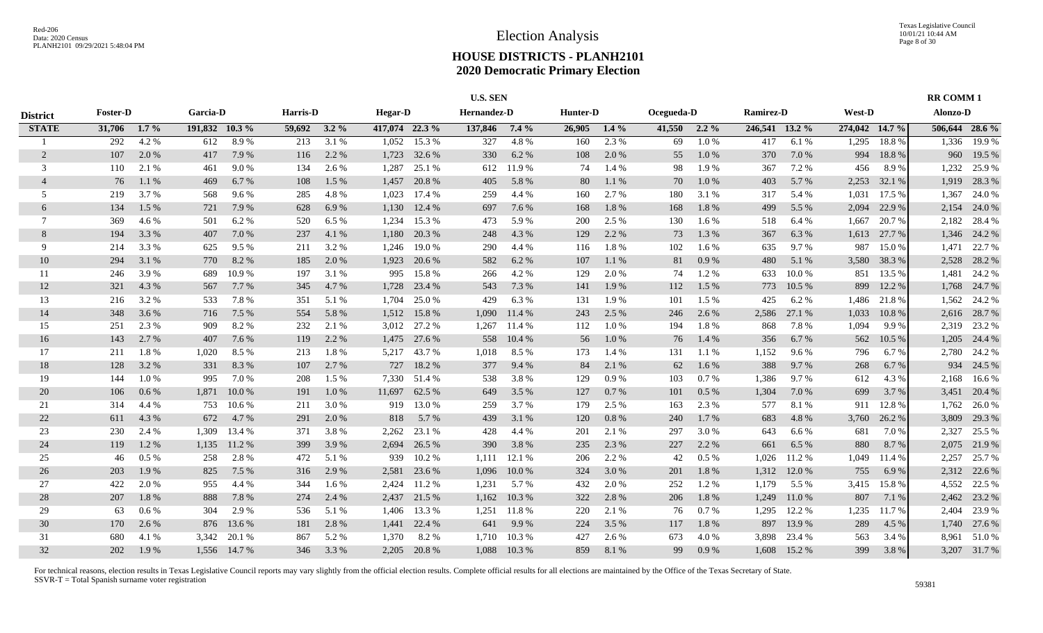|                 |                 |         |                |        |              |         |                | <b>U.S. SEN</b> |                    |         |          |           |            |          |                  |        |                |        | <b>RR COMM1</b> |                |
|-----------------|-----------------|---------|----------------|--------|--------------|---------|----------------|-----------------|--------------------|---------|----------|-----------|------------|----------|------------------|--------|----------------|--------|-----------------|----------------|
| <b>District</b> | <b>Foster-D</b> |         | Garcia-D       |        | Harris-D     |         | <b>Hegar-D</b> |                 | <b>Hernandez-D</b> |         | Hunter-D |           | Ocegueda-D |          | <b>Ramirez-D</b> |        | West-D         |        | Alonzo-D        |                |
| <b>STATE</b>    | 31,706          | $1.7\%$ | 191,832 10.3 % |        | 59,692 3.2 % |         | 417,074 22.3 % |                 | 137,846            | $7.4\%$ | 26,905   | $1.4\%$   | 41,550     | $2.2\%$  | 246,541 13.2 %   |        | 274,042 14.7 % |        |                 | 506,644 28.6 % |
|                 | 292             | 4.2 %   | 612            | 8.9%   | 213          | 3.1%    |                | 1,052 15.3 %    | 327                | 4.8%    | 160      | 2.3 %     | 69         | 1.0%     | 417              | 6.1%   | 1,295          | 18.8%  | 1,336           | 19.9 %         |
| 2               | 107             | 2.0 %   | 417            | 7.9 %  | 116          | 2.2 %   | 1,723          | 32.6 %          | 330                | 6.2 %   | 108      | 2.0%      | 55         | 1.0%     | 370              | 7.0%   | 994            | 18.8%  | 960             | 19.5 %         |
| 3               | 110             | 2.1 %   | 461            | 9.0%   | 134          | 2.6 %   | 1,287          | 25.1 %          | 612                | 11.9%   | 74       | 1.4 %     | 98         | 1.9%     | 367              | 7.2 %  | 456            | 8.9%   | 1,232           | 25.9%          |
| $\overline{4}$  | 76              | 1.1%    | 469            | 6.7 %  | 108          | $1.5\%$ | 1,457          | 20.8%           | 405                | 5.8%    | 80       | 1.1%      | 70         | 1.0%     | 403              | 5.7 %  | 2,253          | 32.1 % | 1,919           | 28.3 %         |
| 5               | 219             | 3.7 %   | 568            | 9.6 %  | 285          | 4.8%    | 1,023          | 17.4 %          | 259                | 4.4 %   | 160      | 2.7 %     | 180        | 3.1 %    | 317              | 5.4 %  | 1,031          | 17.5 % | 1,367           | 24.0 %         |
| 6               | 134             | 1.5 %   | 721            | 7.9 %  | 628          | 6.9%    | 1,130          | 12.4 %          | 697                | 7.6 %   | 168      | $1.8~\%$  | 168        | 1.8%     | 499              | 5.5 %  | 2,094          | 22.9 % | 2,154           | 24.0 %         |
| $\tau$          | 369             | 4.6 %   | 501            | 6.2 %  | 520          | 6.5 %   | 1,234          | 15.3 %          | 473                | 5.9%    | 200      | 2.5 %     | 130        | $1.6\%$  | 518              | 6.4 %  | 1,667          | 20.7 % | 2,182           | 28.4 %         |
| 8               | 194             | 3.3 %   | 407            | 7.0 %  | 237          | 4.1 %   | 1,180          | 20.3 %          | 248                | 4.3 %   | 129      | 2.2 %     | 73         | 1.3%     | 367              | 6.3%   | 1,613          | 27.7 % |                 | 1,346 24.2 %   |
| 9               | 214             | 3.3 %   | 625            | 9.5 %  | 211          | 3.2 %   | 1,246          | 19.0%           | 290                | 4.4 %   | 116      | 1.8%      | 102        | 1.6 %    | 635              | 9.7 %  | 987            | 15.0%  | 1,471           | 22.7 %         |
| 10              | 294             | 3.1 %   | 770            | 8.2%   | 185          | 2.0%    | 1,923          | 20.6 %          | 582                | 6.2%    | 107      | $1.1~\%$  | 81         | 0.9%     | 480              | 5.1 %  | 3,580          | 38.3 % | 2,528           | 28.2 %         |
| 11              | 246             | 3.9 %   | 689            | 10.9%  | 197          | 3.1 %   | 995            | 15.8%           | 266                | 4.2%    | 129      | 2.0%      | 74         | 1.2%     | 633              | 10.0%  | 851            | 13.5 % | 1,481           | 24.2 %         |
| 12              | 321             | 4.3 %   | 567            | 7.7 %  | 345          | 4.7 %   | 1,728          | 23.4 %          | 543                | 7.3 %   | 141      | 1.9%      | 112        | 1.5 %    | 773              | 10.5 % | 899            | 12.2 % | 1,768           | 24.7 %         |
| 13              | 216             | 3.2 %   | 533            | 7.8%   | 351          | 5.1 %   | 1,704          | 25.0 %          | 429                | 6.3%    | 131      | 1.9 %     | -101       | 1.5 %    | 425              | 6.2 %  | 1,486          | 21.8%  |                 | 1,562 24.2 %   |
| 14              | 348             | 3.6 %   | 716            | 7.5 %  | 554          | 5.8 %   | 1,512          | 15.8%           | 1,090              | 11.4 %  | 243      | 2.5 %     | 246        | 2.6 %    | 2,586            | 27.1 % | 1,033          | 10.8%  | 2,616           | 28.7 %         |
| 15              | 251             | 2.3 %   | 909            | 8.2%   | 232          | 2.1 %   |                | 3,012 27.2 %    | 1,267              | 11.4 %  | 112      | $1.0\ \%$ | 194        | 1.8%     | 868              | 7.8%   | 1,094          | 9.9%   |                 | 2,319 23.2 %   |
| 16              | 143             | 2.7 %   | 407            | 7.6 %  | 119          | 2.2 %   |                | 1,475 27.6 %    | 558                | 10.4%   | 56       | 1.0%      | 76         | 1.4 %    | 356              | 6.7%   | 562            | 10.5 % |                 | 1,205 24.4 %   |
| 17              | 211             | 1.8%    | 1,020          | 8.5 %  | 213          | 1.8%    |                | 5,217 43.7 %    | 1,018              | 8.5 %   | 173      | $1.4\%$   | 131        | 1.1 %    | 1,152            | 9.6 %  | 796            | 6.7%   |                 | 2,780 24.2 %   |
| 18              | 128             | 3.2 %   | 331            | 8.3%   | 107          | 2.7 %   |                | 727 18.2 %      | 377                | 9.4 %   | 84       | 2.1 %     | 62         | $1.6\%$  | 388              | 9.7%   | 268            | 6.7%   | 934             | 24.5 %         |
| 19              | 144             | 1.0%    | 995            | 7.0 %  | 208          | 1.5 %   | 7,330          | 51.4 %          | 538                | 3.8%    | 129      | 0.9 %     | 103        | 0.7%     | 1,386            | 9.7 %  | 612            | 4.3 %  | 2,168           | 16.6 %         |
| 20              | 106             | 0.6 %   | 1,871          | 10.0 % | 191          | $1.0\%$ | 11,697         | 62.5 %          | 649                | 3.5 %   | 127      | 0.7%      | 101        | $0.5\%$  | 1,304            | 7.0%   | 699            | 3.7 %  | 3,451           | 20.4 %         |
| 21              | 314             | 4.4 %   | 753            | 10.6%  | 211          | 3.0 %   | 919            | 13.0 %          | 259                | 3.7 %   | 179      | 2.5 %     | 163        | 2.3 %    | 577              | 8.1 %  | 911            | 12.8%  | 1,762           | 26.0%          |
| 22              | 611             | 4.3 %   | 672            | 4.7 %  | 291          | 2.0 %   | 818            | 5.7%            | 439                | 3.1 %   | 120      | 0.8 %     | 240        | 1.7 %    | 683              | 4.8%   | 3,760          | 26.2 % | 3,809           | 29.3 %         |
| 23              | 230             | 2.4 %   | 1,309          | 13.4 % | 371          | 3.8%    | 2,262          | 23.1 %          | 428                | 4.4 %   | 201      | 2.1 %     | 297        | 3.0%     | 643              | 6.6%   | 681            | 7.0%   | 2,327           | 25.5 %         |
| 24              | 119             | 1.2%    | 1,135          | 11.2 % | 399          | 3.9%    | 2,694          | 26.5 %          | 390                | 3.8%    | 235      | 2.3 %     | 227        | 2.2 %    | 661              | 6.5 %  | 880            | 8.7%   | 2,075           | 21.9 %         |
| 25              | 46              | 0.5%    | 258            | 2.8%   | 472          | 5.1 %   | 939            | 10.2%           | 1.111              | 12.1 %  | 206      | 2.2 %     | 42         | 0.5%     | 1.026            | 11.2 % | 1,049          | 11.4 % | 2,257           | 25.7 %         |
| 26              | 203             | 1.9%    | 825            | 7.5 %  | 316          | 2.9 %   | 2,581          | 23.6 %          | 1,096              | 10.0 %  | 324      | 3.0%      | 201        | $1.8~\%$ | 1,312            | 12.0%  | 755            | 6.9%   |                 | 2,312 22.6 %   |
| 27              | 422             | 2.0 %   | 955            | 4.4 %  | 344          | 1.6 %   | 2,424          | 11.2 %          | 1,231              | 5.7 %   | 432      | 2.0 %     | 252        | 1.2 %    | 1,179            | 5.5 %  | 3,415          | 15.8%  | 4,552           | 22.5 %         |
| 28              | 207             | 1.8%    | 888            | 7.8%   | 274          | 2.4 %   | 2,437          | 21.5 %          | 1,162              | 10.3 %  | 322      | 2.8 %     | 206        | 1.8%     | 1,249            | 11.0%  | 807            | 7.1 %  | 2,462           | 23.2 %         |
| 29              | 63              | 0.6 %   | 304            | 2.9 %  | 536          | 5.1 %   | 1,406          | 13.3 %          | 1,251              | 11.8%   | 220      | 2.1 %     | 76         | 0.7%     | 1,295            | 12.2 % | 1,235          | 11.7 % | 2,404           | 23.9 %         |
| 30              | 170             | 2.6 %   | 876            | 13.6 % | 181          | 2.8 %   | 1,441          | 22.4 %          | 641                | 9.9%    | 224      | 3.5 %     | 117        | 1.8%     | 897              | 13.9%  | 289            | 4.5 %  |                 | 1,740 27.6 %   |
| 31              | 680             | 4.1 %   | 3,342          | 20.1 % | 867          | 5.2 %   | 1,370          | 8.2 %           | 1,710              | 10.3%   | 427      | 2.6 %     | 673        | 4.0 %    | 3,898            | 23.4 % | 563            | 3.4 %  | 8,961           | 51.0%          |
| 32              | 202             | 1.9%    | 1,556          | 14.7 % | 346          | 3.3 %   |                | 2,205 20.8 %    | 1,088              | 10.3%   | 859      | 8.1%      | 99         | 0.9%     | 1,608            | 15.2 % | 399            | 3.8%   |                 | 3,207 31.7 %   |
|                 |                 |         |                |        |              |         |                |                 |                    |         |          |           |            |          |                  |        |                |        |                 |                |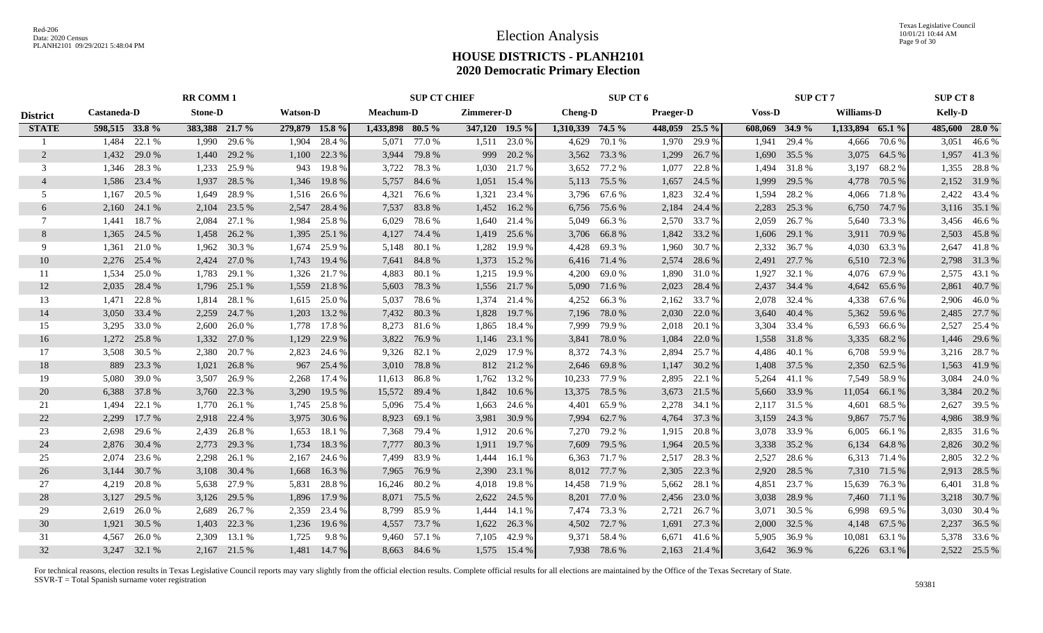|                 | <b>RR COMM1</b> |              |                |              |                 |              |                  | <b>SUP CT CHIEF</b> |                |            |                  | SUP CT 6     |                  |        |                | <b>SUP CT 7</b> |                   |              | <b>SUP CT 8</b> |                |
|-----------------|-----------------|--------------|----------------|--------------|-----------------|--------------|------------------|---------------------|----------------|------------|------------------|--------------|------------------|--------|----------------|-----------------|-------------------|--------------|-----------------|----------------|
| <b>District</b> | Castaneda-D     |              | <b>Stone-D</b> |              | <b>Watson-D</b> |              | Meachum-D        |                     | Zimmerer-D     |            | <b>Cheng-D</b>   |              | <b>Praeger-D</b> |        | <b>Voss-D</b>  |                 | <b>Williams-D</b> |              | <b>Kelly-D</b>  |                |
| <b>STATE</b>    | 598,515 33.8 %  |              | 383,388 21.7 % |              | 279,879 15.8 %  |              | 1,433,898 80.5 % |                     | 347,120 19.5 % |            | 1,310,339 74.5 % |              | 448,059 25.5 %   |        | 608,069 34.9 % |                 | 1,133,894 65.1 %  |              |                 | 485,600 28.0 % |
|                 | 1.484           | 22.1 %       | 1,990          | 29.6 %       | 1,904           | 28.4 %       |                  | 5,071 77.0 %        | 1,511          | 23.0 %     | 4,629            | 70.1 %       | 1,970            | 29.9 % | 1,941          | 29.4 %          | 4,666             | 70.6%        | 3,051           | 46.6%          |
| 2               | 1,432           | 29.0 %       | 1,440          | 29.2 %       | 1,100           | 22.3 %       |                  | 3,944 79.8 %        | 999            | 20.2 %     |                  | 3,562 73.3 % | 1,299            | 26.7 % | 1,690          | 35.5 %          | 3,075             | 64.5 %       |                 | 1,957 41.3 %   |
| 3               | 1.346           | 28.3 %       | 1,233          | 25.9 %       | 943             | 19.8%        |                  | 3,722 78.3 %        | 1,030          | 21.7 %     | 3,652            | 77.2 %       | 1,077            | 22.8%  | 1,494          | 31.8%           | 3,197             | 68.2 %       |                 | 1,355 28.8 %   |
|                 | 1,586           | 23.4 %       | 1,937          | 28.5 %       | 1,346           | 19.8%        |                  | 5,757 84.6 %        | 1,051          | 15.4 %     | 5,113            | 75.5 %       | 1,657            | 24.5 % | 1,999          | 29.5 %          | 4,778             | 70.5 %       |                 | 2,152 31.9 %   |
| 5               | 1.167           | 20.5 %       | 1,649          | 28.9%        | 1,516           | 26.6 %       | 4,321            | 76.6%               | 1,321          | 23.4 %     | 3,796            | 67.6 %       | 1,823            | 32.4 % | 1,594          | 28.2%           | 4,066             | 71.8%        |                 | 2,422 43.4 %   |
| 6               | 2,160           | 24.1 %       | 2,104          | 23.5 %       | 2,547           | 28.4 %       | 7,537            | 83.8%               | 1,452          | 16.2 %     | 6,756            | 75.6 %       | 2,184            | 24.4 % | 2,283          | 25.3 %          | 6,750             | 74.7 %       |                 | 3,116 35.1 %   |
| 7               | 1,441           | 18.7 %       | 2,084          | 27.1 %       | 1,984           | 25.8 %       | 6,029            | 78.6 %              | 1,640          | 21.4 %     | 5,049            | 66.3%        | 2,570            | 33.7 % | 2,059          | 26.7 %          | 5,640             | 73.3 %       |                 | 3,456 46.6 %   |
| 8               | 1,365           | 24.5 %       | 1,458          | 26.2 %       | 1,395           | 25.1 %       | 4,127            | 74.4 %              | 1,419          | 25.6 %     | 3,706            | 66.8%        | 1,842            | 33.2 % | 1,606          | 29.1 %          | 3,911             | 70.9 %       |                 | 2,503 45.8 %   |
| 9               | 1,361           | 21.0 %       | 1,962          | 30.3 %       | 1,674           | 25.9 %       | 5,148            | 80.1%               | 1,282          | 19.9%      | 4,428            | 69.3%        | 1,960            | 30.7 % | 2,332          | 36.7 %          | 4,030             | 63.3%        |                 | 2,647 41.8%    |
| 10              | 2,276           | 25.4 %       | 2,424          | 27.0 %       | 1,743           | 19.4 %       | 7,641            | 84.8%               | 1,373          | 15.2 %     | 6,416            | 71.4 %       | 2,574            | 28.6 % | 2,491          | 27.7 %          | 6,510             | 72.3 %       |                 | 2,798 31.3 %   |
| 11              | 1,534           | 25.0 %       | 1,783          | 29.1 %       | 1,326           | 21.7 %       | 4,883            | 80.1 %              | 1,215          | 19.9 %     | 4,200            | 69.0%        | 1,890            | 31.0%  | 1,927          | 32.1 %          | 4,076             | 67.9%        |                 | 2,575 43.1 %   |
| 12              | 2,035           | 28.4 %       | 1,796          | 25.1 %       | 1,559           | 21.8%        |                  | 5,603 78.3 %        | 1,556          | 21.7 %     | 5,090            | 71.6 %       | 2,023            | 28.4 % | 2,437          | 34.4 %          | 4,642             | 65.6 %       | 2,861           | 40.7 %         |
| 13              | 1.471           | 22.8%        | 1,814          | 28.1 %       | 1,615           | 25.0 %       | 5,037            | 78.6%               | 1,374          | 21.4 %     | 4,252            | 66.3%        | 2,162            | 33.7 % | 2,078          | 32.4 %          | 4,338             | 67.6 %       |                 | 2,906 46.0 %   |
| 14              | 3,050 33.4 %    |              | 2,259          | 24.7 %       | 1,203           | 13.2 %       |                  | 7,432 80.3 %        | 1,828          | 19.7 %     | 7,196            | 78.0%        | 2,030            | 22.0 % | 3,640          | 40.4 %          | 5,362             | 59.6 %       |                 | 2,485 27.7 %   |
| 15              | 3,295           | 33.0%        | 2,600          | 26.0%        | 1,778           | 17.8%        |                  | 8,273 81.6 %        | 1,865          | 18.4 %     | 7,999            | 79.9%        | 2,018            | 20.1 % | 3,304          | 33.4 %          | 6,593             | 66.6 %       |                 | 2,527 25.4 %   |
| 16              | 1,272           | 25.8%        | 1,332          | 27.0 %       | 1,129           | 22.9 %       |                  | 3,822 76.9 %        | 1,146          | 23.1 %     | 3,841            | 78.0%        | 1,084            | 22.0 % |                | 1,558 31.8 %    | 3,335             | 68.2 %       |                 | 1,446 29.6 %   |
| 17              | 3.508           | 30.5 %       | 2,380          | 20.7 %       | 2,823           | 24.6 %       |                  | 9,326 82.1 %        | 2,029          | 17.9 %     |                  | 8,372 74.3 % | 2,894            | 25.7 % | 4,486          | 40.1 %          | 6,708             | 59.9%        |                 | 3,216 28.7 %   |
| 18              | 889             | 23.3 %       | 1,021          | 26.8%        | 967             | 25.4 %       |                  | 3,010 78.8 %        |                | 812 21.2 % | 2,646            | 69.8%        | 1,147            | 30.2 % | 1,408          | 37.5 %          | 2,350             | 62.5 %       | 1,563           | 41.9%          |
| 19              | 5,080           | 39.0%        | 3,507          | 26.9%        | 2,268           | 17.4 %       | 11,613           | 86.8 %              | 1,762          | 13.2 %     | 10,233           | 77.9 %       | 2,895            | 22.1 % | 5,264          | 41.1 %          | 7,549             | 58.9%        | 3,084           | 24.0 %         |
| 20              | 6,388           | 37.8%        | 3,760          | 22.3 %       | 3,290           | 19.5 %       | 15,572 89.4 %    |                     | 1,842          | 10.6%      | 13,375           | 78.5 %       | 3,673            | 21.5 % | 5,660          | 33.9%           | 11,054            | 66.1 %       | 3,384           | 20.2 %         |
| 21              | 1,494           | 22.1 %       | 1,770          | 26.1 %       | 1,745           | 25.8%        | 5,096            | 75.4 %              | 1,663          | 24.6 %     | 4,401            | 65.9%        | 2,278            | 34.1 % | 2,117          | 31.5 %          | 4,601             | 68.5 %       |                 | 2,627 39.5 %   |
| 22              | 2,299           | 17.7 %       | 2,918          | 22.4 %       | 3,975           | 30.6 %       | 8,923            | 69.1 %              | 3,981          | 30.9 %     | 7,994            | 62.7 %       | 4,764            | 37.3 % | 3,159          | 24.3 %          | 9,867             | 75.7 %       |                 | 4,986 38.9 %   |
| 23              | 2,698           | 29.6 %       | 2,439          | 26.8%        | 1,653           | 18.1 %       | 7,368            | 79.4 %              | 1,912          | 20.6 %     | 7,270            | 79.2 %       | 1,915            | 20.8 % | 3,078          | 33.9%           | 6,005             | 66.1 %       |                 | 2,835 31.6 %   |
| 24              | 2,876 30.4 %    |              | 2,773          | 29.3 %       | 1,734           | 18.3%        | 7,777            | 80.3%               | 1,911          | 19.7 %     | 7,609            | 79.5 %       | 1,964            | 20.5 % | 3,338          | 35.2 %          | 6,134             | 64.8%        |                 | 2,826 30.2 %   |
| 25              | 2,074           | 23.6 %       | 2,298          | 26.1 %       | 2,167           | 24.6 %       |                  | 7,499 83.9 %        | 1,444          | 16.1 %     |                  | 6,363 71.7 % | 2,517            | 28.3 % | 2,527          | 28.6 %          | 6,313             | 71.4 %       |                 | 2,805 32.2 %   |
| 26              | 3,144           | 30.7 %       | 3,108          | 30.4 %       | 1,668           | 16.3%        | 7,965            | 76.9 %              | 2,390          | 23.1 %     |                  | 8,012 77.7 % | 2,305            | 22.3 % | 2,920          | 28.5 %          | 7,310             | 71.5 %       |                 | 2,913 28.5 %   |
| 27              | 4,219           | 20.8%        | 5,638          | 27.9 %       | 5,831           | 28.8%        |                  | 16,246 80.2 %       | 4,018          | 19.8%      | 14,458           | 71.9 %       | 5,662            | 28.1 % | 4,851          | 23.7 %          | 15,639            | 76.3%        | 6,401           | 31.8%          |
| 28              | 3,127           | 29.5 %       | 3,126          | 29.5 %       | 1,896           | 17.9 %       | 8,071            | 75.5 %              | 2,622          | 24.5 %     | 8,201            | 77.0 %       | 2,456            | 23.0 % | 3,038          | 28.9%           | 7,460             | 71.1 %       |                 | 3,218 30.7 %   |
| 29              | 2,619           | 26.0%        | 2,689          | 26.7 %       | 2,359           | 23.4 %       |                  | 8,799 85.9 %        | 1,444          | 14.1 %     | 7,474            | 73.3 %       | 2,721            | 26.7 % | 3,071          | 30.5 %          | 6,998             | 69.5 %       |                 | 3,030 30.4 %   |
| 30              | 1,921           | 30.5 %       | 1,403          | 22.3 %       | 1,236           | 19.6 %       |                  | 4,557 73.7 %        | 1,622          | 26.3 %     |                  | 4,502 72.7 % | 1,691            | 27.3 % | 2,000          | 32.5 %          | 4,148             | 67.5 %       |                 | 2,237 36.5 %   |
| 31              | 4.567           | 26.0%        | 2,309          | 13.1 %       | 1,725           | 9.8%         | 9,460            | 57.1 %              | 7,105          | 42.9%      | 9,371            | 58.4 %       | 6,671            | 41.6 % | 5,905          | 36.9%           | 10,081            | 63.1 %       |                 | 5,378 33.6 %   |
| 32              |                 | 3,247 32.1 % |                | 2,167 21.5 % |                 | 1,481 14.7 % |                  | 8,663 84.6 %        | 1,575          | 15.4 %     |                  | 7,938 78.6 % | 2,163            | 21.4 % |                | 3,642 36.9 %    |                   | 6,226 63.1 % |                 | 2,522 25.5 %   |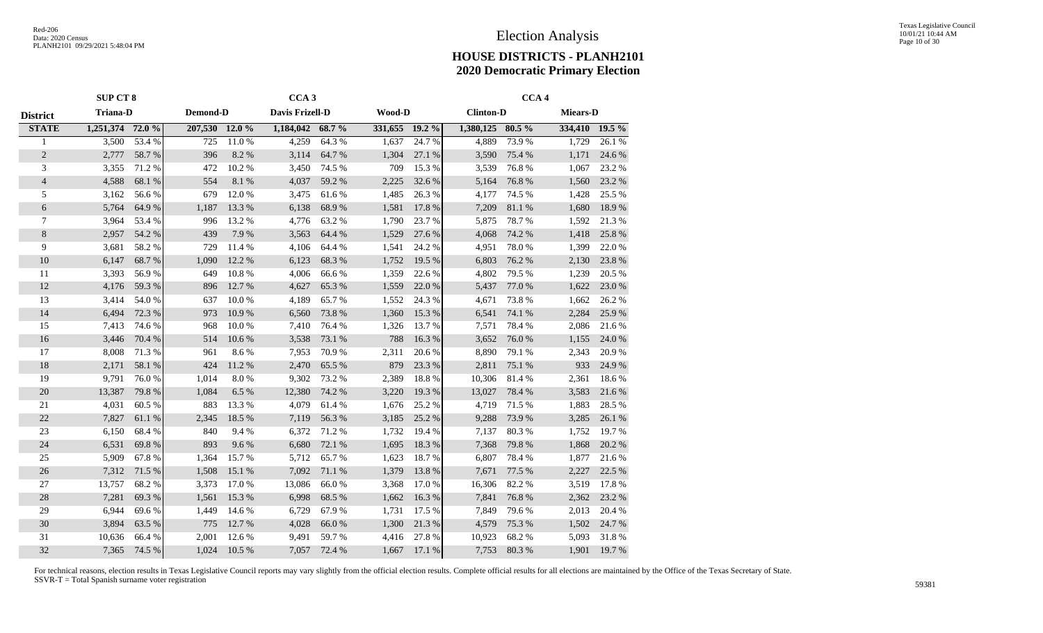|                 | <b>SUP CT 8</b>  |        |          |        | CCA <sub>3</sub>  |        |                |        |                  | CCA <sub>4</sub> |                 |        |
|-----------------|------------------|--------|----------|--------|-------------------|--------|----------------|--------|------------------|------------------|-----------------|--------|
| <b>District</b> | <b>Triana-D</b>  |        | Demond-D |        | Davis Frizell-D   |        | <b>Wood-D</b>  |        | <b>Clinton-D</b> |                  | <b>Miears-D</b> |        |
| <b>STATE</b>    | 1,251,374 72.0 % |        | 207,530  | 12.0%  | $1,184,042$ 68.7% |        | 331,655 19.2 % |        | 1,380,125 80.5 % |                  | 334,410 19.5 %  |        |
|                 | 3,500            | 53.4 % | 725      | 11.0%  | 4,259             | 64.3%  | 1,637          | 24.7 % | 4,889            | 73.9%            | 1,729           | 26.1%  |
| $\overline{2}$  | 2,777            | 58.7%  | 396      | 8.2%   | 3,114             | 64.7%  | 1,304          | 27.1 % | 3,590            | 75.4 %           | 1,171           | 24.6 % |
| 3               | 3,355            | 71.2 % | 472      | 10.2%  | 3,450             | 74.5 % | 709            | 15.3 % | 3,539            | 76.8%            | 1,067           | 23.2 % |
| $\overline{4}$  | 4,588            | 68.1%  | 554      | 8.1%   | 4,037             | 59.2 % | 2,225          | 32.6%  | 5,164            | 76.8%            | 1,560           | 23.2 % |
| 5               | 3,162            | 56.6%  | 679      | 12.0%  | 3,475             | 61.6%  | 1,485          | 26.3%  | 4,177            | 74.5 %           | 1,428           | 25.5 % |
| 6               | 5,764            | 64.9%  | 1,187    | 13.3 % | 6,138             | 68.9%  | 1,581          | 17.8 % | 7,209            | $81.1\text{ }\%$ | 1,680           | 18.9%  |
| 7               | 3,964            | 53.4 % | 996      | 13.2 % | 4,776             | 63.2%  | 1,790          | 23.7 % | 5,875            | 78.7%            | 1,592           | 21.3%  |
| 8               | 2,957            | 54.2 % | 439      | 7.9%   | 3,563             | 64.4 % | 1,529          | 27.6 % | 4,068            | 74.2 %           | 1,418           | 25.8%  |
| 9               | 3,681            | 58.2%  | 729      | 11.4 % | 4,106             | 64.4 % | 1,541          | 24.2 % | 4,951            | 78.0%            | 1,399           | 22.0%  |
| 10              | 6,147            | 68.7%  | 1,090    | 12.2 % | 6,123             | 68.3%  | 1,752          | 19.5 % | 6,803            | 76.2%            | 2,130           | 23.8%  |
| 11              | 3,393            | 56.9%  | 649      | 10.8%  | 4,006             | 66.6%  | 1,359          | 22.6 % | 4,802            | 79.5 %           | 1,239           | 20.5 % |
| 12              | 4,176            | 59.3%  | 896      | 12.7 % | 4,627             | 65.3%  | 1,559          | 22.0 % | 5,437            | 77.0 %           | 1,622           | 23.0 % |
| 13              | 3,414            | 54.0%  | 637      | 10.0%  | 4,189             | 65.7%  | 1,552          | 24.3 % | 4,671            | 73.8%            | 1,662           | 26.2 % |
| 14              | 6,494            | 72.3 % | 973      | 10.9%  | 6,560             | 73.8%  | 1,360          | 15.3 % | 6,541            | 74.1 %           | 2,284           | 25.9%  |
| 15              | 7,413            | 74.6 % | 968      | 10.0%  | 7,410             | 76.4 % | 1,326          | 13.7 % | 7,571            | 78.4%            | 2,086           | 21.6 % |
| 16              | 3,446            | 70.4 % | 514      | 10.6 % | 3,538             | 73.1 % | 788            | 16.3%  | 3,652            | 76.0%            | 1,155           | 24.0 % |
| 17              | 8,008            | 71.3%  | 961      | 8.6%   | 7,953             | 70.9%  | 2,311          | 20.6%  | 8,890            | 79.1 %           | 2,343           | 20.9%  |
| 18              | 2,171            | 58.1 % | 424      | 11.2 % | 2,470             | 65.5%  | 879            | 23.3 % | 2,811            | 75.1 %           | 933             | 24.9%  |
| 19              | 9,791            | 76.0%  | 1,014    | 8.0%   | 9,302             | 73.2 % | 2,389          | 18.8%  | 10,306           | 81.4%            | 2,361           | 18.6%  |
| 20              | 13,387           | 79.8%  | 1,084    | 6.5%   | 12,380            | 74.2 % | 3,220          | 19.3%  | 13,027           | 78.4%            | 3,583           | 21.6 % |
| 21              | 4,031            | 60.5 % | 883      | 13.3 % | 4,079             | 61.4%  | 1,676          | 25.2%  | 4,719            | 71.5 %           | 1,883           | 28.5 % |
| 22              | 7,827            | 61.1%  | 2,345    | 18.5 % | 7,119             | 56.3 % | 3,185          | 25.2 % | 9,288            | 73.9%            | 3,285           | 26.1 % |
| 23              | 6,150            | 68.4%  | 840      | 9.4%   | 6,372             | 71.2%  | 1,732          | 19.4 % | 7,137            | 80.3%            | 1,752           | 19.7 % |
| 24              | 6,531            | 69.8%  | 893      | 9.6%   | 6,680             | 72.1 % | 1,695          | 18.3%  | 7,368            | 79.8%            | 1,868           | 20.2 % |
| 25              | 5,909            | 67.8%  | 1,364    | 15.7%  | 5,712             | 65.7%  | 1,623          | 18.7%  | 6,807            | 78.4%            | 1,877           | 21.6 % |
| 26              | 7,312            | 71.5 % | 1,508    | 15.1 % | 7,092             | 71.1 % | 1,379          | 13.8 % | 7,671            | 77.5 %           | 2,227           | 22.5 % |
| 27              | 13,757           | 68.2%  | 3,373    | 17.0 % | 13,086            | 66.0%  | 3,368          | 17.0 % | 16,306           | 82.2%            | 3,519           | 17.8%  |
| 28              | 7,281            | 69.3%  | 1,561    | 15.3 % | 6,998             | 68.5 % | 1,662          | 16.3%  | 7,841            | 76.8%            | 2,362           | 23.2 % |
| 29              | 6,944            | 69.6%  | 1,449    | 14.6 % | 6,729             | 67.9%  | 1,731          | 17.5 % | 7,849            | 79.6%            | 2,013           | 20.4 % |
| 30              | 3,894            | 63.5%  | 775      | 12.7 % | 4,028             | 66.0%  | 1,300          | 21.3%  | 4,579            | 75.3 %           | 1,502           | 24.7%  |
| 31              | 10,636           | 66.4%  | 2,001    | 12.6 % | 9,491             | 59.7%  | 4,416          | 27.8%  | 10,923           | 68.2%            | 5,093           | 31.8%  |
| 32              | 7,365            | 74.5 % | 1,024    | 10.5 % | 7,057             | 72.4 % | 1,667          | 17.1 % | 7,753            | 80.3%            | 1,901           | 19.7%  |
|                 |                  |        |          |        |                   |        |                |        |                  |                  |                 |        |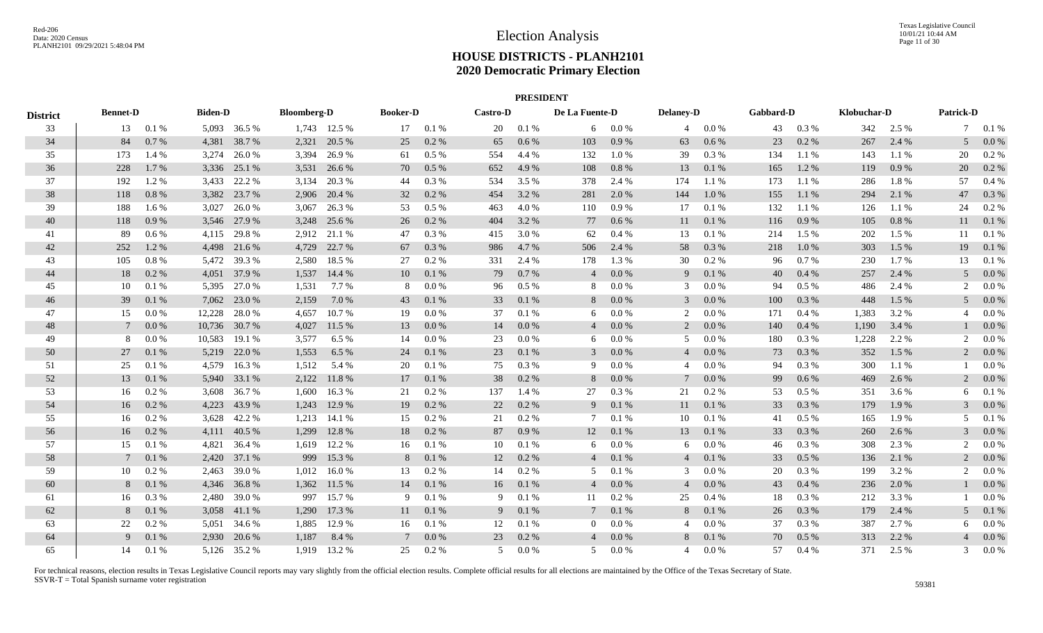|                 | <b>PRESIDENT</b><br>De La Fuente-D |          |                |              |                    |              |                 |           |                 |         |                 |           |                  |          |           |           |             |       |                  |           |
|-----------------|------------------------------------|----------|----------------|--------------|--------------------|--------------|-----------------|-----------|-----------------|---------|-----------------|-----------|------------------|----------|-----------|-----------|-------------|-------|------------------|-----------|
| <b>District</b> | <b>Bennet-D</b>                    |          | <b>Biden-D</b> |              | <b>Bloomberg-D</b> |              | <b>Booker-D</b> |           | <b>Castro-D</b> |         |                 |           | <b>Delaney-D</b> |          | Gabbard-D |           | Klobuchar-D |       | <b>Patrick-D</b> |           |
| 33              | 13                                 | 0.1%     |                | 5,093 36.5 % |                    | 1,743 12.5 % | 17              | 0.1%      | 20              | 0.1%    | 6               | $0.0\%$   |                  | 4 0.0 %  | 43        | $0.3\%$   | 342         | 2.5 % |                  | 7 0.1 %   |
| 34              | 84                                 | 0.7%     |                | 4,381 38.7 % | 2,321              | 20.5 %       | 25              | $0.2~\%$  | 65              | 0.6 %   | 103             | $0.9\ \%$ | 63               | 0.6 %    | 23        | 0.2 %     | 267         | 2.4 % | 5                | $0.0\%$   |
| 35              | 173                                | 1.4 %    | 3,274          | 26.0%        | 3,394              | 26.9%        | 61              | 0.5 %     | 554             | 4.4 %   | 132             | $1.0\ \%$ | 39               | 0.3%     | 134       | 1.1 %     | 143         | 1.1 % | 20               | 0.2 %     |
| 36              | 228                                | 1.7%     | 3,336          | 25.1 %       | 3,531              | 26.6 %       | 70              | 0.5 %     | 652             | 4.9 %   | 108             | $0.8\ \%$ | 13               | 0.1%     | 165       | 1.2%      | 119         | 0.9%  | 20               | 0.2 %     |
| 37              | 192                                | 1.2%     | 3,433          | 22.2 %       | 3,134              | 20.3%        | 44              | $0.3~\%$  | 534             | 3.5 %   | 378             | 2.4 %     | 174              | 1.1 %    | 173       | 1.1 %     | 286         | 1.8%  | 57               | 0.4%      |
| 38              | 118                                | 0.8%     | 3,382          | 23.7 %       | 2,906              | 20.4 %       | 32              | 0.2 %     | 454             | 3.2 %   | 281             | 2.0 %     | 144              | 1.0%     | 155       | 1.1%      | 294         | 2.1 % | 47               | 0.3%      |
| 39              | 188                                | 1.6 %    | 3,027          | 26.0%        | 3,067              | 26.3 %       | 53              | $0.5~\%$  | 463             | 4.0%    | 110             | $0.9\ \%$ | 17               | 0.1%     | 132       | 1.1 %     | 126         | 1.1 % | 24               | 0.2 %     |
| 40              | 118                                | 0.9%     |                | 3,546 27.9 % | 3,248              | 25.6 %       | 26              | 0.2 %     | 404             | 3.2 %   | 77              | 0.6 %     | 11               | 0.1 %    | 116       | 0.9%      | 105         | 0.8 % | 11               | 0.1 %     |
| 41              | 89                                 | $0.6\%$  |                | 4,115 29.8 % |                    | 2,912 21.1 % | 47              | 0.3%      | 415             | 3.0 %   | 62              | 0.4%      | 13               | 0.1%     | 214       | 1.5 %     | 202         | 1.5 % | 11               | 0.1%      |
| 42              | 252                                | 1.2%     |                | 4,498 21.6 % | 4,729              | 22.7 %       | 67              | 0.3%      | 986             | 4.7%    | 506             | 2.4 %     | 58               | 0.3%     | 218       | $1.0\ \%$ | 303         | 1.5 % | 19               | 0.1%      |
| 43              | 105                                | 0.8 %    |                | 5,472 39.3 % | 2,580              | 18.5 %       | 27              | 0.2 %     | 331             | 2.4 %   | 178             | 1.3%      | 30               | $0.2 \%$ | 96        | 0.7%      | 230         | 1.7%  | 13               | 0.1%      |
| 44              | 18                                 | 0.2 %    |                | 4,051 37.9 % | 1,537              | 14.4 %       | 10              | 0.1%      | 79              | 0.7%    | $\overline{4}$  | $0.0\ \%$ | 9                | 0.1 %    | 40        | $0.4~\%$  | 257         | 2.4 % | 5                | 0.0 %     |
| 45              | 10                                 | 0.1%     |                | 5,395 27.0 % | 1,531              | 7.7 %        | 8               | 0.0 %     | 96              | $0.5\%$ | 8               | 0.0 %     | 3                | $0.0\%$  | 94        | $0.5\%$   | 486         | 2.4 % | 2                | 0.0 %     |
| 46              | 39                                 | 0.1 %    |                | 7,062 23.0 % | 2,159              | 7.0 %        | 43              | 0.1 %     | 33              | 0.1%    | 8               | $0.0\ \%$ | 3                | $0.0\%$  | 100       | 0.3%      | 448         | 1.5 % | 5                | 0.0 %     |
| 47              | 15                                 | 0.0 %    | 12,228         | 28.0%        | 4,657              | 10.7%        | 19              | 0.0 %     | 37              | 0.1%    | 6               | $0.0\ \%$ | 2                | 0.0 %    | 171       | 0.4%      | 1,383       | 3.2 % |                  | 0.0 %     |
| 48              | 7                                  | 0.0 %    | 10,736         | 30.7 %       | 4,027              | 11.5 %       | 13              | 0.0 %     | 14              | 0.0 %   | $\overline{4}$  | $0.0\ \%$ | 2                | 0.0 %    | 140       | 0.4%      | 1,190       | 3.4 % |                  | $0.0\%$   |
| 49              | 8                                  | 0.0 %    | 10,583         | 19.1 %       | 3,577              | 6.5 %        | 14              | $0.0\%$   | 23              | 0.0 %   | 6               | $0.0\%$   | 5                | $0.0\%$  | 180       | 0.3%      | 1,228       | 2.2 % | 2                | $0.0\,\%$ |
| 50              | 27                                 | 0.1%     |                | 5,219 22.0 % | 1,553              | 6.5 %        | 24              | 0.1 %     | 23              | 0.1%    | 3               | $0.0\ \%$ | $\overline{4}$   | 0.0 %    | 73        | 0.3%      | 352         | 1.5 % | 2                | $0.0\%$   |
| 51              | 25                                 | 0.1%     |                | 4,579 16.3 % | 1,512              | 5.4 %        | 20              | 0.1 %     | 75              | 0.3%    | 9               | $0.0\ \%$ | $\overline{4}$   | $0.0\%$  | 94        | 0.3%      | 300         | 1.1 % |                  | 0.0 %     |
| 52              | 13                                 | 0.1%     |                | 5,940 33.1 % | 2,122              | 11.8%        | 17              | 0.1%      | 38              | 0.2 %   | 8               | $0.0\%$   | $\tau$           | 0.0 %    | 99        | 0.6 %     | 469         | 2.6 % |                  | 0.0 %     |
| 53              | 16                                 | 0.2 %    |                | 3,608 36.7 % | 1,600              | 16.3 %       | 21              | 0.2%      | 137             | 1.4 %   | 27              | 0.3%      | 21               | 0.2 %    | 53        | $0.5 \%$  | 351         | 3.6 % | 6                | 0.1%      |
| 54              | 16                                 | $0.2 \%$ |                | 4,223 43.9 % | 1,243              | 12.9 %       | 19              | 0.2 %     | 22              | 0.2 %   | 9               | 0.1 %     | 11               | 0.1 %    | 33        | $0.3~\%$  | 179         | 1.9 % | 3                | 0.0 %     |
| 55              | 16                                 | 0.2 %    | 3,628          | 42.2 %       | 1,213              | 14.1 %       | 15              | $0.2~\%$  | 21              | 0.2 %   | $7^{\circ}$     | 0.1 %     | 10               | 0.1%     | 41        | 0.5 %     | 165         | 1.9%  |                  | 0.1%      |
| 56              | 16                                 | 0.2%     | 4,111          | 40.5 %       | 1,299              | 12.8%        | 18              | $0.2~\%$  | 87              | 0.9%    | 12              | $0.1\ \%$ | 13               | 0.1%     | 33        | 0.3%      | 260         | 2.6 % |                  | 0.0 %     |
| 57              | 15                                 | 0.1%     | 4,821          | 36.4 %       | 1,619              | 12.2 %       | 16              | 0.1%      | 10              | 0.1%    | 6               | $0.0\ \%$ | 6                | $0.0\%$  | 46        | 0.3%      | 308         | 2.3 % |                  | 0.0 %     |
| 58              | 7                                  | 0.1%     |                | 2,420 37.1 % | 999                | 15.3 %       | 8               | 0.1 %     | 12              | 0.2 %   | $\overline{4}$  | 0.1 %     | $\overline{4}$   | 0.1 %    | 33        | $0.5\%$   | 136         | 2.1 % | 2                | $0.0\%$   |
| 59              | 10                                 | 0.2 %    |                | 2,463 39.0 % | 1,012              | 16.0%        | 13              | 0.2 %     | 14              | $0.2\%$ | 5               | 0.1%      | 3                | $0.0\%$  | 20        | 0.3%      | 199         | 3.2 % | 2                | 0.0 %     |
| 60              | 8                                  | 0.1%     |                | 4,346 36.8 % | 1,362              | 11.5 %       | 14              | 0.1%      | 16              | 0.1 %   | $\overline{4}$  | $0.0\%$   | 4                | 0.0 %    | 43        | 0.4 %     | 236         | 2.0 % |                  | $0.0\%$   |
| 61              | 16                                 | 0.3 %    |                | 2,480 39.0 % | 997                | 15.7 %       | 9               | 0.1%      | 9               | 0.1%    | 11              | 0.2 %     | 25               | $0.4\%$  | 18        | 0.3%      | 212         | 3.3 % |                  | 0.0 %     |
| 62              | 8                                  | 0.1 %    |                | 3,058 41.1 % | 1,290              | 17.3 %       | 11              | 0.1 %     | 9 <sup>1</sup>  | 0.1 %   | $7\phantom{.0}$ | 0.1 %     | 8                | 0.1 %    | 26        | 0.3 %     | 179         | 2.4 % | 5                | 0.1 %     |
| 63              | 22                                 | 0.2 %    | 5,051          | 34.6 %       | 1,885              | 12.9 %       | 16              | 0.1%      | 12              | 0.1%    | $\overline{0}$  | 0.0 %     | 4                | $0.0\%$  | 37        | 0.3%      | 387         | 2.7 % | 6                | 0.0 %     |
| 64              | 9                                  | 0.1%     | 2,930          | 20.6 %       | 1,187              | 8.4 %        | $7\phantom{.0}$ | $0.0\ \%$ | 23              | 0.2 %   | $\overline{4}$  | $0.0\ \%$ | 8                | 0.1 %    | 70        | $0.5\%$   | 313         | 2.2 % |                  | 0.0 %     |
| 65              | 14                                 | 0.1%     |                | 5,126 35.2 % | 1.919              | 13.2 %       | 25              | 0.2 %     | 5               | $0.0\%$ | .5              | 0.0 %     | 4                | $0.0\%$  | 57        | 0.4%      | 371         | 2.5 % | 3                | 0.0 %     |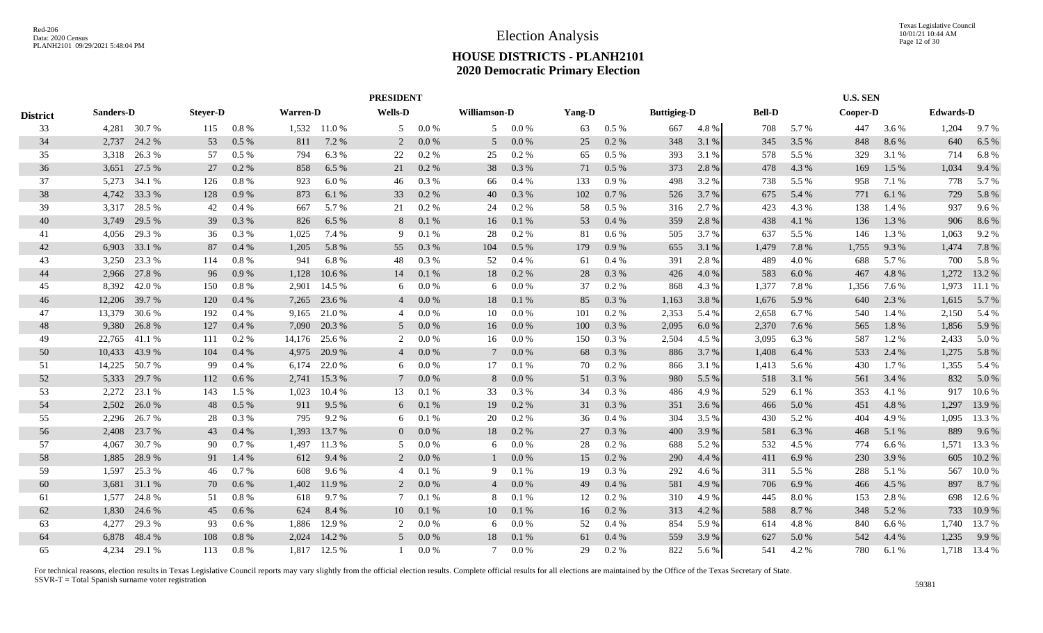|                 |                  |              |                 | <b>PRESIDENT</b> |                 |              |                |       |                |       |        |           |                    |       |               |       | <b>U.S. SEN</b> |       |                  |              |
|-----------------|------------------|--------------|-----------------|------------------|-----------------|--------------|----------------|-------|----------------|-------|--------|-----------|--------------------|-------|---------------|-------|-----------------|-------|------------------|--------------|
| <b>District</b> | <b>Sanders-D</b> |              | <b>Stever-D</b> |                  | <b>Warren-D</b> |              | <b>Wells-D</b> |       | Williamson-D   |       | Yang-D |           | <b>Buttigieg-D</b> |       | <b>Bell-D</b> |       | Cooper-D        |       | <b>Edwards-D</b> |              |
| 33              |                  | 4,281 30.7 % | 115             | 0.8%             |                 | 1,532 11.0 % | 5              | 0.0 % | 5              | 0.0 % | 63     | $0.5\%$   | 667                | 4.8%  | 708           | 5.7 % | 447             | 3.6 % | 1,204            | 9.7%         |
| 34              | 2,737            | 24.2 %       | 53              | 0.5 %            | 811             | 7.2 %        | 2              | 0.0 % | 5              | 0.0 % | 25     | 0.2 %     | 348                | 3.1 % | 345           | 3.5 % | 848             | 8.6 % | 640              | 6.5 %        |
| 35              | 3,318            | 26.3 %       | 57              | $0.5\%$          | 794             | 6.3%         | 22             | 0.2%  | 25             | 0.2 % | 65     | $0.5\%$   | 393                | 3.1 % | 578           | 5.5 % | 329             | 3.1 % | 714              | 6.8%         |
| 36              | 3,651            | 27.5 %       | 27              | 0.2 %            | 858             | 6.5 %        | 21             | 0.2 % | 38             | 0.3%  | 71     | 0.5%      | 373                | 2.8 % | 478           | 4.3 % | 169             | 1.5 % | 1,034            | 9.4%         |
| 37              | 5,273            | 34.1 %       | 126             | 0.8%             | 923             | 6.0%         | 46             | 0.3%  | 66             | 0.4%  | 133    | 0.9%      | 498                | 3.2 % | 738           | 5.5 % | 958             | 7.1 % | 778              | 5.7 %        |
| 38              | 4,742            | 33.3 %       | 128             | 0.9%             | 873             | 6.1 %        | 33             | 0.2 % | 40             | 0.3%  | 102    | 0.7 %     | 526                | 3.7 % | 675           | 5.4 % | 771             | 6.1%  | 729              | 5.8%         |
| 39              | 3,317            | 28.5 %       | 42              | 0.4%             | 667             | 5.7%         | 21             | 0.2%  | 24             | 0.2 % | 58     | $0.5\ \%$ | 316                | 2.7 % | 423           | 4.3 % | 138             | 1.4 % | 937              | 9.6%         |
| 40              | 3,749            | 29.5 %       | 39              | 0.3%             | 826             | 6.5 %        | 8              | 0.1%  | 16             | 0.1%  | 53     | 0.4%      | 359                | 2.8 % | 438           | 4.1 % | 136             | 1.3%  | 906              | 8.6%         |
| 41              | 4,056            | 29.3 %       | 36              | 0.3%             | 1,025           | 7.4 %        | 9              | 0.1 % | 28             | 0.2%  | 81     | 0.6 %     | 505                | 3.7 % | 637           | 5.5 % | 146             | 1.3 % | 1,063            | 9.2%         |
| 42              | 6,903            | 33.1 %       | 87              | 0.4%             | 1,205           | 5.8%         | 55             | 0.3 % | 104            | 0.5 % | 179    | 0.9%      | 655                | 3.1 % | 1,479         | 7.8 % | 1,755           | 9.3%  | 1,474            | 7.8 %        |
| 43              | 3,250            | 23.3 %       | 114             | 0.8%             | 941             | 6.8%         | 48             | 0.3 % | 52             | 0.4%  | 61     | $0.4\%$   | 391                | 2.8 % | 489           | 4.0 % | 688             | 5.7 % | 700              | 5.8 %        |
| 44              | 2,966            | 27.8 %       | 96              | 0.9%             | 1,128           | 10.6 %       | 14             | 0.1 % | 18             | 0.2 % | 28     | 0.3 %     | 426                | 4.0 % | 583           | 6.0%  | 467             | 4.8%  | 1,272            | 13.2 %       |
| 45              | 8,392            | 42.0 %       | 150             | 0.8 %            | 2,901           | 14.5 %       | 6              | 0.0 % | 6              | 0.0 % | 37     | 0.2 %     | 868                | 4.3 % | 1,377         | 7.8%  | 1,356           | 7.6 % | 1,973            | 11.1 %       |
| 46              | 12,206           | 39.7 %       | 120             | 0.4%             | 7,265           | 23.6 %       | 4              | 0.0 % | 18             | 0.1%  | 85     | 0.3 %     | 1,163              | 3.8%  | 1,676         | 5.9 % | 640             | 2.3 % | 1,615            | 5.7 %        |
| 47              | 13,379           | 30.6 %       | 192             | 0.4%             | 9,165           | 21.0%        | 4              | 0.0 % | 10             | 0.0 % | 101    | $0.2 \%$  | 2,353              | 5.4 % | 2,658         | 6.7%  | 540             | 1.4 % | 2,150            | 5.4 %        |
| 48              | 9,380            | 26.8%        | 127             | 0.4%             | 7,090           | 20.3 %       | 5              | 0.0 % | 16             | 0.0 % | 100    | 0.3 %     | 2,095              | 6.0%  | 2,370         | 7.6 % | 565             | 1.8%  | 1,856            | 5.9 %        |
| 49              | 22,765           | 41.1 %       | 111             | 0.2 %            | 14,176          | 25.6 %       | 2              | 0.0 % | 16             | 0.0 % | 150    | 0.3 %     | 2,504              | 4.5 % | 3,095         | 6.3 % | 587             | 1.2 % | 2,433            | 5.0%         |
| 50              | 10,433           | 43.9%        | 104             | 0.4%             | 4,975           | 20.9 %       | $\overline{4}$ | 0.0 % |                | 0.0 % | 68     | 0.3%      | 886                | 3.7 % | 1,408         | 6.4 % | 533             | 2.4 % | 1,275            | 5.8%         |
| 51              | 14,225           | 50.7%        | 99              | 0.4%             | 6,174           | 22.0 %       | 6              | 0.0 % | 17             | 0.1%  | 70     | 0.2 %     | 866                | 3.1 % | 1,413         | 5.6 % | 430             | 1.7%  | 1,355            | 5.4 %        |
| 52              | 5,333            | 29.7 %       | 112             | 0.6 %            | 2,741           | 15.3 %       | 7              | 0.0 % | 8              | 0.0 % | 51     | 0.3 %     | 980                | 5.5 % | 518           | 3.1 % | 561             | 3.4 % | 832              | 5.0%         |
| 53              | 2,272            | 23.1 %       | 143             | 1.5 %            | 1,023           | 10.4 %       | 13             | 0.1%  | 33             | 0.3%  | 34     | 0.3%      | 486                | 4.9 % | 529           | 6.1 % | 353             | 4.1 % | 917              | 10.6%        |
| 54              | 2,502            | 26.0%        | 48              | 0.5 %            | 911             | 9.5 %        | 6              | 0.1 % | 19             | 0.2 % | 31     | $0.3~\%$  | 351                | 3.6 % | 466           | 5.0 % | 451             | 4.8%  | 1,297            | 13.9 %       |
| 55              | 2,296            | 26.7 %       | 28              | 0.3%             | 795             | 9.2%         | 6              | 0.1 % | 20             | 0.2 % | 36     | 0.4%      | 304                | 3.5 % | 430           | 5.2%  | 404             | 4.9%  | 1,095            | 13.3 %       |
| 56              | 2,408            | 23.7 %       | 43              | 0.4%             | 1,393           | 13.7 %       | $\overline{0}$ | 0.0 % | 18             | 0.2 % | 27     | 0.3 %     | 400                | 3.9 % | 581           | 6.3%  | 468             | 5.1 % | 889              | 9.6%         |
| 57              | 4,067            | 30.7 %       | 90              | 0.7%             | 1,497           | 11.3 %       | 5              | 0.0 % | 6              | 0.0 % | 28     | 0.2 %     | 688                | 5.2 % | 532           | 4.5 % | 774             | 6.6 % | 1,571            | 13.3 %       |
| 58              | 1,885            | 28.9%        | 91              | 1.4 %            | 612             | 9.4 %        | $\overline{2}$ | 0.0 % |                | 0.0 % | 15     | 0.2 %     | 290                | 4.4 % | 411           | 6.9%  | 230             | 3.9%  | 605              | 10.2 %       |
| 59              | 1,597            | 25.3 %       | 46              | 0.7%             | 608             | 9.6%         | $\overline{4}$ | 0.1%  | 9              | 0.1%  | 19     | 0.3 %     | 292                | 4.6 % | 311           | 5.5 % | 288             | 5.1 % | 567              | 10.0%        |
| 60              | 3,681            | 31.1 %       | 70              | 0.6 %            | 1,402           | 11.9 %       | 2              | 0.0 % | $\overline{4}$ | 0.0 % | 49     | 0.4%      | 581                | 4.9 % | 706           | 6.9%  | 466             | 4.5 % | 897              | 8.7 %        |
| 61              | 1,577            | 24.8%        | 51              | 0.8 %            | 618             | 9.7%         | 7              | 0.1%  | -8             | 0.1%  | 12     | 0.2 %     | 310                | 4.9 % | 445           | 8.0%  | 153             | 2.8%  | 698              | 12.6 %       |
| 62              | 1,830            | 24.6 %       | 45              | 0.6 %            | 624             | 8.4 %        | 10             | 0.1 % | 10             | 0.1%  | 16     | 0.2 %     | 313                | 4.2 % | 588           | 8.7 % | 348             | 5.2 % | 733              | 10.9%        |
| 63              | 4,277            | 29.3 %       | 93              | $0.6\%$          | 1,886           | 12.9 %       | 2              | 0.0 % | 6              | 0.0 % | 52     | 0.4%      | 854                | 5.9 % | 614           | 4.8%  | 840             | 6.6 % | 1,740            | 13.7 %       |
| 64              | 6,878            | 48.4 %       | 108             | 0.8 %            | 2,024           | 14.2 %       | 5              | 0.0 % | 18             | 0.1%  | 61     | 0.4%      | 559                | 3.9%  | 627           | 5.0 % | 542             | 4.4 % | 1,235            | 9.9 %        |
| 65              | 4,234            | 29.1 %       | 113             | 0.8%             | 1,817           | 12.5 %       |                | 0.0 % | 7              | 0.0 % | 29     | 0.2 %     | 822                | 5.6 % | 541           | 4.2 % | 780             | 6.1 % |                  | 1,718 13.4 % |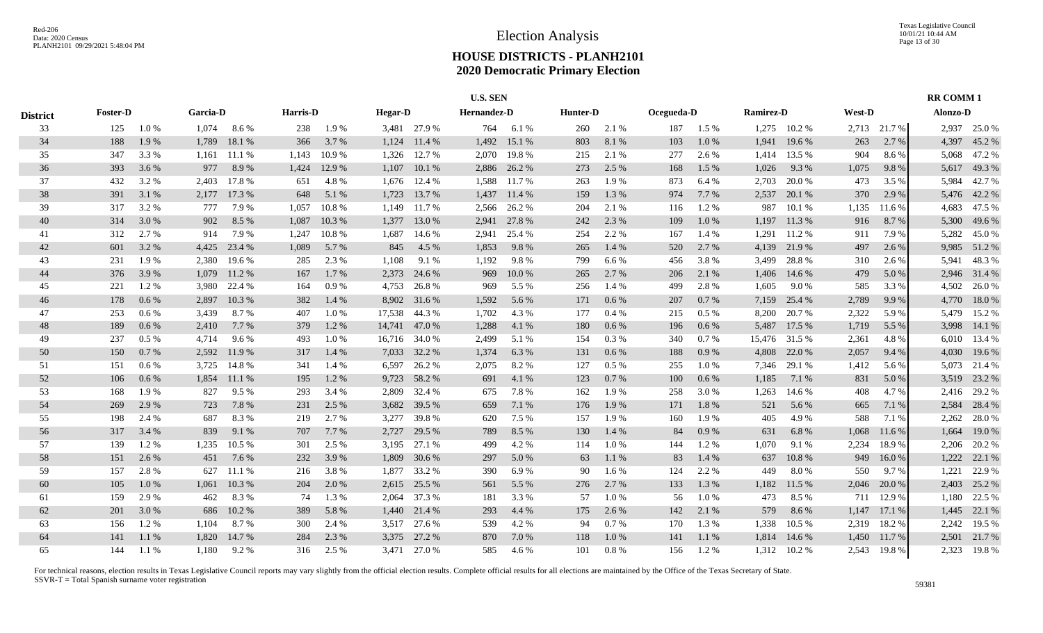|                 |                 |         |                 |        |          |        |                |               | <b>U.S. SEN</b> |        |          |           |            |         |                  |           |        |              | <b>RR COMM1</b> |              |
|-----------------|-----------------|---------|-----------------|--------|----------|--------|----------------|---------------|-----------------|--------|----------|-----------|------------|---------|------------------|-----------|--------|--------------|-----------------|--------------|
| <b>District</b> | <b>Foster-D</b> |         | <b>Garcia-D</b> |        | Harris-D |        | <b>Hegar-D</b> |               | Hernandez-D     |        | Hunter-D |           | Ocegueda-D |         | <b>Ramirez-D</b> |           | West-D |              | Alonzo-D        |              |
| 33              | 125             | 1.0%    | 1,074           | 8.6%   | 238      | 1.9%   |                | 3,481 27.9 %  | 764             | 6.1%   | 260      | 2.1 %     | 187        | $1.5\%$ | 1,275            | 10.2 %    |        | 2,713 21.7 % |                 | 2,937 25.0 % |
| 34              | 188             | 1.9%    | 1,789           | 18.1 % | 366      | 3.7%   | 1,124          | 11.4 %        | 1,492           | 15.1 % | 803      | 8.1 %     | 103        | 1.0 %   | 1,941            | 19.6 %    | 263    | 2.7%         | 4,397           | 45.2 %       |
| 35              | 347             | 3.3 %   | 1,161           | 11.1 % | 1,143    | 10.9%  | 1,326          | 12.7 %        | 2,070           | 19.8%  | 215      | 2.1 %     | 277        | 2.6 %   | 1,414            | 13.5 %    | 904    | 8.6%         | 5,068           | 47.2 %       |
| 36              | 393             | 3.6 %   | 977             | 8.9%   | 1,424    | 12.9 % | 1,107          | 10.1 %        | 2,886           | 26.2 % | 273      | 2.5 %     | 168        | 1.5 %   | 1,026            | 9.3%      | 1,075  | 9.8%         | 5,617           | 49.3%        |
| 37              | 432             | 3.2 %   | 2,403           | 17.8%  | 651      | 4.8%   | 1,676          | 12.4 %        | 1,588           | 11.7%  | 263      | 1.9%      | 873        | 6.4 %   | 2,703            | 20.0%     | 473    | 3.5 %        | 5,984           | 42.7%        |
| 38              | 391             | 3.1%    | 2,177           | 17.3 % | 648      | 5.1 %  | 1,723          | 13.7 %        | 1,437           | 11.4 % | 159      | 1.3 %     | 974        | 7.7 %   | 2,537            | 20.1 %    | 370    | 2.9 %        | 5,476           | 42.2 %       |
| 39              | 317             | 3.2%    | 777             | 7.9%   | 1.057    | 10.8%  | 1,149          | 11.7 %        | 2,566           | 26.2 % | 204      | 2.1 %     | 116        | 1.2%    | 987              | 10.1 %    | 1,135  | 11.6 %       | 4,683           | 47.5 %       |
| 40              | 314             | 3.0 %   | 902             | 8.5 %  | 1,087    | 10.3%  | 1,377          | 13.0%         | 2,941           | 27.8%  | 242      | 2.3 %     | 109        | 1.0%    | 1,197            | 11.3 %    | 916    | 8.7%         | 5,300           | 49.6 %       |
| 41              | 312             | 2.7 %   | 914             | 7.9%   | 1.247    | 10.8%  | 1,687          | 14.6 %        | 2.941           | 25.4 % | 254      | 2.2 %     | 167        | 1.4 %   | 1,291            | 11.2 %    | 911    | 7.9 %        | 5,282           | 45.0%        |
| 42              | 601             | 3.2%    | 4,425           | 23.4 % | 1,089    | 5.7%   | 845            | 4.5 %         | 1,853           | 9.8%   | 265      | 1.4 %     | 520        | 2.7%    | 4,139            | 21.9%     | 497    | 2.6 %        | 9,985           | 51.2%        |
| 43              | 231             | 1.9%    | 2,380           | 19.6 % | 285      | 2.3 %  | 1,108          | 9.1 %         | 1,192           | 9.8%   | 799      | 6.6 %     | 456        | 3.8%    | 3,499            | 28.8%     | 310    | 2.6 %        | 5,941           | 48.3%        |
| 44              | 376             | 3.9 %   | 1,079           | 11.2 % | 167      | 1.7%   | 2,373          | 24.6 %        | 969             | 10.0%  | 265      | 2.7 %     | 206        | 2.1 %   | 1,406            | 14.6 %    | 479    | 5.0 %        |                 | 2,946 31.4 % |
| 45              | 221             | 1.2%    | 3,980           | 22.4 % | 164      | 0.9%   | 4,753          | 26.8%         | 969             | 5.5 %  | 256      | 1.4 %     | 499        | 2.8 %   | 1,605            | 9.0%      | 585    | 3.3 %        | 4,502           | 26.0%        |
| 46              | 178             | 0.6 %   | 2,897           | 10.3%  | 382      | 1.4 %  |                | 8,902 31.6 %  | 1,592           | 5.6 %  | 171      | $0.6\,\%$ | 207        | 0.7 %   | 7,159            | 25.4 %    | 2,789  | 9.9%         | 4,770           | 18.0%        |
| 47              | 253             | 0.6 %   | 3,439           | 8.7%   | 407      | 1.0%   |                | 17,538 44.3 % | 1,702           | 4.3 %  | 177      | $0.4~\%$  | 215        | $0.5\%$ | 8,200            | 20.7%     | 2,322  | 5.9%         | 5,479           | 15.2 %       |
| 48              | 189             | 0.6 %   | 2,410           | 7.7 %  | 379      | 1.2%   | 14,741         | 47.0 %        | 1,288           | 4.1 %  | 180      | $0.6\,\%$ | 196        | 0.6 %   | 5,487            | 17.5 %    | 1,719  | 5.5 %        | 3,998           | 14.1 %       |
| 49              | 237             | $0.5\%$ | 4,714           | 9.6 %  | 493      | 1.0%   |                | 16,716 34.0 % | 2,499           | 5.1 %  | 154      | 0.3%      | 340        | 0.7 %   | 15,476           | 31.5 %    | 2,361  | 4.8%         | 6,010           | 13.4 %       |
| 50              | 150             | 0.7%    | 2,592           | 11.9%  | 317      | 1.4 %  |                | 7,033 32.2 %  | 1,374           | 6.3 %  | 131      | $0.6\,\%$ | 188        | 0.9%    | 4,808            | 22.0 %    | 2,057  | 9.4 %        | 4,030           | 19.6%        |
| 51              | 151             | 0.6 %   | 3,725           | 14.8%  | 341      | 1.4 %  | 6,597          | 26.2%         | 2,075           | 8.2%   | 127      | 0.5%      | 255        | 1.0%    | 7,346            | 29.1 %    | 1,412  | 5.6 %        | 5,073           | 21.4 %       |
| 52              | 106             | $0.6\%$ | 1,854           | 11.1 % | 195      | 1.2%   | 9,723          | 58.2 %        | 691             | 4.1 %  | 123      | 0.7 %     | 100        | 0.6 %   | 1,185            | 7.1 %     | 831    | 5.0%         | 3,519           | 23.2 %       |
| 53              | 168             | 1.9%    | 827             | 9.5 %  | 293      | 3.4 %  | 2,809          | 32.4 %        | 675             | 7.8%   | 162      | 1.9%      | 258        | 3.0%    | 1,263            | 14.6 %    | 408    | 4.7%         | 2,416           | 29.2 %       |
| 54              | 269             | 2.9%    | 723             | 7.8 %  | 231      | 2.5 %  | 3,682          | 39.5 %        | 659             | 7.1 %  | 176      | 1.9%      | 171        | 1.8%    | 521              | 5.6%      | 665    | 7.1 %        | 2,584           | 28.4 %       |
| 55              | 198             | 2.4 %   | 687             | 8.3%   | 219      | 2.7 %  | 3,277          | 39.8%         | 620             | 7.5 %  | 157      | 1.9%      | 160        | 1.9%    | 405              | 4.9%      | 588    | 7.1 %        | 2,262           | 28.0%        |
| 56              | 317             | 3.4 %   | 839             | 9.1 %  | 707      | 7.7 %  | 2,727          | 29.5 %        | 789             | 8.5 %  | 130      | 1.4 %     | 84         | 0.9%    | 631              | 6.8%      | 1,068  | 11.6 %       | 1,664           | 19.0%        |
| 57              | 139             | 1.2%    | 1,235           | 10.5 % | 301      | 2.5 %  |                | 3,195 27.1 %  | 499             | 4.2 %  | 114      | 1.0%      | 144        | 1.2%    | 1,070            | 9.1 %     | 2,234  | 18.9%        | 2,206           | 20.2 %       |
| 58              | 151             | 2.6 %   | 451             | 7.6 %  | 232      | 3.9%   | 1,809          | 30.6 %        | 297             | 5.0%   | 63       | $1.1~\%$  | 83         | 1.4 %   | 637              | $10.8~\%$ | 949    | 16.0%        | 1,222           | 22.1 %       |
| 59              | 157             | 2.8%    | 627             | 11.1%  | 216      | 3.8%   | 1,877          | 33.2 %        | 390             | 6.9%   | 90       | 1.6 %     | 124        | 2.2 %   | 449              | $8.0\ \%$ | 550    | 9.7 %        | 1,221           | 22.9 %       |
| 60              | 105             | 1.0%    | 1,061           | 10.3%  | 204      | 2.0 %  | 2,615          | 25.5 %        | 561             | 5.5 %  | 276      | 2.7%      | 133        | 1.3 %   | 1,182            | 11.5 %    | 2,046  | 20.0 %       | 2,403           | 25.2 %       |
| 61              | 159             | 2.9 %   | 462             | 8.3%   | 74       | 1.3%   | 2,064          | 37.3 %        | 181             | 3.3 %  | 57       | $1.0\ \%$ | 56         | $1.0\%$ | 473              | 8.5 %     | 711    | 12.9 %       | 1,180           | 22.5 %       |
| 62              | 201             | 3.0%    | 686             | 10.2 % | 389      | 5.8 %  |                | 1,440 21.4 %  | 293             | 4.4 %  | 175      | 2.6 %     | 142        | 2.1 %   | 579              | 8.6%      | 1,147  | 17.1 %       | 1,445           | 22.1 %       |
| 63              | 156             | 1.2%    | 1,104           | 8.7%   | 300      | 2.4 %  | 3,517          | 27.6 %        | 539             | 4.2%   | 94       | 0.7 %     | 170        | 1.3 %   | 1,338            | 10.5 %    | 2,319  | 18.2%        |                 | 2,242 19.5 % |
| 64              | 141             | 1.1 %   | 1,820           | 14.7 % | 284      | 2.3%   | 3,375          | 27.2 %        | 870             | 7.0%   | 118      | $1.0\ \%$ | 141        | 1.1 %   | 1,814            | 14.6 %    | 1,450  | 11.7 %       |                 | 2,501 21.7%  |
| 65              | 144             | 1.1%    | 1,180           | 9.2 %  | 316      | 2.5 %  |                | 3,471 27.0 %  | 585             | 4.6 %  | 101      | 0.8%      | 156        | 1.2 %   | 1,312            | 10.2 %    |        | 2,543 19.8 % |                 | 2,323 19.8 % |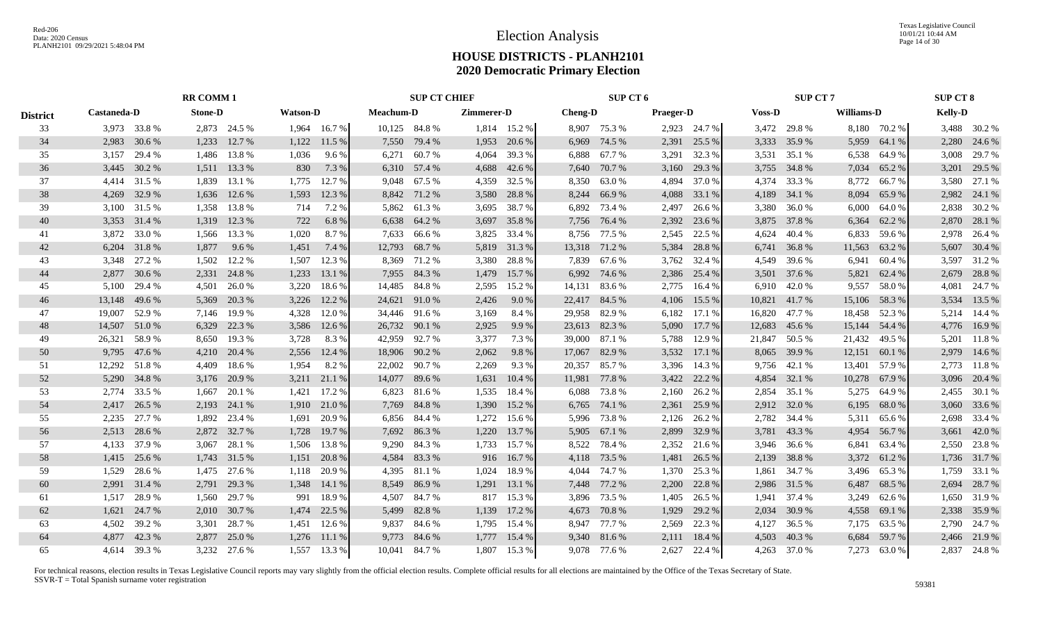|                 |               |              | <b>RR COMM 1</b> |              |                 |              |                  | <b>SUP CT CHIEF</b> |            |                |                | SUP CT 6      |                  |              |               | <b>SUP CT 7</b> |               |              | <b>SUP CT 8</b> |              |
|-----------------|---------------|--------------|------------------|--------------|-----------------|--------------|------------------|---------------------|------------|----------------|----------------|---------------|------------------|--------------|---------------|-----------------|---------------|--------------|-----------------|--------------|
| <b>District</b> | Castaneda-D   |              | <b>Stone-D</b>   |              | <b>Watson-D</b> |              | <b>Meachum-D</b> |                     | Zimmerer-D |                | <b>Cheng-D</b> |               | <b>Praeger-D</b> |              | <b>Voss-D</b> |                 | Williams-D    |              | <b>Kelly-D</b>  |              |
| 33              |               | 3,973 33.8 % |                  | 2,873 24.5 % |                 | 1,964 16.7 % |                  | 10,125 84.8 %       |            | $1,814$ 15.2 % | 8,907          | 75.3 %        |                  | 2,923 24.7 % |               | 3,472 29.8 %    |               | 8,180 70.2 % |                 | 3,488 30.2 % |
| 34              | 2,983         | 30.6 %       | 1,233            | 12.7 %       | 1,122           | 11.5 %       | 7,550            | 79.4 %              | 1,953      | 20.6 %         | 6,969          | 74.5 %        | 2,391            | 25.5 %       | 3,333         | 35.9%           | 5,959         | 64.1 %       | 2,280           | 24.6 %       |
| 35              | 3,157         | 29.4 %       | 1,486            | 13.8%        | 1,036           | 9.6 %        | 6,271            | 60.7%               | 4,064      | 39.3 %         | 6,888          | 67.7 %        | 3,291            | 32.3 %       | 3,531         | 35.1 %          | 6,538         | 64.9 %       | 3,008           | 29.7 %       |
| 36              | 3,445         | 30.2 %       |                  | 1,511 13.3 % | 830             | 7.3 %        |                  | 6,310 57.4 %        | 4,688      | 42.6 %         | 7,640          | 70.7 %        | 3,160            | 29.3 %       | 3,755         | 34.8%           | 7,034         | 65.2%        |                 | 3,201 29.5 % |
| 37              |               | 4,414 31.5 % | 1,839            | 13.1 %       | 1,775           | 12.7 %       |                  | 9,048 67.5 %        | 4,359      | 32.5 %         | 8,350          | 63.0%         | 4,894            | 37.0 %       | 4,374         | 33.3 %          | 8,772         | 66.7 %       |                 | 3,580 27.1 % |
| 38              | 4,269         | 32.9 %       | 1,636            | 12.6 %       | 1,593           | 12.3 %       |                  | 8,842 71.2 %        | 3,580      | 28.8%          | 8,244          | 66.9%         | 4,088            | 33.1 %       | 4,189         | 34.1 %          | 8,094         | 65.9%        |                 | 2,982 24.1 % |
| 39              |               | 3,100 31.5 % | 1,358            | 13.8%        | 714             | 7.2 %        |                  | 5,862 61.3 %        | 3,695      | 38.7 %         | 6,892          | 73.4 %        | 2,497            | 26.6 %       | 3,380         | 36.0%           | 6,000         | 64.0%        |                 | 2,838 30.2 % |
| 40              |               | 3,353 31.4 % | 1,319            | 12.3 %       | 722             | 6.8%         |                  | 6,638 64.2 %        | 3,697      | 35.8%          |                | 7,756 76.4 %  | 2,392            | 23.6 %       | 3,875         | 37.8%           | 6,364         | 62.2 %       |                 | 2,870 28.1 % |
| 41              |               | 3,872 33.0 % |                  | 1,566 13.3 % | 1,020           | 8.7%         | 7,633            | 66.6 %              | 3,825      | 33.4 %         |                | 8,756 77.5 %  | 2,545            | 22.5 %       | 4,624         | 40.4 %          | 6,833         | 59.6 %       | 2,978           | 26.4 %       |
| 42              | 6,204         | 31.8%        | 1,877            | 9.6%         | 1,451           | 7.4 %        | 12,793           | 68.7%               | 5,819      | 31.3 %         | 13,318         | 71.2 %        | 5,384            | 28.8%        | 6,741         | 36.8%           | 11,563        | 63.2%        |                 | 5,607 30.4 % |
| 43              | 3,348         | 27.2 %       | 1,502            | 12.2 %       | 1,507           | 12.3 %       | 8,369            | 71.2 %              | 3,380      | 28.8%          | 7,839          | 67.6 %        | 3,762            | 32.4 %       | 4,549         | 39.6%           | 6,941         | 60.4%        | 3,597           | 31.2%        |
| 44              | 2,877         | 30.6 %       | 2,331            | 24.8%        | 1,233           | 13.1 %       | 7,955            | 84.3 %              | 1,479      | 15.7 %         | 6,992          | 74.6 %        | 2,386            | 25.4 %       |               | 3,501 37.6 %    | 5,821         | 62.4 %       | 2,679           | 28.8%        |
| 45              | 5,100         | 29.4 %       | 4,501            | 26.0%        | 3,220           | 18.6%        | 14,485           | 84.8%               | 2,595      | 15.2 %         | 14,131         | 83.6%         | 2,775            | 16.4 %       | 6,910         | 42.0%           | 9,557         | 58.0%        | 4,081           | 24.7 %       |
| 46              | 13,148        | 49.6%        | 5,369            | 20.3 %       | 3,226           | 12.2 %       | 24,621           | 91.0%               | 2,426      | 9.0%           |                | 22,417 84.5 % | 4,106            | 15.5 %       | 10,821        | 41.7%           | 15,106        | 58.3%        | 3,534           | 13.5 %       |
| 47              | 19,007        | 52.9 %       |                  | 7,146 19.9 % | 4,328           | 12.0 %       | 34,446 91.6 %    |                     | 3,169      | 8.4 %          | 29,958         | 82.9%         | 6,182            | 17.1 %       | 16,820        | 47.7 %          | 18,458        | 52.3 %       |                 | 5,214 14.4 % |
| 48              | 14,507 51.0 % |              | 6,329            | 22.3 %       | 3,586           | 12.6 %       | 26,732 90.1 %    |                     | 2,925      | 9.9%           |                | 23,613 82.3%  | 5,090            | 17.7 %       | 12,683        | 45.6 %          | 15,144 54.4 % |              |                 | 4,776 16.9%  |
| 49              | 26,321        | 58.9%        | 8,650            | 19.3 %       | 3,728           | 8.3%         | 42,959 92.7 %    |                     | 3,377      | 7.3 %          | 39,000         | 87.1 %        | 5,788            | 12.9 %       | 21,847        | 50.5 %          | 21,432        | 49.5 %       |                 | 5,201 11.8 % |
| 50              | 9,795         | 47.6 %       | 4,210            | 20.4 %       | 2,556           | 12.4 %       |                  | 18,906 90.2 %       | 2,062      | 9.8%           | 17,067         | 82.9%         |                  | 3,532 17.1 % | 8,065         | 39.9 %          | 12,151        | 60.1 %       |                 | 2,979 14.6 % |
| 51              | 12,292        | 51.8%        | 4,409            | 18.6 %       | 1,954           | 8.2%         | 22,002           | 90.7%               | 2,269      | 9.3%           | 20,357         | 85.7%         | 3,396            | 14.3 %       | 9,756         | 42.1 %          | 13,401        | 57.9 %       | 2,773           | 11.8%        |
| 52              | 5,290         | 34.8%        | 3,176            | 20.9 %       | 3,211           | 21.1 %       | 14,077           | 89.6 %              | 1,631      | 10.4%          | 11,981         | 77.8%         | 3,422            | 22.2 %       | 4,854         | 32.1 %          | 10,278        | 67.9 %       |                 | 3,096 20.4 % |
| 53              |               | 2,774 33.5 % | 1,667            | 20.1 %       | 1,421           | 17.2 %       | 6,823            | 81.6 %              | 1,535      | 18.4 %         | 6,088          | 73.8%         | 2,160            | 26.2 %       | 2,854         | 35.1 %          | 5,275         | 64.9 %       |                 | 2,455 30.1 % |
| 54              | 2,417         | 26.5 %       | 2,193            | 24.1 %       | 1,910           | 21.0 %       | 7,769            | 84.8%               | 1,390      | 15.2 %         | 6,765          | 74.1 %        | 2,361            | 25.9 %       |               | 2,912 32.0 %    | 6,195         | 68.0%        |                 | 3,060 33.6 % |
| 55              | 2,235         | 27.7 %       | 1,892            | 23.4 %       | 1,691           | 20.9 %       |                  | 6,856 84.4 %        | 1,272      | 15.6 %         | 5,996          | 73.8%         | 2,126            | 26.2 %       | 2,782         | 34.4 %          | 5,311         | 65.6 %       |                 | 2,698 33.4 % |
| 56              | 2,513         | 28.6 %       | 2,872            | 32.7 %       | 1,728           | 19.7 %       |                  | 7,692 86.3 %        | 1,220      | 13.7 %         | 5,905          | 67.1 %        | 2,899            | 32.9 %       | 3,781         | 43.3 %          | 4,954         | 56.7%        |                 | 3,661 42.0 % |
| 57              |               | 4,133 37.9 % | 3,067            | 28.1 %       | 1,506           | 13.8 %       |                  | 9,290 84.3 %        | 1,733      | 15.7 %         | 8,522          | 78.4%         | 2,352            | 21.6 %       | 3,946         | 36.6 %          | 6,841         | 63.4 %       |                 | 2,550 23.8 % |
| 58              | 1,415         | 25.6 %       | 1,743            | 31.5 %       | 1,151           | 20.8 %       | 4,584            | 83.3%               | 916        | 16.7 %         | 4,118          | 73.5 %        | 1,481            | 26.5 %       | 2,139         | 38.8%           | 3,372         | 61.2%        |                 | 1,736 31.7 % |
| 59              | 1,529         | 28.6%        | 1,475            | 27.6 %       | 1,118           | 20.9%        | 4,395            | 81.1 %              | 1,024      | 18.9%          | 4,044          | 74.7%         | 1,370            | 25.3 %       | 1,861         | 34.7 %          | 3,496         | 65.3%        | 1,759           | 33.1 %       |
| 60              | 2,991         | 31.4 %       | 2,791            | 29.3 %       | 1,348           | 14.1 %       | 8,549            | 86.9%               | 1,291      | 13.1 %         | 7,448          | 77.2 %        | 2,200            | 22.8 %       | 2,986         | 31.5 %          | 6,487         | 68.5 %       | 2,694           | 28.7 %       |
| 61              | 1,517         | 28.9%        | 1,560            | 29.7 %       | 991             | 18.9%        | 4,507            | 84.7%               | 817        | 15.3 %         | 3,896          | 73.5 %        | 1,405            | 26.5 %       | 1,941         | 37.4 %          | 3,249         | 62.6 %       |                 | 1,650 31.9 % |
| 62              | 1,621         | 24.7 %       |                  | 2,010 30.7 % | 1,474           | 22.5 %       | 5,499            | 82.8%               | 1,139      | 17.2 %         | 4,673          | 70.8%         | 1,929            | 29.2 %       | 2,034         | 30.9%           | 4,558         | 69.1 %       |                 | 2,338 35.9 % |
| 63              | 4.502         | 39.2 %       | 3,301            | 28.7 %       | 1,451           | 12.6 %       | 9,837            | 84.6 %              | 1,795      | 15.4 %         | 8,947          | 77.7 %        | 2,569            | 22.3 %       | 4,127         | 36.5 %          | 7,175         | 63.5 %       |                 | 2,790 24.7 % |
| 64              | 4.877         | 42.3 %       | 2,877            | 25.0 %       | 1,276           | 11.1 %       | 9,773            | 84.6%               | 1,777      | 15.4 %         | 9,340          | 81.6%         | 2,111            | 18.4 %       | 4,503         | 40.3%           | 6,684         | 59.7%        |                 | 2,466 21.9 % |
| 65              |               | 4,614 39.3 % |                  | 3,232 27.6 % | 1.557           | 13.3 %       |                  | 10,041 84.7 %       |            | 1,807 15.3 %   |                | 9,078 77.6 %  | 2,627            | 22.4 %       |               | 4,263 37.0 %    |               | 7,273 63.0 % |                 | 2,837 24.8 % |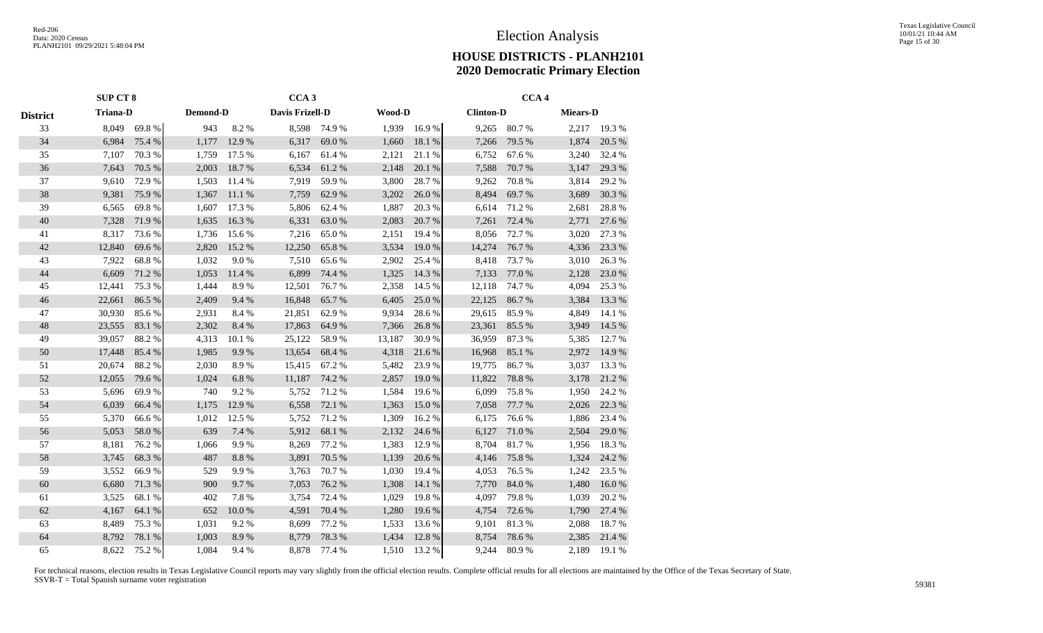|                 | <b>SUP CT 8</b> |        |          |            | CCA <sub>3</sub> |        |        |        |                  | CCA <sub>4</sub> |                 |        |
|-----------------|-----------------|--------|----------|------------|------------------|--------|--------|--------|------------------|------------------|-----------------|--------|
| <b>District</b> | <b>Triana-D</b> |        | Demond-D |            | Davis Frizell-D  |        | Wood-D |        | <b>Clinton-D</b> |                  | <b>Miears-D</b> |        |
| 33              | 8,049           | 69.8%  | 943      | 8.2%       | 8,598            | 74.9 % | 1,939  | 16.9%  | 9,265            | 80.7%            | 2,217           | 19.3%  |
| 34              | 6,984           | 75.4 % | 1,177    | 12.9 %     | 6,317            | 69.0%  | 1,660  | 18.1 % | 7,266            | 79.5 %           | 1,874           | 20.5 % |
| 35              | 7,107           | 70.3%  | 1,759    | 17.5 %     | 6,167            | 61.4%  | 2,121  | 21.1 % | 6,752            | 67.6 %           | 3,240           | 32.4 % |
| 36              | 7,643           | 70.5 % | 2,003    | 18.7%      | 6,534            | 61.2%  | 2,148  | 20.1 % | 7,588            | 70.7%            | 3,147           | 29.3 % |
| 37              | 9,610           | 72.9%  | 1,503    | 11.4 %     | 7,919            | 59.9%  | 3,800  | 28.7%  | 9,262            | 70.8%            | 3,814           | 29.2 % |
| 38              | 9,381           | 75.9%  | 1,367    | 11.1 %     | 7,759            | 62.9%  | 3,202  | 26.0%  | 8,494            | 69.7%            | 3,689           | 30.3 % |
| 39              | 6,565           | 69.8%  | 1,607    | 17.3 %     | 5,806            | 62.4 % | 1,887  | 20.3%  | 6,614            | 71.2 %           | 2,681           | 28.8 % |
| 40              | 7,328           | 71.9 % | 1,635    | 16.3%      | 6,331            | 63.0%  | 2,083  | 20.7 % | 7,261            | 72.4 %           | 2,771           | 27.6 % |
| 41              | 8,317           | 73.6 % | 1,736    | 15.6 %     | 7,216            | 65.0%  | 2,151  | 19.4 % | 8,056            | 72.7 %           | 3,020           | 27.3 % |
| 42              | 12,840          | 69.6%  | 2,820    | 15.2 %     | 12,250           | 65.8%  | 3,534  | 19.0 % | 14,274           | 76.7%            | 4,336           | 23.3 % |
| 43              | 7,922           | 68.8%  | 1,032    | 9.0%       | 7,510            | 65.6%  | 2,902  | 25.4 % | 8,418            | 73.7 %           | 3,010           | 26.3 % |
| $44$            | 6,609           | 71.2%  | 1,053    | 11.4 %     | 6,899            | 74.4 % | 1,325  | 14.3 % | 7,133            | 77.0 %           | 2,128           | 23.0 % |
| 45              | 12,441          | 75.3 % | 1,444    | 8.9%       | 12,501           | 76.7%  | 2,358  | 14.5 % | 12,118           | 74.7%            | 4,094           | 25.3 % |
| 46              | 22,661          | 86.5%  | 2,409    | 9.4%       | 16,848           | 65.7%  | 6,405  | 25.0%  | 22,125           | 86.7%            | 3,384           | 13.3 % |
| 47              | 30,930          | 85.6%  | 2,931    | 8.4%       | 21,851           | 62.9%  | 9,934  | 28.6%  | 29,615           | 85.9%            | 4,849           | 14.1 % |
| 48              | 23,555          | 83.1 % | 2,302    | 8.4 %      | 17,863           | 64.9%  | 7,366  | 26.8%  | 23,361           | 85.5 %           | 3,949           | 14.5 % |
| 49              | 39,057          | 88.2%  | 4,313    | 10.1 %     | 25,122           | 58.9%  | 13,187 | 30.9%  | 36,959           | 87.3 %           | 5,385           | 12.7 % |
| 50              | 17,448          | 85.4 % | 1,985    | 9.9%       | 13,654           | 68.4 % | 4,318  | 21.6 % | 16,968           | 85.1 %           | 2,972           | 14.9 % |
| 51              | 20,674          | 88.2%  | 2,030    | 8.9%       | 15,415           | 67.2 % | 5,482  | 23.9%  | 19,775           | 86.7%            | 3,037           | 13.3 % |
| 52              | 12,055          | 79.6%  | 1,024    | 6.8%       | 11,187           | 74.2 % | 2,857  | 19.0%  | 11,822           | 78.8%            | 3,178           | 21.2%  |
| 53              | 5,696           | 69.9%  | 740      | 9.2%       | 5,752            | 71.2 % | 1,584  | 19.6 % | 6,099            | 75.8%            | 1,950           | 24.2 % |
| 54              | 6,039           | 66.4%  | 1,175    | 12.9%      | 6,558            | 72.1 % | 1,363  | 15.0%  | 7,058            | 77.7 %           | 2,026           | 22.3 % |
| 55              | 5,370           | 66.6%  | 1,012    | 12.5 %     | 5,752            | 71.2 % | 1,309  | 16.2%  | 6,175            | 76.6%            | 1,886           | 23.4 % |
| 56              | 5,053           | 58.0%  | 639      | 7.4 %      | 5,912            | 68.1 % | 2,132  | 24.6 % | 6,127            | 71.0%            | 2,504           | 29.0%  |
| 57              | 8,181           | 76.2%  | 1,066    | 9.9%       | 8,269            | 77.2 % | 1,383  | 12.9 % | 8,704            | 81.7%            | 1,956           | 18.3%  |
| 58              | 3,745           | 68.3%  | 487      | 8.8 %      | 3,891            | 70.5 % | 1,139  | 20.6 % | 4,146            | 75.8%            | 1,324           | 24.2 % |
| 59              | 3,552           | 66.9%  | 529      | 9.9%       | 3,763            | 70.7%  | 1,030  | 19.4 % | 4,053            | 76.5 %           | 1,242           | 23.5 % |
| 60              | 6,680           | 71.3 % | 900      | 9.7%       | 7,053            | 76.2 % | 1,308  | 14.1 % | 7,770            | 84.0%            | 1,480           | 16.0%  |
| 61              | 3,525           | 68.1%  | 402      | 7.8 %      | 3,754            | 72.4 % | 1,029  | 19.8%  | 4,097            | 79.8%            | 1,039           | 20.2 % |
| 62              | 4,167           | 64.1 % | 652      | $10.0\ \%$ | 4,591            | 70.4 % | 1,280  | 19.6%  | 4,754            | 72.6%            | 1,790           | 27.4 % |
| 63              | 8,489           | 75.3%  | 1,031    | 9.2%       | 8,699            | 77.2 % | 1,533  | 13.6 % | 9,101            | 81.3%            | 2,088           | 18.7%  |
| 64              | 8,792           | 78.1 % | 1,003    | 8.9%       | 8,779            | 78.3%  | 1,434  | 12.8%  | 8,754            | 78.6%            | 2,385           | 21.4 % |
| 65              | 8,622           | 75.2 % | 1,084    | 9.4%       | 8,878            | 77.4 % | 1,510  | 13.2 % | 9,244            | 80.9%            | 2,189           | 19.1 % |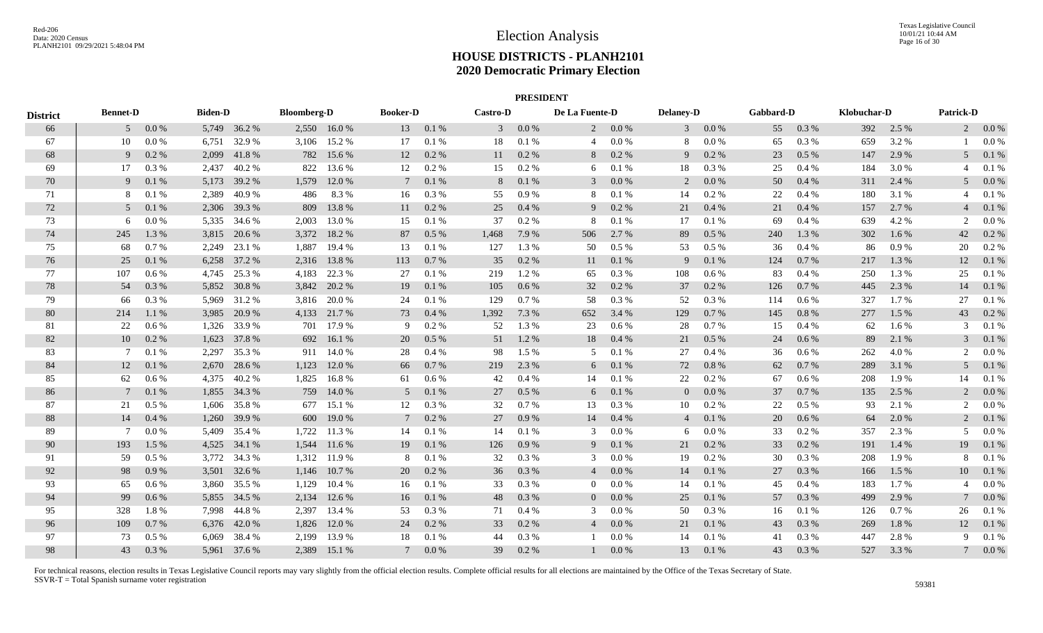|                 |                 |          |                |              |                    |              |                 |           |                 | <b>PRESIDENT</b> |                |           |                  |          |           |           |             |       |                  |          |
|-----------------|-----------------|----------|----------------|--------------|--------------------|--------------|-----------------|-----------|-----------------|------------------|----------------|-----------|------------------|----------|-----------|-----------|-------------|-------|------------------|----------|
| <b>District</b> | <b>Bennet-D</b> |          | <b>Biden-D</b> |              | <b>Bloomberg-D</b> |              | <b>Booker-D</b> |           | <b>Castro-D</b> |                  | De La Fuente-D |           | <b>Delaney-D</b> |          | Gabbard-D |           | Klobuchar-D |       | <b>Patrick-D</b> |          |
| 66              |                 | $50.0\%$ |                | 5,749 36.2 % |                    | 2,550 16.0 % |                 | 13 0.1 %  | 3 <sup>7</sup>  | $0.0\%$          |                | $20.0\%$  |                  | $30.0\%$ | 55        | 0.3%      | 392         | 2.5 % |                  | $20.0\%$ |
| 67              | 10              | 0.0 %    |                | 6,751 32.9 % | 3,106              | 15.2 %       | 17              | 0.1 %     | 18              | 0.1%             | $\overline{4}$ | $0.0\,\%$ | 8                | $0.0\%$  | 65        | 0.3%      | 659         | 3.2%  |                  | 0.0 %    |
| 68              | 9               | 0.2 %    | 2,099          | 41.8%        | 782                | 15.6 %       | 12              | 0.2 %     | 11              | 0.2%             | 8              | $0.2~\%$  | 9                | 0.2%     | 23        | $0.5\ \%$ | 147         | 2.9%  | 5                | 0.1 %    |
| 69              | 17              | 0.3 %    | 2,437          | 40.2%        | 822                | 13.6 %       | 12              | 0.2%      | 15              | 0.2 %            | 6              | 0.1%      | 18               | 0.3 %    | 25        | 0.4%      | 184         | 3.0 % |                  | 0.1%     |
| 70              | 9               | 0.1%     |                | 5,173 39.2 % | 1,579              | 12.0 %       | $7\phantom{0}$  | 0.1%      | 8               | 0.1 %            | 3              | $0.0\ \%$ | 2                | 0.0 %    | 50        | 0.4 %     | 311         | 2.4 % |                  | 0.0 %    |
| 71              | 8               | 0.1%     | 2,389          | 40.9%        | 486                | 8.3%         | 16              | 0.3 %     | 55              | 0.9%             | 8              | 0.1%      | 14               | 0.2 %    | 22        | 0.4%      | 180         | 3.1 % |                  | 0.1%     |
| 72              | 5 <sup>5</sup>  | 0.1%     |                | 2,306 39.3 % | 809                | 13.8%        | 11              | $0.2~\%$  | 25              | 0.4%             | 9              | $0.2~\%$  | 21               | 0.4%     | 21        | 0.4 %     | 157         | 2.7 % |                  | 0.1 %    |
| 73              | 6               | 0.0 %    |                | 5,335 34.6 % | 2,003              | 13.0%        | 15              | 0.1 %     | 37              | 0.2 %            | 8              | $0.1~\%$  | 17               | 0.1%     | 69        | 0.4 %     | 639         | 4.2%  | 2                | 0.0 %    |
| 74              | 245             | 1.3%     |                | 3,815 20.6 % | 3,372              | 18.2 %       | 87              | $0.5\%$   | 1,468           | 7.9 %            | 506            | 2.7%      | 89               | $0.5\%$  | 240       | 1.3 %     | 302         | 1.6 % | 42               | 0.2 %    |
| 75              | 68              | 0.7%     |                | 2,249 23.1 % | 1,887              | 19.4 %       | 13              | 0.1%      | 127             | 1.3%             | 50             | 0.5 %     | 53               | $0.5\%$  | 36        | 0.4%      | 86          | 0.9%  | 20               | $0.2\%$  |
| 76              | 25              | 0.1 %    |                | 6,258 37.2 % | 2,316              | 13.8%        | 113             | 0.7%      | 35              | 0.2 %            | 11             | $0.1\ \%$ | 9                | 0.1 %    | 124       | 0.7 %     | 217         | 1.3%  | 12               | 0.1%     |
| 77              | 107             | 0.6 %    |                | 4,745 25.3 % | 4,183              | 22.3 %       | 27              | 0.1%      | 219             | 1.2%             | 65             | 0.3%      | 108              | $0.6\%$  | 83        | 0.4 %     | 250         | 1.3%  | 25               | 0.1%     |
| 78              | 54              | 0.3%     |                | 5,852 30.8 % |                    | 3,842 20.2 % | 19              | 0.1%      | 105             | 0.6 %            | 32             | 0.2 %     | 37               | 0.2 %    | 126       | 0.7%      | 445         | 2.3 % | 14               | 0.1%     |
| 79              | 66              | 0.3 %    |                | 5,969 31.2 % |                    | 3,816 20.0 % | 24              | 0.1%      | 129             | 0.7%             | 58             | 0.3 %     | 52               | $0.3\%$  | 114       | $0.6\%$   | 327         | 1.7 % | 27               | 0.1%     |
| 80              | 214             | 1.1 %    | 3,985          | 20.9 %       |                    | 4,133 21.7 % | 73              | 0.4%      | 1,392           | 7.3 %            | 652            | 3.4 %     | 129              | 0.7 %    | 145       | 0.8%      | 277         | 1.5 % | 43               | 0.2 %    |
| 81              | 22              | 0.6%     | 1,326          | 33.9%        | 701                | 17.9 %       | 9               | 0.2 %     | 52              | 1.3%             | 23             | $0.6\,\%$ | 28               | 0.7%     | 15        | 0.4%      | 62          | 1.6%  | 3                | 0.1%     |
| 82              | 10              | 0.2 %    |                | 1,623 37.8 % | 692                | 16.1 %       | 20              | $0.5\%$   | 51              | 1.2%             | 18             | 0.4 %     | 21               | 0.5 %    | 24        | 0.6 %     | 89          | 2.1 % | 3                | 0.1%     |
| 83              | -7              | 0.1%     | 2,297          | 35.3 %       | 911                | 14.0 %       | 28              | 0.4%      | 98              | 1.5 %            | 5              | 0.1 %     | 27               | $0.4\%$  | 36        | 0.6 %     | 262         | 4.0%  | 2                | 0.0 %    |
| 84              | 12              | 0.1%     |                | 2,670 28.6 % | 1,123              | 12.0 %       | 66              | 0.7%      | 219             | 2.3 %            | 6              | 0.1 %     | 72               | 0.8%     | 62        | 0.7%      | 289         | 3.1 % | 5                | 0.1%     |
| 85              | 62              | 0.6 %    | 4,375          | 40.2%        | 1,825              | 16.8%        | 61              | $0.6\,\%$ | 42              | 0.4%             | 14             | 0.1%      | 22               | $0.2\%$  | 67        | 0.6 %     | 208         | 1.9%  | 14               | 0.1%     |
| 86              | 7               | 0.1%     |                | 1,855 34.3 % | 759                | 14.0 %       | 5 <sup>5</sup>  | 0.1%      | 27              | 0.5 %            | 6              | $0.1\ \%$ | $\overline{0}$   | 0.0 %    | 37        | 0.7%      | 135         | 2.5 % |                  | 0.0 %    |
| 87              | 21              | $0.5\%$  |                | 1,606 35.8 % | 677                | 15.1 %       | 12              | 0.3%      | 32              | 0.7%             | 13             | 0.3%      | 10               | $0.2\%$  | 22        | 0.5 %     | 93          | 2.1 % | 2                | 0.0 %    |
| 88              | 14              | 0.4%     |                | 1,260 39.9 % | 600                | 19.0 %       | $7\phantom{0}$  | 0.2 %     | 27              | 0.9%             | 14             | 0.4 %     | $\overline{4}$   | 0.1%     | 20        | 0.6 %     | 64          | 2.0%  | $\overline{2}$   | 0.1%     |
| 89              | 7               | 0.0 %    | 5,409          | 35.4 %       | 1,722              | 11.3 %       | 14              | 0.1 %     | 14              | 0.1%             | 3              | $0.0\ \%$ | 6                | $0.0\%$  | 33        | 0.2 %     | 357         | 2.3 % |                  | 0.0 %    |
| 90              | 193             | 1.5 %    | 4,525          | 34.1 %       | 1,544              | 11.6 %       | 19              | 0.1 %     | 126             | 0.9%             | 9              | 0.1 %     | 21               | 0.2 %    | 33        | 0.2 %     | 191         | 1.4 % | 19               | 0.1 %    |
| 91              | 59              | $0.5\%$  |                | 3,772 34.3 % | 1,312              | 11.9 %       | 8               | 0.1%      | 32              | 0.3 %            | 3              | 0.0 %     | 19               | $0.2\%$  | 30        | 0.3 %     | 208         | 1.9 % |                  | 0.1%     |
| 92              | 98              | 0.9%     |                | 3,501 32.6 % | 1,146              | 10.7 %       | 20              | 0.2 %     | 36              | 0.3 %            | $\overline{4}$ | $0.0\ \%$ | 14               | 0.1 %    | 27        | 0.3%      | 166         | 1.5 % | 10               | 0.1%     |
| 93              | 65              | 0.6 %    |                | 3,860 35.5 % | 1,129              | 10.4 %       | 16              | 0.1%      | 33              | $0.3\%$          | $\overline{0}$ | 0.0 %     | 14               | 0.1%     | 45        | 0.4 %     | 183         | 1.7%  |                  | $0.0\%$  |
| 94              | 99              | 0.6 %    |                | 5,855 34.5 % | 2,134              | 12.6 %       | 16              | 0.1 %     | 48              | 0.3 %            | $\overline{0}$ | 0.0 %     | 25               | 0.1%     | 57        | 0.3%      | 499         | 2.9 % |                  | 0.0 %    |
| 95              | 328             | 1.8%     |                | 7,998 44.8 % | 2,397              | 13.4 %       | 53              | 0.3%      | 71              | 0.4%             | 3              | $0.0\ \%$ | 50               | 0.3%     | 16        | 0.1%      | 126         | 0.7%  | 26               | 0.1%     |
| 96              | 109             | 0.7 %    |                | 6,376 42.0 % | 1,826              | 12.0 %       | 24              | 0.2 %     | 33              | 0.2 %            | $\overline{4}$ | 0.0 %     | 21               | 0.1 %    | 43        | 0.3 %     | 269         | 1.8%  | 12               | 0.1%     |
| 97              | 73              | $0.5\%$  |                | 6,069 38.4 % | 2,199              | 13.9 %       | 18              | 0.1%      | 44              | 0.3%             |                | 0.0 %     | 14               | 0.1%     | 41        | 0.3%      | 447         | 2.8%  | 9                | 0.1%     |
| 98              | 43              | 0.3%     |                | 5,961 37.6 % | 2,389              | 15.1 %       | $7\phantom{0}$  | 0.0 %     | 39              | $0.2\%$          |                | 0.0 %     | 13               | 0.1 %    | 43        | 0.3%      | 527         | 3.3 % |                  | 0.0 %    |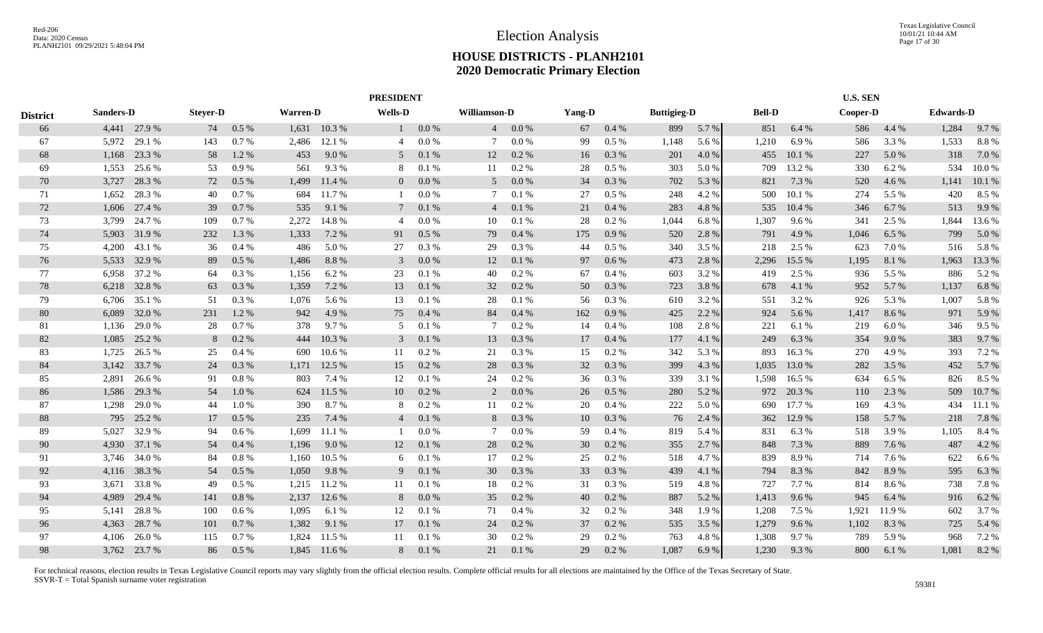|                 |              |                 |                 |                 |                 |                | <b>PRESIDENT</b> |               |                     |               |          |              |                    |                |               |               | <b>U.S. SEN</b> |               |                  |                |
|-----------------|--------------|-----------------|-----------------|-----------------|-----------------|----------------|------------------|---------------|---------------------|---------------|----------|--------------|--------------------|----------------|---------------|---------------|-----------------|---------------|------------------|----------------|
| <b>District</b> | Sanders-D    |                 | <b>Steyer-D</b> |                 | <b>Warren-D</b> |                | <b>Wells-D</b>   |               | <b>Williamson-D</b> |               | Yang-D   |              | <b>Buttigieg-D</b> |                | <b>Bell-D</b> |               | Cooper-D        |               | <b>Edwards-D</b> |                |
| 66              |              | 4,441 27.9 %    | 74              | 0.5 %           | 1,631           | 10.3%          |                  | 0.0 %         | $\overline{4}$      | 0.0 %         | 67       | 0.4%         | 899                | 5.7 %          | 851           | 6.4 %         | 586             | 4.4 %         | 1,284            | 9.7%           |
| 67              | 5.972        | 29.1 %          | 143             | 0.7%            | 2,486           | 12.1 %         | 4                | 0.0 %         |                     | 0.0 %         | 99       | 0.5 %        | 1,148              | 5.6 %          | 1,210         | 6.9%          | 586             | 3.3 %         | 1,533            | 8.8%           |
| 68              | 1,168        | 23.3 %          | 58              | 1.2 %           | 453             | 9.0%           | 5                | 0.1%          | 12                  | $0.2\%$       | 16       | 0.3 %        | 201                | 4.0 %          | 455           | 10.1 %        | 227             | 5.0%          | 318              | 7.0 %          |
| 69              | 1,553        | 25.6 %          | 53              | 0.9%            | 561             | 9.3%           | 8                | 0.1%          | 11                  | $0.2\%$       | 28       | $0.5\%$      | 303                | 5.0%           | 709           | 13.2 %        | 330             | 6.2%          | 534              | 10.0%          |
| 70              | 3,727        | 28.3%           | 72              | 0.5%            | 1,499           | 11.4 %         | $\overline{0}$   | 0.0 %         | 5                   | 0.0 %         | 34       | 0.3%         | 702                | 5.3 %          | 821           | 7.3 %         | 520             | 4.6 %         | 1,141            | 10.1 %         |
| 71              | 1.652        | 28.3%           | 40              | 0.7%            | 684             | 11.7 %         |                  | 0.0 %         |                     | 0.1%          | 27       | 0.5 %        | 248                | 4.2 %          | 500           | 10.1%         | 274             | 5.5 %         | 420              | 8.5 %          |
| 72              | 1,606        | 27.4 %          | 39              | 0.7 %           | 535             | 9.1 %          | $7\phantom{.0}$  | 0.1%          | $\overline{4}$      | 0.1%          | 21       | 0.4 %        | 283                | 4.8 %          | 535           | 10.4 %        | 346             | 6.7%          | 513              | 9.9%           |
| 73              | 3,799        | 24.7 %          | 109             | 0.7 %           | 2,272           | 14.8%          | $\overline{4}$   | 0.0 %         | 10                  | 0.1%          | 28       | $0.2~\%$     | 1,044              | 6.8%           | 1,307         | 9.6 %         | 341             | 2.5 %         | 1,844            | 13.6 %         |
| 74              | 5,903        | 31.9 %          | 232             | 1.3%            | 1,333           | 7.2 %          | 91               | $0.5\%$       | 79                  | 0.4%          | 175      | 0.9%         | 520                | 2.8%           | 791           | 4.9 %         | 1,046           | 6.5 %         | 799              | 5.0%           |
| 75              | 4,200        | 43.1 %          | 36              | 0.4%            | 486             | 5.0 %          | 27               | 0.3%          | 29                  | 0.3 %         | 44       | 0.5 %        | 340                | 3.5 %          | 218           | 2.5 %         | 623             | 7.0 %         | 516              | 5.8 %          |
| 76              | 5,533        | 32.9 %          | 89              | 0.5%            | 1,486           | 8.8%           | 3                | 0.0 %         | 12                  | 0.1 %         | 97       | 0.6 %        | 473                | 2.8%           | 2,296         | 15.5 %        | 1,195           | 8.1 %         | 1,963            | 13.3 %         |
| 77              | 6,958        | 37.2 %          | 64              | $0.3\%$         | 1,156           | 6.2 %          | 23               | 0.1%          | 40                  | 0.2%          | 67       | 0.4%         | 603                | 3.2 %          | 419           | 2.5 %         | 936             | 5.5 %         | 886              | 5.2 %          |
| 78              | 6,218        | 32.8%           | 63              | 0.3%            | 1,359           | 7.2 %          | 13               | 0.1%          | 32                  | 0.2 %         | 50       | 0.3%         | 723                | 3.8%           | 678           | 4.1 %         | 952             | 5.7 %         | 1,137            | 6.8%           |
| 79              | 6,706        | 35.1 %          | 51              | 0.3%            | 1,076           | 5.6 %          | 13               | 0.1%          | 28                  | 0.1%          | 56       | 0.3%         | 610                | 3.2 %          | 551           | 3.2 %         | 926             | 5.3 %         | 1,007            | 5.8 %          |
| 80              | 6,089        | 32.0%           | 231             | 1.2%            | 942             | 4.9%           | 75               | 0.4%          | 84                  | 0.4%          | 162      | 0.9%         | 425                | 2.2 %          | 924           | 5.6 %         | 1,417           | 8.6 %         | 971              | 5.9 %          |
| 81              | 1,136        | 29.0%           | 28              | 0.7%            | 378             | 9.7%           | 5                | 0.1%          |                     | 0.2 %         | 14       | $0.4~\%$     | 108                | 2.8%           | 221           | 6.1%          | 219             | $6.0~\%$      | 346              | 9.5 %          |
| 82              | 1,085        | 25.2 %          | 8               | 0.2 %           | 444             | 10.3 %         | 3                | 0.1%          | 13                  | 0.3 %         | 17       | 0.4%         | 177                | 4.1 %          | 249           | 6.3 %         | 354             | 9.0%          | 383              | 9.7%           |
| 83              | 1,725        | 26.5 %          | 25              | $0.4\%$         | 690             | 10.6%          | 11               | 0.2 %         | 21                  | 0.3%          | 15       | 0.2 %        | 342                | 5.3 %          | 893           | 16.3%         | 270             | 4.9%          | 393              | 7.2 %          |
| 84              | 3,142        | 33.7 %          | 24              | 0.3 %           | 1,171           | 12.5 %         | 15               | 0.2 %         | 28                  | 0.3 %         | 32       | 0.3 %        | 399                | 4.3 %          | 1,035         | 13.0 %        | 282             | 3.5 %         | 452              | 5.7 %          |
| 85              | 2,891        | 26.6 %          | 91              | 0.8%            | 803             | 7.4 %          | 12               | 0.1%          | 24                  | 0.2 %         | 36       | $0.3~\%$     | 339                | 3.1 %          | 1,598         | 16.5%         | 634             | 6.5 %         | 826              | 8.5 %          |
| 86              | 1,586        | 29.3 %          | 54              | 1.0%            | 624             | 11.5 %         | 10               | $0.2\%$       | 2                   | 0.0 %         | 26       | 0.5%         | 280                | 5.2 %          | 972           | 20.3 %        | 110             | 2.3 %         | 509              | 10.7%          |
| 87              | 1.298        | 29.0 %          | 44              | 1.0%            | 390             | 8.7%           | 8                | 0.2%          | 11                  | $0.2\%$       | 20       | 0.4%         | 222                | 5.0%           | 690           | 17.7 %        | 169             | 4.3 %         | 434              | 11.1 %         |
| 88<br>89        | 795<br>5.027 | 25.2 %<br>32.9% | 17<br>94        | 0.5%<br>$0.6\%$ | 235<br>1.699    | 7.4 %<br>11.1% | $\overline{4}$   | 0.1%<br>0.0 % | 8                   | 0.3%<br>0.0 % | 10<br>59 | 0.3%<br>0.4% | 76<br>819          | 2.4 %<br>5.4 % | 362<br>831    | 12.9%<br>6.3% | 158<br>518      | 5.7 %<br>3.9% | 218<br>1,105     | 7.8 %<br>8.4 % |
| 90              | 4,930        | 37.1 %          | 54              | 0.4 %           | 1,196           | 9.0 %          | 12               | 0.1%          | 28                  | 0.2 %         | 30       | 0.2 %        | 355                | 2.7%           | 848           | 7.3 %         | 889             | 7.6 %         | 487              | 4.2 %          |
| 91              | 3,746        | 34.0 %          | 84              | 0.8%            | 1,160           | 10.5 %         | 6                | 0.1%          | 17                  | 0.2 %         | 25       | 0.2 %        | 518                | 4.7 %          | 839           | 8.9%          | 714             | 7.6 %         | 622              | 6.6%           |
| 92              | 4,116        | 38.3 %          | 54              | 0.5%            | 1,050           | 9.8%           | 9                | 0.1%          | 30                  | 0.3 %         | 33       | 0.3 %        | 439                | 4.1 %          | 794           | 8.3 %         | 842             | 8.9%          | 595              | 6.3 %          |
| 93              | 3,671        | 33.8%           | 49              | 0.5%            | 1,215           | 11.2 %         | 11               | 0.1%          | 18                  | 0.2 %         | 31       | 0.3 %        | 519                | 4.8%           | 727           | 7.7 %         | 814             | 8.6 %         | 738              | 7.8%           |
| 94              | 4,989        | 29.4 %          | 141             | 0.8%            | 2,137           | 12.6 %         | 8                | 0.0 %         | 35                  | 0.2%          | 40       | 0.2 %        | 887                | 5.2 %          | 1,413         | 9.6 %         | 945             | 6.4 %         | 916              | 6.2 %          |
| 95              | 5,141        | 28.8%           | 100             | $0.6\%$         | 1,095           | 6.1 %          | 12               | 0.1%          | 71                  | 0.4%          | 32       | $0.2\%$      | 348                | 1.9 %          | 1,208         | 7.5 %         | 1,921           | 11.9%         | 602              | 3.7 %          |
| 96              | 4,363        | 28.7 %          | 101             | 0.7 %           | 1,382           | 9.1 %          | 17               | 0.1%          | 24                  | 0.2 %         | 37       | 0.2 %        | 535                | 3.5 %          | 1,279         | 9.6 %         | 1,102           | 8.3%          | 725              | 5.4 %          |
| 97              | 4,106        | 26.0%           | 115             | 0.7%            | 1,824           | 11.5 %         | 11               | 0.1%          | 30                  | 0.2 %         | 29       | 0.2 %        | 763                | 4.8%           | 1,308         | 9.7%          | 789             | 5.9%          | 968              | 7.2 %          |
| 98              |              | 3,762 23.7 %    | 86              | $0.5\%$         | 1.845           | 11.6 %         | 8                | 0.1%          | 21                  | 0.1%          | 29       | 0.2%         | 1,087              | 6.9%           | 1,230         | 9.3%          | 800             | 6.1 %         | 1,081            | 8.2 %          |
|                 |              |                 |                 |                 |                 |                |                  |               |                     |               |          |              |                    |                |               |               |                 |               |                  |                |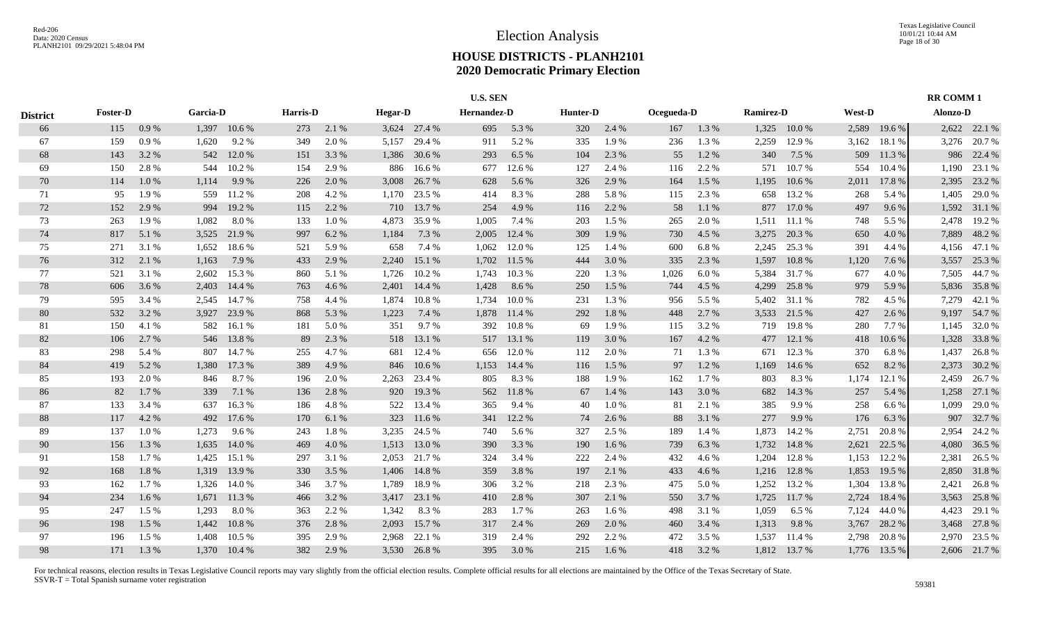|                 |                 |       |          |              |                 |       |                |              | <b>U.S. SEN</b> |        |          |           |            |       |                  |        |        |              | <b>RR COMM1</b> |              |
|-----------------|-----------------|-------|----------|--------------|-----------------|-------|----------------|--------------|-----------------|--------|----------|-----------|------------|-------|------------------|--------|--------|--------------|-----------------|--------------|
| <b>District</b> | <b>Foster-D</b> |       | Garcia-D |              | <b>Harris-D</b> |       | <b>Hegar-D</b> |              | Hernandez-D     |        | Hunter-D |           | Ocegueda-D |       | <b>Ramirez-D</b> |        | West-D |              | Alonzo-D        |              |
| 66              | 115             | 0.9%  |          | 1,397 10.6 % | 273             | 2.1 % |                | 3,624 27.4 % | 695             | 5.3 %  | 320      | 2.4 %     | 167        | 1.3%  | 1,325            | 10.0%  | 2,589  | 19.6%        |                 | 2,622 22.1 % |
| 67              | 159             | 0.9%  | 1,620    | 9.2%         | 349             | 2.0%  | 5,157          | 29.4 %       | 911             | 5.2 %  | 335      | 1.9%      | 236        | 1.3 % | 2,259            | 12.9%  | 3,162  | 18.1 %       | 3.276           | 20.7%        |
| 68              | 143             | 3.2 % | 542      | 12.0 %       | 151             | 3.3 % | 1,386          | 30.6 %       | 293             | 6.5 %  | 104      | 2.3 %     | 55         | 1.2%  | 340              | 7.5 %  | 509    | 11.3 %       | 986             | 22.4 %       |
| 69              | 150             | 2.8 % | 544      | 10.2 %       | 154             | 2.9 % | 886            | 16.6 %       | 677             | 12.6 % | 127      | 2.4 %     | 116        | 2.2 % | 571              | 10.7 % | 554    | 10.4 %       | 1,190           | 23.1 %       |
| 70              | 114             | 1.0%  | 1,114    | 9.9%         | 226             | 2.0 % | 3,008          | 26.7 %       | 628             | 5.6 %  | 326      | 2.9%      | 164        | 1.5 % | 1,195            | 10.6 % | 2,011  | 17.8 %       | 2,395           | 23.2 %       |
| 71              | 95              | 1.9%  | 559      | 11.2 %       | 208             | 4.2 % | 1,170          | 23.5 %       | 414             | 8.3%   | 288      | 5.8%      | 115        | 2.3 % | 658              | 13.2 % | 268    | 5.4 %        | 1,405           | 29.0 %       |
| 72              | 152             | 2.9%  | 994      | 19.2 %       | 115             | 2.2 % | 710            | 13.7 %       | 254             | 4.9%   | 116      | 2.2 %     | 58         | 1.1%  | 877              | 17.0 % | 497    | 9.6%         | 1,592           | 31.1 %       |
| 73              | 263             | 1.9%  | 1,082    | 8.0%         | 133             | 1.0%  | 4,873          | 35.9%        | 1,005           | 7.4 %  | 203      | 1.5 %     | 265        | 2.0%  | 1,511            | 11.1 % | 748    | 5.5 %        | 2,478           | 19.2 %       |
| 74              | 817             | 5.1 % | 3,525    | 21.9 %       | 997             | 6.2 % | 1,184          | 7.3 %        | 2,005           | 12.4 % | 309      | 1.9%      | 730        | 4.5 % | 3,275            | 20.3 % | 650    | 4.0 %        | 7,889           | 48.2%        |
| 75              | 271             | 3.1 % | 1,652    | 18.6 %       | 521             | 5.9%  | 658            | 7.4 %        | 1,062           | 12.0 % | 125      | 1.4 %     | 600        | 6.8%  | 2,245            | 25.3 % | 391    | 4.4 %        | 4,156           | 47.1 %       |
| 76              | 312             | 2.1 % | 1,163    | 7.9 %        | 433             | 2.9 % | 2,240          | 15.1 %       | 1,702           | 11.5 % | 444      | 3.0%      | 335        | 2.3 % | 1,597            | 10.8%  | 1,120  | 7.6 %        | 3,557           | 25.3 %       |
| 77              | 521             | 3.1 % | 2,602    | 15.3 %       | 860             | 5.1 % | 1,726          | 10.2%        | 1,743           | 10.3%  | 220      | 1.3 %     | 1,026      | 6.0%  | 5,384            | 31.7%  | 677    | 4.0%         | 7,505           | 44.7%        |
| 78              | 606             | 3.6 % | 2,403    | 14.4 %       | 763             | 4.6 % | 2,401          | 14.4 %       | 1,428           | 8.6%   | 250      | 1.5 %     | 744        | 4.5 % | 4,299            | 25.8%  | 979    | 5.9%         | 5,836           | 35.8%        |
| 79              | 595             | 3.4 % | 2,545    | 14.7 %       | 758             | 4.4 % | 1,874          | 10.8%        | 1,734           | 10.0%  | 231      | 1.3 %     | 956        | 5.5 % | 5,402            | 31.1 % | 782    | 4.5 %        | 7,279           | 42.1 %       |
| 80              | 532             | 3.2 % | 3,927    | 23.9%        | 868             | 5.3 % | 1,223          | 7.4 %        | 1,878           | 11.4 % | 292      | 1.8%      | 448        | 2.7 % | 3,533            | 21.5 % | 427    | 2.6 %        | 9,197           | 54.7%        |
| 81              | 150             | 4.1 % | 582      | 16.1 %       | 181             | 5.0%  | 351            | 9.7%         | 392             | 10.8%  | 69       | 1.9%      | 115        | 3.2 % | 719              | 19.8%  | 280    | 7.7 %        | 1,145           | 32.0%        |
| 82              | 106             | 2.7%  |          | 546 13.8 %   | 89              | 2.3 % |                | 518 13.1 %   | 517             | 13.1 % | 119      | 3.0%      | 167        | 4.2%  | 477              | 12.1 % | 418    | 10.6%        | 1,328           | 33.8%        |
| 83              | 298             | 5.4 % |          | 807 14.7 %   | 255             | 4.7%  | 681            | 12.4 %       | 656             | 12.0 % | 112      | 2.0 %     | 71         | 1.3%  | 671              | 12.3 % | 370    | 6.8%         | 1,437           | 26.8%        |
| 84              | 419             | 5.2 % | 1,380    | 17.3 %       | 389             | 4.9%  | 846            | 10.6%        | 1,153           | 14.4 % | 116      | 1.5 %     | 97         | 1.2 % | 1,169            | 14.6 % | 652    | 8.2 %        | 2,373           | 30.2 %       |
| 85              | 193             | 2.0 % | 846      | 8.7%         | 196             | 2.0 % | 2,263          | 23.4 %       | 805             | 8.3%   | 188      | 1.9%      | 162        | 1.7%  | 803              | 8.3%   | 1,174  | 12.1 %       | 2,459           | 26.7%        |
| 86              | 82              | 1.7 % | 339      | 7.1 %        | 136             | 2.8 % | 920            | 19.3%        | 562             | 11.8%  | 67       | 1.4 %     | 143        | 3.0%  | 682              | 14.3 % | 257    | 5.4 %        | 1,258           | 27.1 %       |
| 87              | 133             | 3.4 % | 637      | 16.3%        | 186             | 4.8%  |                | 522 13.4 %   | 365             | 9.4 %  | 40       | $1.0\ \%$ | 81         | 2.1 % | 385              | 9.9%   | 258    | 6.6%         | 1,099           | 29.0 %       |
| 88              | 117             | 4.2 % | 492      | 17.6 %       | 170             | 6.1%  | 323            | 11.6 %       | 341             | 12.2 % | 74       | 2.6 %     | 88         | 3.1 % | 277              | 9.9%   | 176    | 6.3%         | 907             | 32.7 %       |
| 89              | 137             | 1.0%  | 1,273    | 9.6%         | 243             | 1.8%  | 3,235          | 24.5 %       | 740             | 5.6 %  | 327      | 2.5 %     | 189        | 1.4 % | 1,873            | 14.2 % | 2,751  | 20.8%        | 2,954           | 24.2 %       |
| 90              | 156             | 1.3 % | 1,635    | 14.0 %       | 469             | 4.0 % | 1,513          | 13.0 %       | 390             | 3.3 %  | 190      | 1.6%      | 739        | 6.3%  | 1,732            | 14.8%  | 2,621  | 22.5 %       | 4,080           | 36.5 %       |
| 91              | 158             | 1.7 % | 1,425    | 15.1 %       | 297             | 3.1 % | 2,053          | 21.7 %       | 324             | 3.4 %  | 222      | 2.4 %     | 432        | 4.6 % | 1,204            | 12.8%  | 1,153  | 12.2 %       | 2,381           | 26.5 %       |
| 92              | 168             | 1.8 % | 1,319    | 13.9 %       | 330             | 3.5 % |                | 1,406 14.8 % | 359             | 3.8%   | 197      | 2.1 %     | 433        | 4.6 % | 1,216            | 12.8%  | 1,853  | 19.5 %       | 2,850           | 31.8%        |
| 93              | 162             | 1.7 % | 1,326    | 14.0 %       | 346             | 3.7%  | 1,789          | 18.9%        | 306             | 3.2%   | 218      | 2.3%      | 475        | 5.0%  | 1,252            | 13.2 % | 1,304  | 13.8%        | 2,421           | 26.8%        |
| 94              | 234             | 1.6 % | 1,671    | 11.3 %       | 466             | 3.2 % | 3,417          | 23.1 %       | 410             | 2.8%   | 307      | 2.1 %     | 550        | 3.7%  | 1,725            | 11.7%  | 2,724  | 18.4 %       | 3,563           | 25.8%        |
| 95              | 247             | 1.5 % | 1,293    | 8.0%         | 363             | 2.2 % | 1,342          | 8.3%         | 283             | 1.7%   | 263      | 1.6 %     | 498        | 3.1 % | 1,059            | 6.5 %  | 7,124  | 44.0 %       | 4,423           | 29.1 %       |
| 96              | 198             | 1.5 % | 1,442    | 10.8%        | 376             | 2.8 % | 2,093          | 15.7 %       | 317             | 2.4 %  | 269      | 2.0%      | 460        | 3.4 % | 1,313            | 9.8%   | 3,767  | 28.2 %       | 3,468           | 27.8%        |
| 97              | 196             | 1.5 % | 1,408    | 10.5 %       | 395             | 2.9%  | 2,968          | 22.1 %       | 319             | 2.4 %  | 292      | 2.2 %     | 472        | 3.5 % | 1,537            | 11.4 % | 2,798  | 20.8%        | 2.970           | 23.5 %       |
| 98              | 171             | 1.3 % | 1,370    | 10.4%        | 382             | 2.9 % |                | 3,530 26.8 % | 395             | 3.0 %  | 215      | 1.6 %     | 418        | 3.2 % | 1,812            | 13.7 % |        | 1,776 13.5 % |                 | 2,606 21.7%  |
|                 |                 |       |          |              |                 |       |                |              |                 |        |          |           |            |       |                  |        |        |              |                 |              |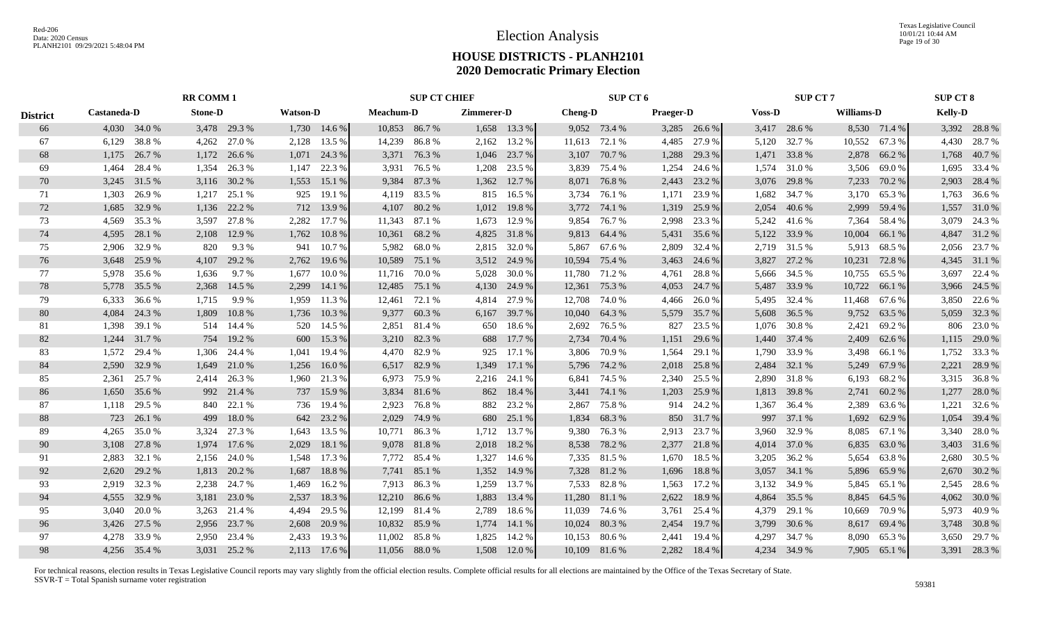|                 |                    |              | <b>RR COMM 1</b> |              |                 |              |           | <b>SUP CT CHIEF</b> |            |              |                | SUP CT 6      |                  |              |               | <b>SUP CT 7</b> |                   |              | <b>SUP CT 8</b> |              |
|-----------------|--------------------|--------------|------------------|--------------|-----------------|--------------|-----------|---------------------|------------|--------------|----------------|---------------|------------------|--------------|---------------|-----------------|-------------------|--------------|-----------------|--------------|
| <b>District</b> | <b>Castaneda-D</b> |              | <b>Stone-D</b>   |              | <b>Watson-D</b> |              | Meachum-D |                     | Zimmerer-D |              | <b>Cheng-D</b> |               | <b>Praeger-D</b> |              | <b>Voss-D</b> |                 | <b>Williams-D</b> |              | <b>Kelly-D</b>  |              |
| 66              |                    | 4,030 34.0 % |                  | 3,478 29.3 % |                 | 1,730 14.6 % |           | 10,853 86.7%        |            | 1,658 13.3 % |                | 9,052 73.4 %  |                  | 3,285 26.6 % |               | 3,417 28.6 %    |                   | 8,530 71.4 % |                 | 3,392 28.8 % |
| 67              | 6,129              | 38.8%        | 4,262            | 27.0 %       | 2,128           | 13.5 %       | 14,239    | 86.8%               | 2,162      | 13.2 %       | 11,613         | 72.1 %        | 4,485            | 27.9 %       | 5,120         | 32.7%           | 10,552            | 67.3 %       |                 | 4,430 28.7 % |
| 68              | 1,175              | 26.7 %       | 1,172            | 26.6 %       | 1,071           | 24.3 %       | 3,371     | 76.3 %              | 1,046      | 23.7 %       | 3,107          | 70.7%         | 1,288            | 29.3 %       | 1,471         | 33.8%           | 2,878             | 66.2%        | 1,768           | 40.7%        |
| 69              | 1.464              | 28.4 %       | 1,354            | 26.3 %       | 1.147           | 22.3 %       | 3,931     | 76.5 %              | 1,208      | 23.5 %       | 3,839          | 75.4 %        | 1,254            | 24.6 %       | 1,574         | 31.0%           | 3,506             | 69.0%        |                 | 1,695 33.4 % |
| 70              | 3,245              | 31.5 %       | 3,116            | 30.2 %       | 1,553           | 15.1 %       | 9,384     | 87.3%               | 1,362      | 12.7 %       | 8,071          | 76.8%         | 2,443            | 23.2 %       | 3,076         | 29.8%           | 7,233             | 70.2%        |                 | 2,903 28.4 % |
| 71              | 1,303              | 26.9%        | 1,217            | 25.1 %       | 925             | 19.1 %       | 4,119     | 83.5 %              | 815        | 16.5%        | 3,734          | 76.1 %        | 1,171            | 23.9 %       | 1,682         | 34.7%           | 3,170             | 65.3%        |                 | 1,763 36.6 % |
| 72              | 1,685              | 32.9%        | 1,136            | 22.2 %       | 712             | 13.9 %       | 4,107     | 80.2%               | 1,012      | 19.8%        | 3,772          | 74.1 %        | 1,319            | 25.9%        | 2,054         | 40.6%           | 2,999             | 59.4 %       |                 | 1,557 31.0 % |
| 73              | 4,569              | 35.3 %       | 3,597            | 27.8%        | 2,282           | 17.7 %       | 11,343    | 87.1 %              | 1,673      | 12.9 %       | 9,854          | 76.7%         | 2,998            | 23.3 %       | 5,242         | 41.6 %          | 7,364             | 58.4 %       |                 | 3,079 24.3 % |
| 74              | 4,595              | 28.1 %       | 2,108            | 12.9 %       | 1,762           | 10.8%        | 10,361    | 68.2 %              | 4,825      | 31.8%        |                | 9,813 64.4 %  | 5,431            | 35.6 %       | 5,122         | 33.9%           | 10,004            | 66.1 %       |                 | 4,847 31.2 % |
| 75              | 2,906              | 32.9%        | 820              | 9.3%         | 941             | 10.7%        | 5,982     | 68.0%               | 2,815      | 32.0 %       | 5,867          | 67.6 %        | 2,809            | 32.4 %       | 2,719         | 31.5 %          | 5,913             | 68.5 %       |                 | 2,056 23.7 % |
| 76              | 3,648              | 25.9%        | 4,107            | 29.2 %       | 2,762           | 19.6 %       | 10,589    | 75.1 %              |            | 3,512 24.9 % | 10,594         | 75.4 %        | 3,463            | 24.6 %       | 3,827         | 27.2 %          | 10,231            | 72.8%        |                 | 4,345 31.1 % |
| 77              | 5,978              | 35.6 %       | 1,636            | 9.7%         | 1.677           | 10.0%        | 11,716    | 70.0%               | 5,028      | 30.0%        | 11,780         | 71.2%         | 4,761            | 28.8%        | 5,666         | 34.5 %          | 10,755            | 65.5 %       | 3,697           | 22.4 %       |
| 78              | 5,778              | 35.5 %       | 2,368            | 14.5 %       | 2,299           | 14.1 %       | 12,485    | 75.1 %              | 4,130      | 24.9 %       | 12,361         | 75.3 %        | 4,053            | 24.7 %       | 5,487         | 33.9%           | 10,722            | 66.1%        |                 | 3,966 24.5 % |
| 79              | 6,333              | 36.6 %       | 1,715            | 9.9%         | 1,959           | 11.3 %       | 12,461    | 72.1 %              | 4,814      | 27.9 %       | 12,708         | 74.0%         | 4,466            | 26.0%        | 5,495         | 32.4 %          | 11,468            | 67.6 %       |                 | 3,850 22.6 % |
| 80              | 4,084              | 24.3 %       | 1,809            | 10.8%        | 1,736           | 10.3%        | 9,377     | 60.3%               | 6,167      | 39.7 %       | 10,040         | 64.3 %        | 5,579            | 35.7 %       | 5,608         | 36.5 %          | 9,752             | 63.5 %       |                 | 5,059 32.3 % |
| 81              | 1,398              | 39.1 %       | 514              | 14.4 %       | 520             | 14.5 %       | 2,851     | 81.4%               | 650        | 18.6 %       | 2,692          | 76.5 %        | 827              | 23.5 %       | 1,076         | 30.8%           | 2,421             | 69.2%        |                 | 806 23.0 %   |
| 82              | 1,244              | 31.7 %       | 754              | 19.2 %       | 600             | 15.3 %       |           | 3,210 82.3 %        | 688        | 17.7 %       | 2,734          | 70.4 %        | 1,151            | 29.6 %       |               | 1,440 37.4 %    | 2,409             | 62.6 %       |                 | 1,115 29.0 % |
| 83              | 1.572              | 29.4 %       |                  | 1,306 24.4 % | 1.041           | 19.4 %       |           | 4,470 82.9 %        | 925        | 17.1 %       |                | 3,806 70.9 %  | 1,564            | 29.1 %       | 1.790         | 33.9%           | 3,498             | 66.1%        |                 | 1,752 33.3 % |
| 84              | 2,590              | 32.9%        | 1,649            | 21.0 %       | 1,256           | 16.0%        | 6,517     | 82.9%               | 1,349      | 17.1 %       | 5,796          | 74.2 %        | 2,018            | 25.8%        | 2,484         | 32.1 %          | 5,249             | 67.9%        | 2,221           | 28.9%        |
| 85              | 2,361              | 25.7 %       | 2,414            | 26.3 %       | 1,960           | 21.3 %       | 6,973     | 75.9%               | 2,216      | 24.1 %       | 6,841          | 74.5 %        | 2,340            | 25.5 %       | 2,890         | 31.8%           | 6,193             | 68.2%        |                 | 3,315 36.8%  |
| 86              | 1,650              | 35.6 %       |                  | 992 21.4 %   | 737             | 15.9 %       | 3,834     | 81.6%               | 862        | 18.4 %       | 3,441          | 74.1 %        | 1,203            | 25.9 %       | 1,813         | 39.8%           | 2,741             | 60.2%        | 1,277           | 28.0%        |
| 87              | 1,118              | 29.5 %       | 840              | 22.1 %       | 736             | 19.4 %       | 2,923     | 76.8%               | 882        | 23.2 %       | 2,867          | 75.8%         | 914              | 24.2 %       | 1,367         | 36.4 %          | 2,389             | 63.6 %       | 1,221           | 32.6 %       |
| 88              | 723                | 26.1 %       | 499              | 18.0%        | 642             | 23.2 %       | 2,029     | 74.9 %              | 680        | 25.1 %       | 1,834          | 68.3%         | 850              | 31.7 %       | 997           | 37.1 %          | 1,692             | 62.9%        | 1,054           | 39.4 %       |
| 89              | 4,265              | 35.0%        | 3,324            | 27.3 %       | 1,643           | 13.5 %       | 10,771    | 86.3%               | 1,712      | 13.7 %       | 9,380          | 76.3%         | 2,913            | 23.7 %       | 3,960         | 32.9%           | 8,085             | 67.1 %       |                 | 3,340 28.0 % |
| 90              | 3,108              | 27.8 %       | 1,974            | 17.6 %       | 2,029           | 18.1 %       | 9,078     | 81.8%               | 2,018      | 18.2 %       | 8,538          | 78.2 %        | 2,377            | 21.8%        | 4,014         | 37.0 %          | 6,835             | 63.0%        |                 | 3,403 31.6 % |
| 91              | 2,883              | 32.1 %       | 2.156            | 24.0 %       | 1.548           | 17.3 %       | 7,772     | 85.4 %              | 1,327      | 14.6 %       |                | 7,335 81.5 %  | 1.670            | 18.5 %       | 3,205         | 36.2 %          | 5,654             | 63.8%        |                 | 2,680 30.5 % |
| 92              | 2,620              | 29.2 %       | 1,813            | 20.2 %       | 1,687           | 18.8%        | 7,741     | 85.1 %              | 1,352      | 14.9 %       |                | 7,328 81.2 %  | 1,696            | 18.8%        | 3,057         | 34.1 %          | 5,896             | 65.9%        |                 | 2,670 30.2 % |
| 93              | 2,919              | 32.3 %       | 2,238            | 24.7 %       | 1,469           | 16.2%        | 7,913     | 86.3%               | 1,259      | 13.7 %       | 7,533          | 82.8%         | 1,563            | 17.2 %       | 3,132         | 34.9%           | 5,845             | 65.1 %       | 2,545           | 28.6 %       |
| 94              | 4,555              | 32.9 %       | 3,181            | 23.0 %       | 2,537           | 18.3%        | 12,210    | 86.6%               | 1,883      | 13.4 %       | 11,280         | 81.1 %        | 2,622            | 18.9%        | 4,864         | 35.5 %          | 8,845             | 64.5 %       |                 | 4,062 30.0 % |
| 95              | 3,040              | 20.0%        | 3,263            | 21.4 %       | 4,494           | 29.5 %       | 12,199    | 81.4 %              | 2,789      | 18.6 %       | 11,039         | 74.6 %        | 3,761            | 25.4 %       | 4,379         | 29.1 %          | 10,669            | 70.9%        |                 | 5,973 40.9 % |
| 96              | 3,426              | 27.5 %       | 2,956            | 23.7 %       | 2,608           | 20.9%        | 10,832    | 85.9%               | 1,774      | 14.1 %       | 10,024         | 80.3%         | 2,454            | 19.7 %       | 3,799         | 30.6%           | 8,617             | 69.4 %       |                 | 3,748 30.8 % |
| 97              | 4,278              | 33.9%        | 2,950            | 23.4 %       | 2,433           | 19.3 %       | 11,002    | 85.8%               | 1,825      | 14.2 %       | 10,153         | 80.6%         | 2,441            | 19.4 %       | 4,297         | 34.7 %          | 8,090             | 65.3%        |                 | 3,650 29.7 % |
| 98              |                    | 4,256 35.4 % |                  | 3,031 25.2 % | 2,113           | 17.6 %       |           | 11,056 88.0 %       | 1,508      | 12.0 %       |                | 10,109 81.6 % | 2,282            | 18.4 %       |               | 4,234 34.9 %    |                   | 7,905 65.1 % |                 | 3,391 28.3 % |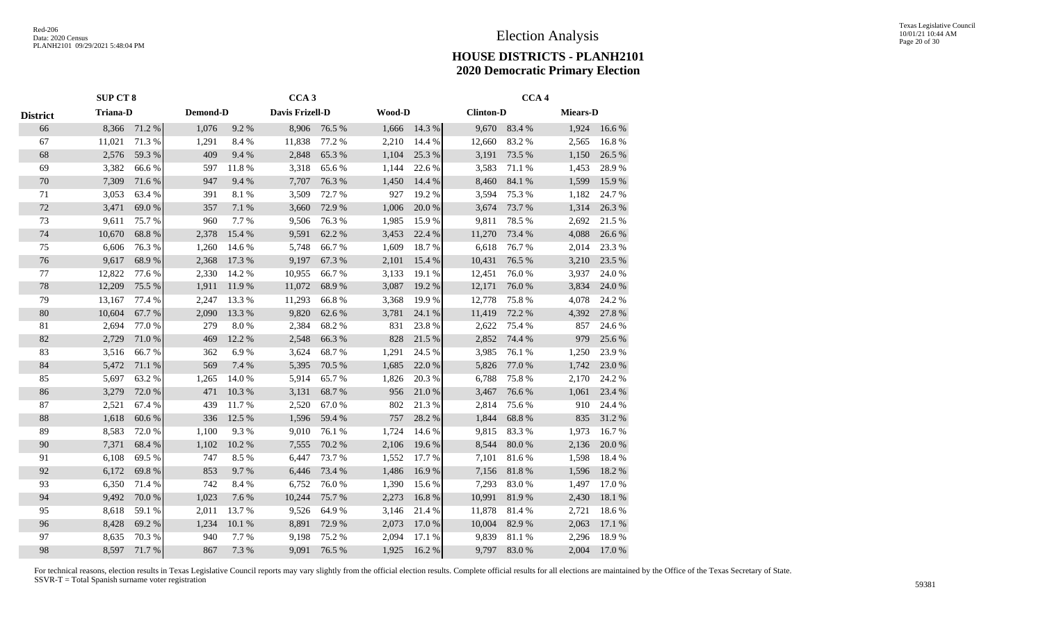|                 | SUP CT 8        |        |          |        | CCA <sub>3</sub> |        |        |        |                  | CCA <sub>4</sub> |                 |        |
|-----------------|-----------------|--------|----------|--------|------------------|--------|--------|--------|------------------|------------------|-----------------|--------|
| <b>District</b> | <b>Triana-D</b> |        | Demond-D |        | Davis Frizell-D  |        | Wood-D |        | <b>Clinton-D</b> |                  | <b>Miears-D</b> |        |
| 66              | 8,366           | 71.2 % | 1,076    | 9.2%   | 8,906            | 76.5 % | 1,666  | 14.3 % | 9,670            | 83.4%            | 1,924           | 16.6 % |
| 67              | 11,021          | 71.3%  | 1,291    | 8.4%   | 11,838           | 77.2 % | 2,210  | 14.4 % | 12,660           | 83.2%            | 2,565           | 16.8%  |
| 68              | 2,576           | 59.3%  | 409      | 9.4%   | 2,848            | 65.3%  | 1,104  | 25.3 % | 3,191            | 73.5 %           | 1,150           | 26.5 % |
| 69              | 3,382           | 66.6%  | 597      | 11.8%  | 3,318            | 65.6%  | 1,144  | 22.6%  | 3,583            | 71.1 %           | 1,453           | 28.9%  |
| 70              | 7,309           | 71.6%  | 947      | 9.4%   | 7,707            | 76.3%  | 1,450  | 14.4 % | 8,460            | 84.1 %           | 1,599           | 15.9%  |
| 71              | 3,053           | 63.4 % | 391      | 8.1%   | 3,509            | 72.7 % | 927    | 19.2 % | 3,594            | 75.3 %           | 1,182           | 24.7 % |
| 72              | 3,471           | 69.0%  | 357      | 7.1 %  | 3,660            | 72.9 % | 1,006  | 20.0%  | 3,674            | 73.7 %           | 1,314           | 26.3 % |
| 73              | 9,611           | 75.7%  | 960      | 7.7%   | 9,506            | 76.3%  | 1,985  | 15.9%  | 9,811            | 78.5 %           | 2,692           | 21.5 % |
| 74              | 10,670          | 68.8%  | 2,378    | 15.4 % | 9,591            | 62.2%  | 3,453  | 22.4 % | 11,270           | 73.4 %           | 4,088           | 26.6 % |
| 75              | 6,606           | 76.3%  | 1,260    | 14.6 % | 5,748            | 66.7%  | 1,609  | 18.7%  | 6,618            | 76.7%            | 2,014           | 23.3 % |
| 76              | 9,617           | 68.9%  | 2,368    | 17.3 % | 9,197            | 67.3 % | 2,101  | 15.4 % | 10,431           | 76.5 %           | 3,210           | 23.5 % |
| 77              | 12,822          | 77.6 % | 2,330    | 14.2 % | 10,955           | 66.7%  | 3,133  | 19.1 % | 12,451           | 76.0%            | 3,937           | 24.0%  |
| 78              | 12,209          | 75.5 % | 1,911    | 11.9%  | 11,072           | 68.9%  | 3,087  | 19.2 % | 12,171           | 76.0%            | 3,834           | 24.0 % |
| 79              | 13,167          | 77.4 % | 2,247    | 13.3 % | 11,293           | 66.8%  | 3,368  | 19.9%  | 12,778           | 75.8%            | 4,078           | 24.2 % |
| 80              | 10,604          | 67.7%  | 2,090    | 13.3 % | 9,820            | 62.6 % | 3,781  | 24.1 % | 11,419           | 72.2 %           | 4,392           | 27.8 % |
| 81              | 2,694           | 77.0 % | 279      | 8.0%   | 2,384            | 68.2%  | 831    | 23.8%  | 2,622            | 75.4 %           | 857             | 24.6 % |
| 82              | 2,729           | 71.0%  | 469      | 12.2 % | 2,548            | 66.3%  | 828    | 21.5 % | 2,852            | 74.4 %           | 979             | 25.6 % |
| 83              | 3,516           | 66.7%  | 362      | 6.9%   | 3,624            | 68.7%  | 1,291  | 24.5 % | 3,985            | 76.1 %           | 1,250           | 23.9%  |
| 84              | 5,472           | 71.1 % | 569      | 7.4 %  | 5,395            | 70.5 % | 1,685  | 22.0%  | 5,826            | 77.0%            | 1,742           | 23.0%  |
| 85              | 5,697           | 63.2%  | 1,265    | 14.0%  | 5,914            | 65.7%  | 1,826  | 20.3 % | 6,788            | 75.8%            | 2,170           | 24.2 % |
| 86              | 3,279           | 72.0 % | 471      | 10.3%  | 3,131            | 68.7%  | 956    | 21.0%  | 3,467            | 76.6%            | 1,061           | 23.4 % |
| 87              | 2,521           | 67.4 % | 439      | 11.7 % | 2,520            | 67.0%  | 802    | 21.3%  | 2,814            | 75.6%            | 910             | 24.4 % |
| 88              | 1,618           | 60.6%  | 336      | 12.5 % | 1,596            | 59.4 % | 757    | 28.2 % | 1,844            | 68.8%            | 835             | 31.2 % |
| 89              | 8,583           | 72.0%  | 1,100    | 9.3%   | 9,010            | 76.1 % | 1,724  | 14.6 % | 9,815            | 83.3%            | 1,973           | 16.7%  |
| 90              | 7,371           | 68.4%  | 1,102    | 10.2%  | 7,555            | 70.2 % | 2,106  | 19.6 % | 8,544            | 80.0%            | 2,136           | 20.0 % |
| 91              | 6,108           | 69.5%  | 747      | 8.5%   | 6,447            | 73.7%  | 1,552  | 17.7 % | 7,101            | 81.6%            | 1,598           | 18.4 % |
| 92              | 6,172           | 69.8%  | 853      | 9.7%   | 6,446            | 73.4 % | 1,486  | 16.9%  | 7,156            | $81.8\ \%$       | 1,596           | 18.2%  |
| 93              | 6,350           | 71.4 % | 742      | 8.4%   | 6,752            | 76.0%  | 1,390  | 15.6 % | 7,293            | 83.0%            | 1,497           | 17.0%  |
| 94              | 9,492           | 70.0%  | 1,023    | 7.6 %  | 10,244           | 75.7%  | 2,273  | 16.8%  | 10,991           | 81.9%            | 2,430           | 18.1 % |
| 95              | 8,618           | 59.1 % | 2,011    | 13.7 % | 9,526            | 64.9%  | 3,146  | 21.4 % | 11,878           | 81.4%            | 2,721           | 18.6%  |
| 96              | 8,428           | 69.2%  | 1,234    | 10.1 % | 8,891            | 72.9%  | 2,073  | 17.0 % | 10,004           | 82.9%            | 2,063           | 17.1 % |
| 97              | 8,635           | 70.3%  | 940      | 7.7%   | 9,198            | 75.2 % | 2,094  | 17.1 % | 9,839            | 81.1%            | 2,296           | 18.9%  |
| 98              | 8,597           | 71.7%  | 867      | 7.3 %  | 9,091            | 76.5 % | 1,925  | 16.2%  | 9,797            | 83.0%            | 2,004           | 17.0%  |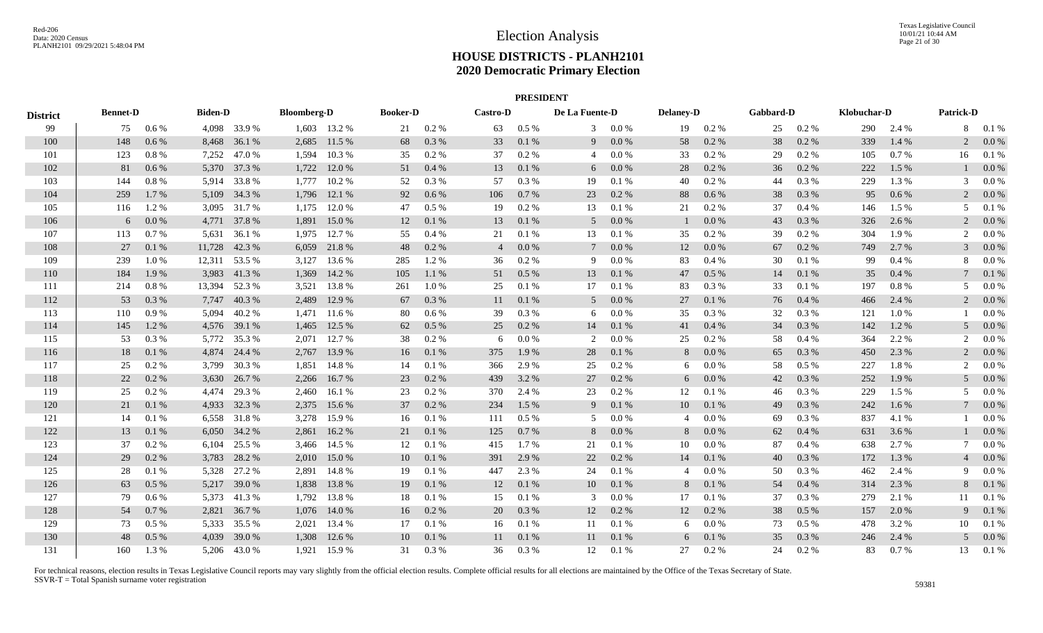|                 |                 |          |                |               |                    |              |                 |           |                 | <b>PRESIDENT</b> |                |           |                  |          |           |           |             |         |                  |           |
|-----------------|-----------------|----------|----------------|---------------|--------------------|--------------|-----------------|-----------|-----------------|------------------|----------------|-----------|------------------|----------|-----------|-----------|-------------|---------|------------------|-----------|
| <b>District</b> | <b>Bennet-D</b> |          | <b>Biden-D</b> |               | <b>Bloomberg-D</b> |              | <b>Booker-D</b> |           | <b>Castro-D</b> |                  | De La Fuente-D |           | <b>Delaney-D</b> |          | Gabbard-D |           | Klobuchar-D |         | <b>Patrick-D</b> |           |
| 99              | 75              | $0.6\%$  |                | 4,098 33.9 %  |                    | 1,603 13.2 % | 21              | 0.2 %     | 63              | $0.5\%$          | 3              | $0.0\%$   | 19               | $0.2 \%$ | 25        | $0.2 \%$  | 290         | 2.4 %   |                  | 8 0.1 %   |
| 100             | 148             | $0.6\%$  |                | 8,468 36.1 %  | 2,685              | 11.5 %       | 68              | 0.3 %     | 33              | 0.1 %            | 9              | $0.0\ \%$ | 58               | 0.2 %    | 38        | $0.2~\%$  | 339         | 1.4 %   |                  | 0.0 %     |
| 101             | 123             | $0.8 \%$ | 7,252          | 47.0%         | 1,594              | 10.3%        | 35              | 0.2 %     | 37              | 0.2 %            | $\overline{4}$ | $0.0\ \%$ | 33               | 0.2 %    | 29        | 0.2 %     | 105         | 0.7%    | 16               | 0.1%      |
| 102             | 81              | 0.6 %    |                | 5,370 37.3 %  | 1,722              | 12.0 %       | 51              | $0.4~\%$  | 13              | 0.1%             | 6              | $0.0\ \%$ | 28               | 0.2 %    | 36        | 0.2 %     | 222         | 1.5 %   |                  | 0.0 %     |
| 103             | 144             | $0.8 \%$ | 5,914          | 33.8%         | 1,777              | 10.2 %       | 52              | $0.3~\%$  | 57              | 0.3 %            | 19             | $0.1\ \%$ | 40               | 0.2 %    | 44        | $0.3~\%$  | 229         | 1.3%    |                  | 0.0 %     |
| 104             | 259             | 1.7 %    | 5,109          | 34.3 %        | 1,796              | 12.1 %       | 92              | $0.6\,\%$ | 106             | 0.7 %            | 23             | 0.2 %     | 88               | 0.6 %    | 38        | 0.3%      | 95          | $0.6\%$ |                  | 0.0 %     |
| 105             | 116             | 1.2%     | 3,095          | 31.7 %        | 1,175              | 12.0 %       | 47              | $0.5\ \%$ | 19              | $0.2 \%$         | 13             | $0.1~\%$  | 21               | 0.2 %    | 37        | 0.4%      | 146         | 1.5 %   | 5                | 0.1%      |
| 106             | 6               | $0.0\%$  |                | 4,771 37.8 %  | 1,891              | 15.0 %       | 12              | 0.1 %     | 13              | 0.1%             | 5              | 0.0 %     |                  | 0.0 %    | 43        | 0.3 %     | 326         | 2.6 %   |                  | $0.0\%$   |
| 107             | 113             | 0.7%     |                | 5,631 36.1 %  | 1,975              | 12.7 %       | 55              | 0.4%      | 21              | 0.1%             | 13             | 0.1%      | 35               | $0.2\%$  | 39        | $0.2 \%$  | 304         | 1.9%    | 2                | $0.0\%$   |
| 108             | 27              | 0.1%     |                | 11,728 42.3 % | 6,059              | 21.8%        | 48              | 0.2 %     | $\overline{4}$  | $0.0\%$          | $\tau$         | $0.0\ \%$ | 12               | 0.0 %    | 67        | 0.2 %     | 749         | 2.7 %   |                  | 0.0 %     |
| 109             | 239             | 1.0%     |                | 12,311 53.5 % | 3,127              | 13.6 %       | 285             | 1.2%      | 36              | 0.2 %            | 9              | $0.0\ \%$ | 83               | 0.4%     | 30        | 0.1 %     | 99          | 0.4%    |                  | 0.0 %     |
| 110             | 184             | 1.9%     | 3,983          | 41.3%         | 1,369              | 14.2 %       | 105             | $1.1\ \%$ | 51              | $0.5\ \%$        | 13             | $0.1\ \%$ | 47               | 0.5 %    | 14        | $0.1\ \%$ | 35          | 0.4%    |                  | 0.1 %     |
| 111             | 214             | 0.8%     | 13,394         | 52.3 %        | 3,521              | 13.8%        | 261             | $1.0\%$   | 25              | 0.1%             | 17             | 0.1%      | 83               | $0.3\%$  | 33        | 0.1%      | 197         | 0.8%    | 5                | 0.0 %     |
| 112             | 53              | 0.3 %    |                | 7,747 40.3 %  | 2,489              | 12.9 %       | 67              | 0.3 %     | 11              | 0.1%             | 5              | $0.0\ \%$ | 27               | 0.1%     | 76        | 0.4 %     | 466         | 2.4 %   | 2                | 0.0 %     |
| 113             | 110             | 0.9%     | 5,094          | 40.2 %        | 1,471              | 11.6 %       | 80              | 0.6 %     | 39              | 0.3 %            | 6              | 0.0 %     | 35               | 0.3 %    | 32        | 0.3 %     | 121         | 1.0%    |                  | 0.0 %     |
| 114             | 145             | 1.2%     |                | 4,576 39.1 %  | 1,465              | 12.5 %       | 62              | $0.5\ \%$ | 25              | 0.2 %            | 14             | 0.1 %     | 41               | 0.4%     | 34        | 0.3%      | 142         | 1.2%    | 5                | $0.0\%$   |
| 115             | 53              | 0.3%     |                | 5,772 35.3 %  | 2,071              | 12.7 %       | 38              | 0.2 %     | 6               | $0.0\%$          | 2              | 0.0 %     | 25               | $0.2\%$  | 58        | 0.4%      | 364         | 2.2 %   | 2                | 0.0 %     |
| 116             | 18              | 0.1%     |                | 4,874 24.4 %  | 2,767              | 13.9%        | 16              | 0.1 %     | 375             | 1.9 %            | 28             | $0.1\ \%$ | 8                | 0.0 %    | 65        | 0.3%      | 450         | 2.3 %   | 2                | $0.0\%$   |
| 117             | 25              | 0.2 %    |                | 3,799 30.3 %  | 1,851              | 14.8%        | 14              | 0.1%      | 366             | 2.9 %            | 25             | $0.2~\%$  | 6                | $0.0\%$  | 58        | $0.5~\%$  | 227         | 1.8%    |                  | 0.0 %     |
| 118             | 22              | $0.2~\%$ |                | 3,630 26.7 %  | 2,266              | 16.7%        | 23              | 0.2 %     | 439             | 3.2%             | 27             | $0.2~\%$  | 6                | $0.0\%$  | 42        | 0.3%      | 252         | 1.9%    | 5                | 0.0 %     |
| 119             | 25              | 0.2 %    | 4,474          | 29.3 %        | 2,460              | 16.1 %       | 23              | 0.2%      | 370             | 2.4 %            | 23             | $0.2~\%$  | 12               | 0.1%     | 46        | 0.3 %     | 229         | 1.5 %   |                  | 0.0 %     |
| 120             | 21              | 0.1 %    | 4,933          | 32.3 %        |                    | 2,375 15.6 % | 37              | 0.2%      | 234             | 1.5 %            | 9              | 0.1%      | 10               | 0.1 %    | 49        | 0.3%      | 242         | 1.6 %   |                  | 0.0 %     |
| 121             | 14              | 0.1%     | 6,558          | 31.8%         | 3,278              | 15.9 %       | 16              | 0.1%      | 111             | $0.5~\%$         | 5              | $0.0\ \%$ | $\overline{4}$   | 0.0 %    | 69        | 0.3 %     | 837         | 4.1 %   |                  | 0.0 %     |
| 122             | 13              | 0.1%     | 6,050          | 34.2 %        | 2,861              | 16.2%        | 21              | $0.1\ \%$ | 125             | 0.7 %            | 8              | $0.0\ \%$ | 8                | 0.0 %    | 62        | $0.4~\%$  | 631         | 3.6 %   |                  | 0.0 %     |
| 123             | 37              | $0.2\%$  | 6,104          | 25.5 %        | 3,466              | 14.5 %       | 12              | 0.1%      | 415             | 1.7 %            | 21             | 0.1 %     | 10               | 0.0 %    | 87        | 0.4%      | 638         | 2.7%    |                  | $0.0\,\%$ |
| 124             | 29              | 0.2%     | 3,783          | 28.2 %        | 2,010              | 15.0 %       | 10              | 0.1 %     | 391             | 2.9%             | 22             | $0.2~\%$  | 14               | 0.1%     | 40        | 0.3%      | 172         | 1.3%    |                  | $0.0\%$   |
| 125             | 28              | 0.1%     | 5,328          | 27.2 %        | 2,891              | 14.8%        | 19              | 0.1%      | 447             | 2.3 %            | 24             | $0.1~\%$  | 4                | 0.0 %    | 50        | 0.3 %     | 462         | 2.4 %   | 9                | 0.0 %     |
| 126             | 63              | 0.5%     |                | 5,217 39.0 %  | 1,838              | 13.8 %       | 19              | 0.1%      | 12              | 0.1 %            | 10             | $0.1\ \%$ | 8                | 0.1 %    | 54        | 0.4%      | 314         | 2.3 %   | 8                | 0.1 %     |
| 127             | 79              | 0.6 %    |                | 5,373 41.3 %  | 1,792              | 13.8%        | 18              | 0.1%      | 15              | 0.1%             | 3              | $0.0\ \%$ | 17               | 0.1%     | 37        | 0.3%      | 279         | 2.1 %   | 11               | 0.1%      |
| 128             | 54              | 0.7%     |                | 2,821 36.7 %  | 1,076              | 14.0 %       | 16              | 0.2 %     | 20              | 0.3%             | 12             | 0.2 %     | 12               | $0.2\%$  | 38        | $0.5\%$   | 157         | 2.0 %   | 9                | 0.1%      |
| 129             | 73              | $0.5\%$  |                | 5,333 35.5 %  | 2,021              | 13.4 %       | 17              | 0.1%      | 16              | 0.1%             | 11             | 0.1 %     | 6                | $0.0\%$  | 73        | $0.5\%$   | 478         | 3.2 %   | 10               | 0.1%      |
| 130             | 48              | 0.5%     | 4,039          | 39.0%         | 1,308              | 12.6 %       | 10              | 0.1 %     | 11              | 0.1 %            | 11             | $0.1\ \%$ | 6                | 0.1%     | 35        | $0.3~\%$  | 246         | 2.4 %   |                  | 0.0 %     |
| 131             | 160             | 1.3 %    |                | 5,206 43.0 %  | 1,921              | 15.9%        | 31              | 0.3%      | 36              | 0.3%             | 12             | 0.1%      | 27               | $0.2\%$  | 24        | 0.2 %     | 83          | $0.7\%$ | 13               | 0.1%      |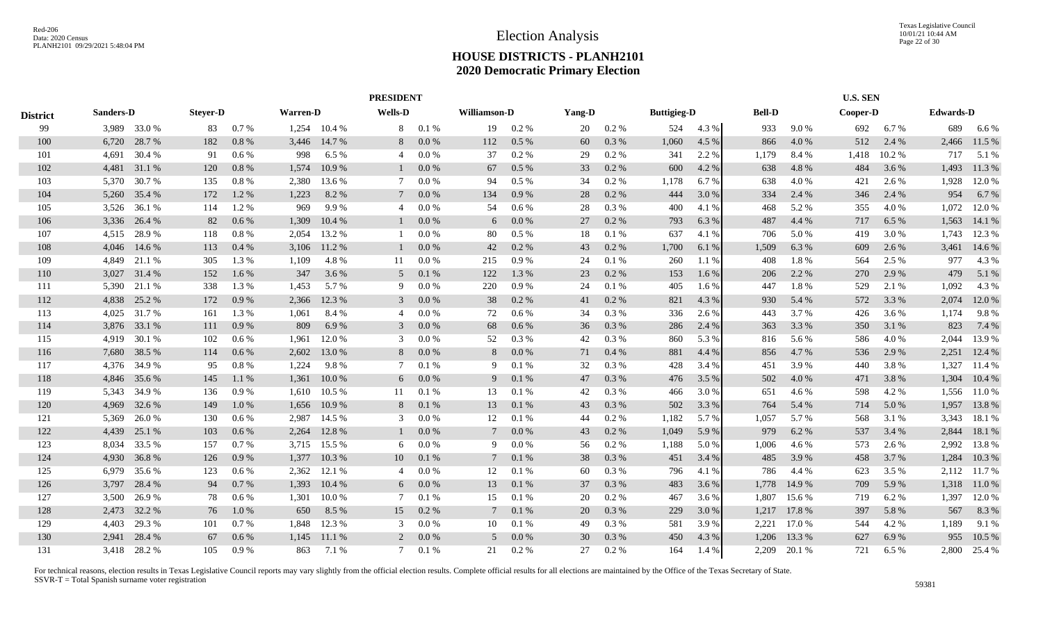|                 |                  |        |                 |         |                 |        | <b>PRESIDENT</b> |       |                     |         |        |          |                    |       |               |        | <b>U.S. SEN</b> |       |                  |              |
|-----------------|------------------|--------|-----------------|---------|-----------------|--------|------------------|-------|---------------------|---------|--------|----------|--------------------|-------|---------------|--------|-----------------|-------|------------------|--------------|
| <b>District</b> | <b>Sanders-D</b> |        | <b>Stever-D</b> |         | <b>Warren-D</b> |        | <b>Wells-D</b>   |       | <b>Williamson-D</b> |         | Yang-D |          | <b>Buttigieg-D</b> |       | <b>Bell-D</b> |        | Cooper-D        |       | <b>Edwards-D</b> |              |
| 99              | 3,989            | 33.0 % | 83              | 0.7%    | 1,254           | 10.4 % | 8                | 0.1 % | 19                  | 0.2 %   | 20     | 0.2 %    | 524                | 4.3 % | 933           | 9.0%   | 692             | 6.7%  | 689              | 6.6 %        |
| 100             | 6,720            | 28.7 % | 182             | 0.8%    | 3,446           | 14.7 % | 8                | 0.0 % | 112                 | 0.5%    | 60     | 0.3%     | 1,060              | 4.5 % | 866           | 4.0%   | 512             | 2.4 % | 2,466            | 11.5 %       |
| 101             | 4,691            | 30.4 % | 91              | 0.6 %   | 998             | 6.5 %  | 4                | 0.0 % | 37                  | 0.2%    | 29     | 0.2%     | 341                | 2.2 % | 1,179         | 8.4%   | 1,418           | 10.2% | 717              | 5.1 %        |
| 102             | 4,481            | 31.1 % | 120             | 0.8%    | 1,574           | 10.9 % |                  | 0.0 % | 67                  | 0.5%    | 33     | 0.2 %    | 600                | 4.2 % | 638           | 4.8 %  | 484             | 3.6 % | 1,493            | 11.3 %       |
| 103             | 5,370            | 30.7 % | 135             | 0.8%    | 2,380           | 13.6 % | 7                | 0.0 % | 94                  | 0.5%    | 34     | 0.2 %    | 1,178              | 6.7 % | 638           | 4.0%   | 421             | 2.6 % | 1,928            | 12.0 %       |
| 104             | 5,260            | 35.4 % | 172             | 1.2%    | 1,223           | 8.2 %  | $7\phantom{0}$   | 0.0 % | 134                 | 0.9%    | 28     | 0.2%     | 444                | 3.0 % | 334           | 2.4 %  | 346             | 2.4 % | 954              | 6.7%         |
| 105             | 3,526            | 36.1 % | 114             | 1.2%    | 969             | 9.9%   | 4                | 0.0 % | 54                  | 0.6 %   | 28     | $0.3~\%$ | 400                | 4.1 % | 468           | 5.2%   | 355             | 4.0 % | 1,072            | 12.0 %       |
| 106             | 3,336            | 26.4 % | 82              | 0.6 %   | 1,309           | 10.4 % |                  | 0.0 % | 6                   | 0.0 %   | 27     | 0.2 %    | 793                | 6.3 % | 487           | 4.4 %  | 717             | 6.5 % | 1,563            | 14.1 %       |
| 107             | 4,515            | 28.9%  | 118             | 0.8%    | 2,054           | 13.2 % |                  | 0.0 % | 80                  | $0.5\%$ | 18     | 0.1%     | 637                | 4.1 % | 706           | 5.0 %  | 419             | 3.0 % | 1,743            | 12.3 %       |
| 108             | 4,046            | 14.6 % | 113             | 0.4%    | 3,106           | 11.2 % |                  | 0.0 % | 42                  | 0.2%    | 43     | 0.2 %    | 1,700              | 6.1 % | 1,509         | 6.3%   | 609             | 2.6 % | 3,461            | 14.6 %       |
| 109             | 4,849            | 21.1 % | 305             | 1.3 %   | 1,109           | 4.8%   | 11               | 0.0 % | 215                 | 0.9%    | 24     | 0.1%     | 260                | 1.1 % | 408           | 1.8%   | 564             | 2.5 % | 977              | 4.3 %        |
| 110             | 3,027            | 31.4 % | 152             | 1.6 %   | 347             | 3.6 %  | 5                | 0.1%  | 122                 | 1.3%    | 23     | 0.2 %    | 153                | 1.6 % | 206           | 2.2 %  | 270             | 2.9 % | 479              | 5.1 %        |
| 111             | 5,390            | 21.1 % | 338             | 1.3%    | 1,453           | 5.7 %  | 9                | 0.0 % | 220                 | 0.9%    | 24     | 0.1%     | 405                | 1.6 % | 447           | 1.8%   | 529             | 2.1 % | 1,092            | 4.3 %        |
| 112             | 4,838            | 25.2 % | 172             | 0.9%    | 2,366           | 12.3 % | 3                | 0.0 % | 38                  | 0.2 %   | 41     | 0.2 %    | 821                | 4.3 % | 930           | 5.4 %  | 572             | 3.3 % | 2,074            | 12.0 %       |
| 113             | 4,025            | 31.7 % | 161             | 1.3 %   | 1,061           | 8.4 %  | 4                | 0.0 % | 72                  | 0.6 %   | 34     | $0.3~\%$ | 336                | 2.6 % | 443           | 3.7%   | 426             | 3.6 % | 1,174            | 9.8%         |
| 114             | 3,876            | 33.1 % | 111             | 0.9%    | 809             | 6.9%   | 3                | 0.0 % | 68                  | 0.6 %   | 36     | 0.3%     | 286                | 2.4 % | 363           | 3.3 %  | 350             | 3.1 % | 823              | 7.4 %        |
| 115             | 4,919            | 30.1 % | 102             | 0.6 %   | 1,961           | 12.0 % | 3                | 0.0 % | 52                  | 0.3 %   | 42     | 0.3%     | 860                | 5.3 % | 816           | 5.6 %  | 586             | 4.0 % | 2,044            | 13.9%        |
| 116             | 7,680            | 38.5 % | 114             | 0.6 %   | 2,602           | 13.0 % | 8                | 0.0 % | 8                   | 0.0 %   | 71     | 0.4%     | 881                | 4.4 % | 856           | 4.7 %  | 536             | 2.9 % | 2,251            | 12.4 %       |
| 117             | 4,376            | 34.9 % | 95              | 0.8%    | 1,224           | 9.8%   | 7                | 0.1%  | 9                   | 0.1%    | 32     | 0.3%     | 428                | 3.4 % | 451           | 3.9 %  | 440             | 3.8%  | 1,327            | 11.4 %       |
| 118             | 4,846            | 35.6 % | 145             | 1.1 %   | 1,361           | 10.0%  | 6                | 0.0 % | 9                   | 0.1%    | 47     | 0.3%     | 476                | 3.5 % | 502           | 4.0 %  | 471             | 3.8%  | 1,304            | 10.4%        |
| 119             | 5,343            | 34.9 % | 136             | 0.9%    | 1,610           | 10.5 % | 11               | 0.1%  | 13                  | 0.1%    | 42     | 0.3%     | 466                | 3.0 % | 651           | 4.6 %  | 598             | 4.2 % | 1,556            | 11.0%        |
| 120             | 4,969            | 32.6 % | 149             | 1.0%    | 1,656           | 10.9 % | 8                | 0.1%  | 13                  | 0.1%    | 43     | 0.3%     | 502                | 3.3%  | 764           | 5.4 %  | 714             | 5.0%  | 1,957            | 13.8%        |
| 121             | 5,369            | 26.0%  | 130             | $0.6\%$ | 2,987           | 14.5 % | 3                | 0.0 % | 12                  | 0.1%    | 44     | 0.2 %    | 1,182              | 5.7 % | 1,057         | 5.7%   | 568             | 3.1 % | 3,343            | 18.1 %       |
| 122             | 4,439            | 25.1 % | 103             | 0.6 %   | 2,264           | 12.8 % |                  | 0.0 % |                     | 0.0 %   | 43     | 0.2 %    | 1,049              | 5.9 % | 979           | 6.2%   | 537             | 3.4 % | 2,844            | 18.1 %       |
| 123             | 8,034            | 33.5 % | 157             | 0.7%    | 3,715           | 15.5 % | 6                | 0.0 % | 9                   | 0.0 %   | 56     | $0.2~\%$ | 1,188              | 5.0 % | 1,006         | 4.6 %  | 573             | 2.6 % | 2,992            | 13.8%        |
| 124             | 4,930            | 36.8%  | 126             | 0.9%    | 1,377           | 10.3 % | 10               | 0.1%  | 7                   | 0.1%    | 38     | 0.3%     | 451                | 3.4 % | 485           | 3.9 %  | 458             | 3.7 % | 1,284            | 10.3%        |
| 125             | 6,979            | 35.6 % | 123             | 0.6 %   | 2,362           | 12.1 % | 4                | 0.0 % | 12                  | 0.1%    | 60     | 0.3 %    | 796                | 4.1 % | 786           | 4.4 %  | 623             | 3.5 % | 2,112            | 11.7 %       |
| 126             | 3,797            | 28.4 % | 94              | 0.7%    | 1,393           | 10.4 % | 6                | 0.0 % | 13                  | 0.1%    | 37     | 0.3%     | 483                | 3.6 % | 1,778         | 14.9 % | 709             | 5.9%  | 1,318            | 11.0 %       |
| 127             | 3,500            | 26.9%  | 78              | 0.6 %   | 1,301           | 10.0%  | 7                | 0.1%  | 15                  | 0.1%    | 20     | 0.2 %    | 467                | 3.6 % | 1,807         | 15.6 % | 719             | 6.2 % | 1,397            | 12.0 %       |
| 128             | 2,473            | 32.2 % | 76              | 1.0%    | 650             | 8.5 %  | 15               | 0.2 % | 7                   | 0.1%    | 20     | 0.3%     | 229                | 3.0 % | 1,217         | 17.8%  | 397             | 5.8 % | 567              | 8.3%         |
| 129             | 4,403            | 29.3 % | 101             | 0.7 %   | 1,848           | 12.3 % | 3                | 0.0 % | 10                  | 0.1%    | 49     | 0.3%     | 581                | 3.9%  | 2,221         | 17.0 % | 544             | 4.2 % | 1,189            | 9.1 %        |
| 130             | 2,941            | 28.4 % | 67              | 0.6 %   | 1,145           | 11.1 % | 2                | 0.0 % | 5                   | 0.0 %   | 30     | 0.3%     | 450                | 4.3 % | 1,206         | 13.3 % | 627             | 6.9%  | 955              | 10.5 %       |
| 131             | 3,418            | 28.2 % | 105             | 0.9%    | 863             | 7.1 %  | 7                | 0.1%  | 21                  | $0.2\%$ | 27     | 0.2 %    | 164                | 1.4 % | 2,209         | 20.1 % | 721             | 6.5 % |                  | 2,800 25.4 % |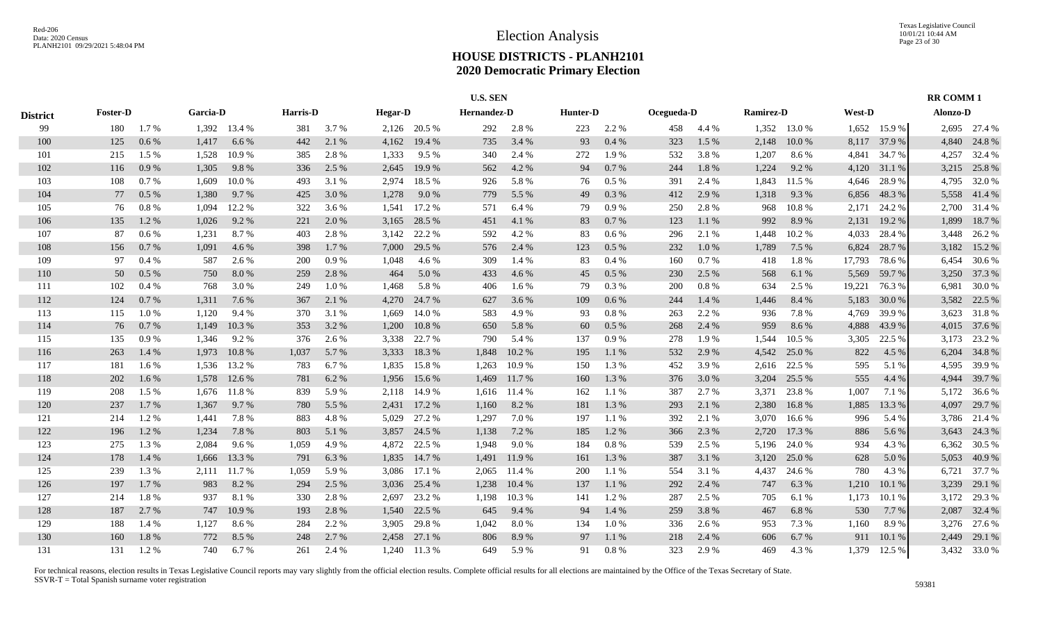|                 |                 |           |          |              |          |       |                |              | <b>U.S. SEN</b> |        |                 |           |            |       |                  |              |        |              | <b>RR COMM1</b> |              |
|-----------------|-----------------|-----------|----------|--------------|----------|-------|----------------|--------------|-----------------|--------|-----------------|-----------|------------|-------|------------------|--------------|--------|--------------|-----------------|--------------|
| <b>District</b> | <b>Foster-D</b> |           | Garcia-D |              | Harris-D |       | <b>Hegar-D</b> |              | Hernandez-D     |        | <b>Hunter-D</b> |           | Ocegueda-D |       | <b>Ramirez-D</b> |              | West-D |              | <b>Alonzo-D</b> |              |
| 99              | 180             | $1.7\%$   |          | 1,392 13.4 % | 381      | 3.7%  |                | 2,126 20.5 % | 292             | 2.8%   | 223             | 2.2 %     | 458        | 4.4 % |                  | 1,352 13.0 % | 1,652  | 15.9%        |                 | 2,695 27.4 % |
| 100             | 125             | $0.6\,\%$ | 1,417    | 6.6%         | 442      | 2.1 % | 4,162          | 19.4 %       | 735             | 3.4 %  | 93              | $0.4~\%$  | 323        | 1.5 % | 2,148            | 10.0 %       | 8,117  | 37.9 %       | 4,840           | 24.8%        |
| 101             | 215             | 1.5 %     | 1,528    | 10.9%        | 385      | 2.8 % | 1,333          | 9.5%         | 340             | 2.4 %  | 272             | 1.9%      | 532        | 3.8%  | 1,207            | 8.6 %        | 4,841  | 34.7 %       | 4,257           | 32.4 %       |
| 102             | 116             | 0.9%      | 1,305    | 9.8%         | 336      | 2.5 % | 2,645          | 19.9 %       | 562             | 4.2 %  | 94              | $0.7~\%$  | 244        | 1.8%  | 1,224            | 9.2 %        | 4,120  | 31.1 %       | 3,215           | 25.8%        |
| 103             | 108             | 0.7 %     | 1,609    | 10.0%        | 493      | 3.1 % | 2,974          | 18.5 %       | 926             | 5.8%   | 76              | 0.5%      | 391        | 2.4 % | 1,843            | 11.5 %       | 4,646  | 28.9%        | 4,795           | 32.0 %       |
| 104             | 77              | 0.5%      | 1,380    | 9.7 %        | 425      | 3.0 % | 1,278          | 9.0%         | 779             | 5.5 %  | 49              | $0.3\ \%$ | 412        | 2.9%  | 1,318            | 9.3%         | 6,856  | 48.3%        | 5,558           | 41.4 %       |
| 105             | 76              | $0.8~\%$  | 1,094    | 12.2 %       | 322      | 3.6 % | 1,541          | 17.2 %       | 571             | 6.4%   | 79              | 0.9 %     | 250        | 2.8%  | 968              | 10.8%        | 2,171  | 24.2 %       | 2,700           | 31.4 %       |
| 106             | 135             | 1.2 %     | 1,026    | 9.2 %        | 221      | 2.0 % | 3,165          | 28.5 %       | 451             | 4.1 %  | 83              | 0.7 %     | 123        | 1.1 % | 992              | 8.9%         | 2,131  | 19.2 %       | 1,899           | 18.7%        |
| 107             | 87              | 0.6 %     | 1,231    | 8.7%         | 403      | 2.8%  | 3,142          | 22.2 %       | 592             | 4.2 %  | 83              | $0.6\,\%$ | 296        | 2.1 % | 1,448            | 10.2%        | 4,033  | 28.4 %       | 3,448           | 26.2%        |
| 108             | 156             | $0.7\%$   | 1,091    | 4.6%         | 398      | 1.7%  | 7,000          | 29.5 %       | 576             | 2.4 %  | 123             | $0.5\ \%$ | 232        | 1.0 % | 1,789            | 7.5 %        | 6,824  | 28.7 %       | 3,182           | 15.2 %       |
| 109             | 97              | 0.4%      | 587      | 2.6 %        | 200      | 0.9%  | 1,048          | 4.6%         | 309             | 1.4 %  | 83              | 0.4%      | 160        | 0.7%  | 418              | $1.8~\%$     | 17,793 | 78.6%        | 6,454           | 30.6 %       |
| 110             | 50              | 0.5%      | 750      | 8.0%         | 259      | 2.8%  | 464            | 5.0%         | 433             | 4.6 %  | 45              | $0.5\ \%$ | 230        | 2.5 % | 568              | 6.1 %        | 5,569  | 59.7 %       | 3,250           | 37.3 %       |
| 111             | 102             | 0.4%      | 768      | 3.0 %        | 249      | 1.0%  | 1,468          | 5.8%         | 406             | 1.6 %  | 79              | 0.3%      | 200        | 0.8%  | 634              | 2.5 %        | 19,221 | 76.3 %       | 6,981           | 30.0%        |
| 112             | 124             | 0.7%      | 1,311    | 7.6 %        | 367      | 2.1 % | 4,270          | 24.7 %       | 627             | 3.6 %  | 109             | $0.6\,\%$ | 244        | 1.4 % | 1,446            | 8.4%         | 5,183  | 30.0%        | 3,582           | 22.5 %       |
| 113             | 115             | 1.0%      | 1,120    | 9.4 %        | 370      | 3.1 % | 1,669          | 14.0 %       | 583             | 4.9%   | 93              | 0.8 %     | 263        | 2.2 % | 936              | 7.8 %        | 4,769  | 39.9%        | 3,623           | 31.8%        |
| 114             | 76              | 0.7 %     | 1,149    | 10.3 %       | 353      | 3.2 % | 1,200          | 10.8%        | 650             | 5.8%   | 60              | $0.5~\%$  | 268        | 2.4 % | 959              | 8.6%         | 4,888  | 43.9%        |                 | 4,015 37.6 % |
| 115             | 135             | 0.9%      | 1,346    | 9.2 %        | 376      | 2.6 % | 3,338          | 22.7 %       | 790             | 5.4 %  | 137             | 0.9%      | 278        | 1.9 % | 1,544            | 10.5 %       | 3,305  | 22.5 %       | 3,173           | 23.2 %       |
| 116             | 263             | 1.4 %     | 1,973    | 10.8%        | 1,037    | 5.7 % | 3,333          | 18.3%        | 1,848           | 10.2 % | 195             | 1.1 %     | 532        | 2.9 % | 4,542            | 25.0 %       | 822    | 4.5 %        | 6,204           | 34.8%        |
| 117             | 181             | 1.6 %     | 1,536    | 13.2 %       | 783      | 6.7%  | 1,835          | 15.8%        | 1,263           | 10.9%  | 150             | 1.3 %     | 452        | 3.9%  | 2,616            | 22.5 %       | 595    | 5.1 %        | 4,595           | 39.9%        |
| 118             | 202             | 1.6 %     | 1,578    | 12.6 %       | 781      | 6.2 % | 1,956          | 15.6 %       | 1,469           | 11.7 % | 160             | 1.3%      | 376        | 3.0 % | 3,204            | 25.5 %       | 555    | 4.4 %        | 4,944           | 39.7%        |
| 119             | 208             | 1.5 %     | 1,676    | 11.8%        | 839      | 5.9%  | 2,118          | 14.9 %       | 1,616           | 11.4 % | 162             | 1.1 %     | 387        | 2.7 % | 3,371            | 23.8%        | 1,007  | 7.1 %        | 5,172           | 36.6%        |
| 120             | 237             | 1.7%      | 1,367    | 9.7 %        | 780      | 5.5 % | 2,431          | 17.2 %       | 1,160           | 8.2%   | 181             | 1.3 %     | 293        | 2.1 % | 2,380            | 16.8%        | 1,885  | 13.3 %       | 4,097           | 29.7 %       |
| 121             | 214             | 1.2%      | 1,441    | 7.8%         | 883      | 4.8%  | 5,029          | 27.2 %       | 1,297           | 7.0%   | 197             | 1.1%      | 392        | 2.1 % | 3,070            | 16.6%        | 996    | 5.4 %        | 3,786           | 21.4 %       |
| 122             | 196             | 1.2%      | 1,234    | 7.8 %        | 803      | 5.1 % | 3,857          | 24.5 %       | 1,138           | 7.2 %  | 185             | 1.2%      | 366        | 2.3 % | 2,720            | 17.3 %       | 886    | 5.6 %        | 3,643           | 24.3 %       |
| 123             | 275             | 1.3%      | 2,084    | 9.6%         | 1,059    | 4.9%  | 4,872          | 22.5 %       | 1,948           | 9.0%   | 184             | $0.8~\%$  | 539        | 2.5 % | 5,196            | 24.0 %       | 934    | 4.3 %        | 6,362           | 30.5 %       |
| 124             | 178             | 1.4 %     | 1,666    | 13.3 %       | 791      | 6.3 % | 1,835          | 14.7 %       | 1,491           | 11.9 % | 161             | 1.3 %     | 387        | 3.1 % | 3,120            | 25.0%        | 628    | 5.0 %        | 5,053           | 40.9%        |
| 125             | 239             | 1.3 %     | 2,111    | 11.7%        | 1,059    | 5.9%  | 3,086          | 17.1 %       | 2,065           | 11.4 % | 200             | 1.1%      | 554        | 3.1 % | 4,437            | 24.6 %       | 780    | 4.3 %        | 6,721           | 37.7 %       |
| 126             | 197             | 1.7%      | 983      | 8.2%         | 294      | 2.5 % | 3,036          | 25.4 %       | 1,238           | 10.4%  | 137             | 1.1%      | 292        | 2.4 % | 747              | 6.3%         | 1,210  | 10.1 %       | 3,239           | 29.1 %       |
| 127             | 214             | 1.8%      | 937      | 8.1%         | 330      | 2.8%  | 2,697          | 23.2 %       | 1,198           | 10.3%  | 141             | 1.2%      | 287        | 2.5 % | 705              | 6.1 %        | 1,173  | 10.1 %       | 3,172           | 29.3 %       |
| 128             | 187             | 2.7%      | 747      | 10.9%        | 193      | 2.8%  | 1,540          | 22.5 %       | 645             | 9.4 %  | 94              | 1.4 %     | 259        | 3.8%  | 467              | 6.8%         | 530    | 7.7 %        | 2,087           | 32.4 %       |
| 129             | 188             | 1.4 %     | 1,127    | 8.6%         | 284      | 2.2 % | 3,905          | 29.8%        | 1,042           | 8.0%   | 134             | $1.0\ \%$ | 336        | 2.6 % | 953              | 7.3 %        | 1,160  | 8.9%         | 3,276           | 27.6 %       |
| 130             | 160             | 1.8%      | 772      | 8.5 %        | 248      | 2.7 % | 2,458          | 27.1 %       | 806             | 8.9%   | 97              | 1.1%      | 218        | 2.4 % | 606              | 6.7%         | 911    | 10.1%        | 2,449           | 29.1 %       |
| 131             | 131             | 1.2%      | 740      | 6.7 %        | 261      | 2.4 % |                | 1,240 11.3 % | 649             | 5.9 %  | 91              | 0.8%      | 323        | 2.9 % | 469              | 4.3 %        |        | 1,379 12.5 % |                 | 3,432 33.0 % |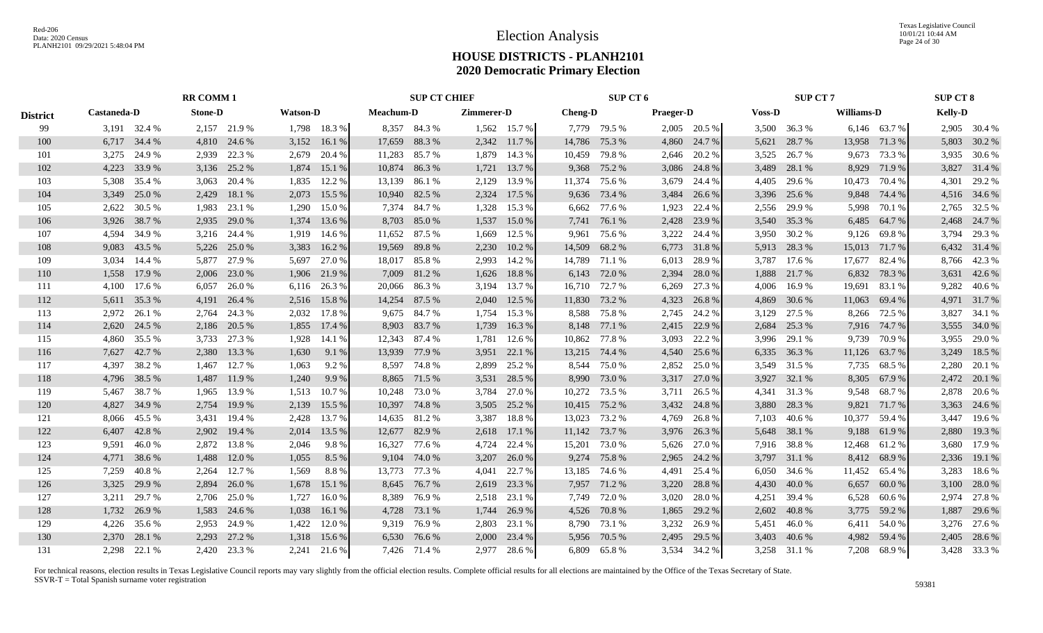|                 |                 | <b>RR COMM 1</b> |                 | <b>SUP CT CHIEF</b> |                 | SUP CT 6         |                  | <b>SUP CT 7</b> |                  | <b>SUP CT 8</b> |
|-----------------|-----------------|------------------|-----------------|---------------------|-----------------|------------------|------------------|-----------------|------------------|-----------------|
| <b>District</b> | Castaneda-D     | <b>Stone-D</b>   | <b>Watson-D</b> | <b>Meachum-D</b>    | Zimmerer-D      | <b>Cheng-D</b>   | <b>Praeger-D</b> | <b>Voss-D</b>   | Williams-D       | <b>Kelly-D</b>  |
| 99              | 3,191 32.4 %    | 2,157 21.9 %     | 1,798 18.3 %    | 8,357 84.3 %        | 1,562 15.7 %    | 7,779 79.5 %     | 2,005 20.5 %     | 3,500 36.3 %    | 6,146 63.7 %     | 2,905 30.4 %    |
| 100             | 6,717 34.4 %    | 4,810 24.6 %     | 3,152 16.1 %    | 17,659<br>88.3%     | 2,342 11.7 %    | 14,786<br>75.3 % | 4,860<br>24.7 %  | 28.7 %<br>5,621 | 13,958 71.3 %    | 5,803 30.2 %    |
| 101             | 3,275 24.9 %    | 22.3 %<br>2,939  | 2,679<br>20.4 % | 11,283<br>85.7 %    | 1,879<br>14.3 % | 10,459<br>79.8%  | 2,646<br>20.2 %  | 26.7 %<br>3,525 | 9,673<br>73.3 %  | 3,935 30.6 %    |
| 102             | 4,223 33.9 %    | 3,136 25.2 %     | 1,874<br>15.1 % | 10,874<br>86.3%     | 1,721<br>13.7 % | 9,368<br>75.2 %  | 3,086<br>24.8%   | 3,489<br>28.1 % | 8,929<br>71.9 %  | 3,827 31.4 %    |
| 103             | 5,308 35.4 %    | 20.4 %<br>3,063  | 1,835<br>12.2 % | 13,139<br>86.1 %    | 13.9 %<br>2,129 | 11,374<br>75.6 % | 3,679<br>24.4 %  | 4,405<br>29.6 % | 10,473<br>70.4 % | 4,301 29.2 %    |
| 104             | 3,349 25.0 %    | 2,429<br>18.1 %  | 2,073<br>15.5 % | 10,940 82.5 %       | 2,324<br>17.5 % | 73.4 %<br>9,636  | 3,484<br>26.6 %  | 3,396<br>25.6 % | 9,848<br>74.4 %  | 4,516 34.6 %    |
| 105             | 2,622<br>30.5 % | 23.1 %<br>1,983  | 15.0 %<br>1,290 | 7,374 84.7 %        | 1,328<br>15.3 % | 77.6 %<br>6,662  | 1,923<br>22.4 %  | 29.9 %<br>2,556 | 5,998<br>70.1 %  | 2,765 32.5 %    |
| 106             | 3,926<br>38.7 % | 2,935<br>29.0 %  | 1,374<br>13.6 % | 8,703<br>85.0 %     | 1,537<br>15.0 % | 7,741<br>76.1 %  | 2,428<br>23.9 %  | 3,540 35.3 %    | 6,485<br>64.7 %  | 2,468 24.7 %    |
| 107             | 4,594<br>34.9 % | 3,216<br>24.4 %  | 1,919<br>14.6 % | 11,652<br>87.5 %    | 1,669<br>12.5 % | 9,961<br>75.6 %  | 3,222<br>24.4 %  | 3,950<br>30.2 % | 9,126<br>69.8%   | 3,794<br>29.3 % |
| 108             | 9,083<br>43.5 % | 5,226<br>25.0 %  | 3,383<br>16.2%  | 19,569<br>89.8%     | 2,230<br>10.2%  | 14,509<br>68.2 % | 6,773<br>31.8%   | 28.3 %<br>5,913 | 15,013<br>71.7 % | 6,432 31.4 %    |
| 109             | 3,034<br>14.4 % | 5,877<br>27.9 %  | 5,697<br>27.0 % | 18,017 85.8%        | 2,993<br>14.2 % | 14,789<br>71.1 % | 6,013<br>28.9 %  | 3,787<br>17.6 % | 17,677<br>82.4 % | 8,766 42.3 %    |
| 110             | 1,558<br>17.9 % | 2,006<br>23.0 %  | 1,906 21.9 %    | 7,009<br>81.2%      | 1,626<br>18.8%  | 6,143<br>72.0 %  | 2,394<br>28.0%   | 21.7%<br>1,888  | 6,832<br>78.3 %  | 3,631 42.6 %    |
| 111             | 4,100 17.6 %    | 6,057<br>26.0%   | 6,116 26.3 %    | 20,066<br>86.3%     | 3,194<br>13.7 % | 16,710 72.7 %    | 6,269<br>27.3 %  | 4,006<br>16.9%  | 19,691<br>83.1 % | 9,282 40.6 %    |
| 112             | 5,611 35.3 %    | 4,191 26.4 %     | 2,516 15.8 %    | 14,254<br>87.5 %    | 2,040<br>12.5 % | 11,830<br>73.2 % | 4,323<br>26.8%   | 4,869<br>30.6 % | 69.4 %<br>11,063 | 4,971 31.7%     |
| 113             | 2,972<br>26.1 % | 2,764<br>24.3 %  | 17.8%<br>2,032  | 9,675 84.7 %        | 15.3 %<br>1,754 | 8,588 75.8%      | 2,745<br>24.2 %  | 27.5 %<br>3,129 | 8,266<br>72.5 %  | 3,827<br>34.1 % |
| 114             | 2,620<br>24.5 % | 20.5 %<br>2,186  | 1,855<br>17.4 % | 8,903<br>83.7 %     | 1,739<br>16.3 % | 8,148 77.1 %     | 2,415<br>22.9 %  | 2,684<br>25.3 % | 7,916 74.7 %     | 3,555 34.0 %    |
| 115             | 4,860<br>35.5 % | 3,733<br>27.3 %  | 1,928<br>14.1 % | 12,343<br>87.4 %    | 1,781<br>12.6 % | 10,862<br>77.8 % | 3,093<br>22.2 %  | 3,996<br>29.1 % | 9,739<br>70.9%   | 3,955 29.0 %    |
| 116             | 7,627<br>42.7 % | 2,380<br>13.3 %  | 1,630<br>9.1 %  | 13,939<br>77.9 %    | 22.1 %<br>3,951 | 13,215<br>74.4 % | 4,540<br>25.6 %  | 6,335<br>36.3%  | 11,126<br>63.7 % | 3,249 18.5 %    |
| 117             | 4,397<br>38.2 % | 12.7 %<br>1,467  | 1,063<br>9.2 %  | 8,597<br>74.8%      | 2,899<br>25.2 % | 75.0%<br>8,544   | 2,852<br>25.0 %  | 3,549<br>31.5 % | 7,735<br>68.5 %  | 2,280<br>20.1 % |
| 118             | 38.5 %<br>4,796 | 1,487<br>11.9 %  | 1,240<br>9.9%   | 8,865<br>71.5 %     | 3,531<br>28.5 % | 8,990<br>73.0 %  | 3,317<br>27.0 %  | 32.1 %<br>3,927 | 8,305<br>67.9 %  | 2,472 20.1 %    |
| 119             | 5,467 38.7 %    | 1,965<br>13.9 %  | 10.7 %<br>1,513 | 73.0%<br>10,248     | 3,784<br>27.0 % | 10,272<br>73.5 % | 3,711<br>26.5 %  | 4,341<br>31.3 % | 9,548<br>68.7 %  | 2,878<br>20.6 % |
| 120             | 4,827 34.9 %    | 2,754<br>19.9%   | 2,139<br>15.5 % | 10,397<br>74.8%     | 3,505<br>25.2 % | 75.2 %<br>10,415 | 3,432<br>24.8%   | 28.3%<br>3,880  | 9,821<br>71.7 %  | 3,363 24.6 %    |
| 121             | 8,066 45.5 %    | 3,431<br>19.4 %  | 13.7 %<br>2,428 | 14,635 81.2 %       | 3,387<br>18.8%  | 73.2 %<br>13,023 | 4,769<br>26.8%   | 7,103<br>40.6 % | 10,377<br>59.4 % | 19.6 %<br>3.447 |
| 122             | 6,407 42.8 %    | 2,902<br>19.4 %  | 2,014<br>13.5 % | 12,677<br>82.9 %    | 2,618<br>17.1 % | 11,142<br>73.7 % | 3,976<br>26.3 %  | 5,648 38.1 %    | 9,188<br>61.9%   | 2,880<br>19.3 % |
| 123             | 9,591<br>46.0%  | 2,872<br>13.8 %  | 2,046<br>9.8%   | 16,327<br>77.6 %    | 4,724<br>22.4 % | 15,201<br>73.0%  | 5,626<br>27.0 %  | 38.8%<br>7,916  | 12,468<br>61.2 % | 3,680<br>17.9 % |
| 124             | 38.6%<br>4,771  | 1,488<br>12.0 %  | 1,055<br>8.5 %  | 9,104<br>74.0 %     | 3,207<br>26.0%  | 75.8%<br>9,274   | 2,965<br>24.2 %  | 3,797<br>31.1 % | 8,412<br>68.9%   | 2,336<br>19.1 % |
| 125             | 7,259<br>40.8%  | 2,264<br>12.7 %  | 1,569<br>8.8%   | 13,773<br>77.3 %    | 4,041<br>22.7 % | 74.6 %<br>13,185 | 4,491<br>25.4 %  | 34.6 %<br>6,050 | 11,452<br>65.4 % | 3,283<br>18.6%  |
| 126             | 3,325<br>29.9%  | 2,894<br>26.0 %  | 1,678<br>15.1 % | 76.7 %<br>8,645     | 23.3 %<br>2,619 | 71.2%<br>7,957   | 3,220<br>28.8%   | 40.0%<br>4,430  | 6,657<br>60.0%   | 28.0%<br>3,100  |
| 127             | 29.7 %<br>3,211 | 2,706<br>25.0 %  | 1,727<br>16.0%  | 76.9%<br>8,389      | 2,518<br>23.1 % | 72.0 %<br>7,749  | 3,020<br>28.0%   | 39.4 %<br>4,251 | 6,528<br>60.6 %  | 2,974 27.8 %    |
| 128             | 1,732<br>26.9%  | 1,583<br>24.6 %  | 16.1 %<br>1,038 | 73.1 %<br>4,728     | 1,744<br>26.9 % | 70.8%<br>4,526   | 29.2 %<br>1,865  | 40.8%<br>2,602  | 3,775<br>59.2 %  | 1,887 29.6 %    |
| 129             | 35.6 %<br>4.226 | 2,953<br>24.9 %  | 1,422<br>12.0 % | 9,319 76.9 %        | 2,803<br>23.1 % | 8,790 73.1 %     | 3,232<br>26.9%   | 46.0%<br>5,451  | 6,411<br>54.0 %  | 3,276 27.6 %    |
| 130             | 28.1 %<br>2.370 | 2,293<br>27.2 %  | 1,318<br>15.6 % | 6,530<br>76.6 %     | 23.4 %<br>2,000 | 5,956<br>70.5 %  | 29.5 %<br>2,495  | 3,403<br>40.6 % | 4,982<br>59.4 %  | 2,405 28.6 %    |
| 131             | 2,298 22.1 %    | 2,420 23.3 %     | 2,241 21.6 %    | 7.426 71.4 %        | 2.977<br>28.6 % | 65.8%<br>6.809   | 3.534<br>34.2 %  | 3.258 31.1 %    | 7.208 68.9 %     | 3.428 33.3 %    |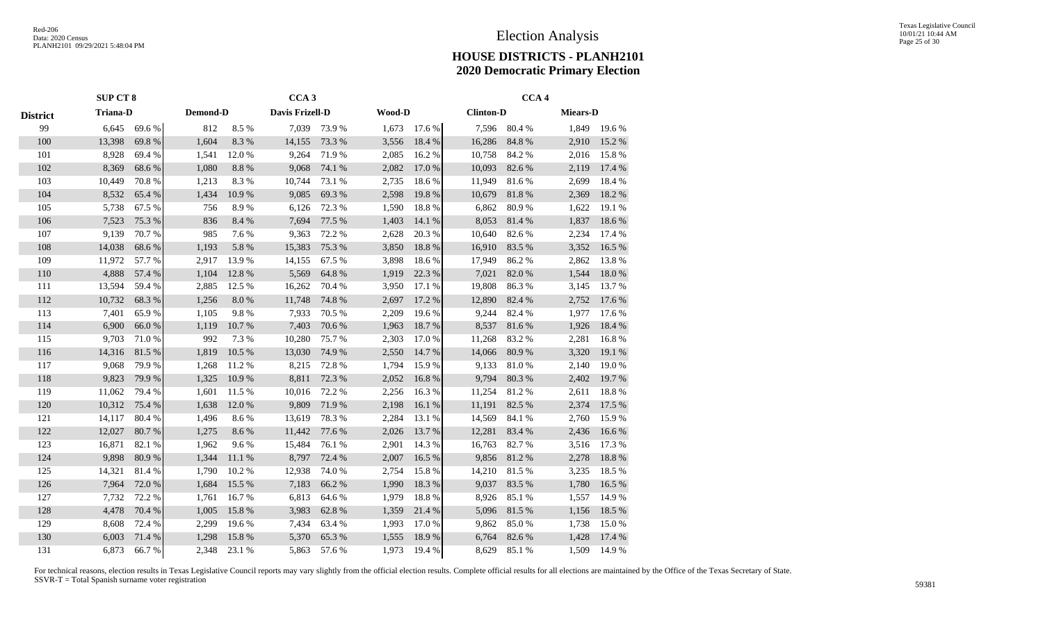|                 | <b>SUP CT 8</b> |                 |       | CCA <sub>3</sub> |                 |        |        |        |                  |        | CCA <sub>4</sub> |                 |  |  |  |  |  |
|-----------------|-----------------|-----------------|-------|------------------|-----------------|--------|--------|--------|------------------|--------|------------------|-----------------|--|--|--|--|--|
| <b>District</b> |                 | <b>Triana-D</b> |       | Demond-D         | Davis Frizell-D |        | Wood-D |        | <b>Clinton-D</b> |        |                  | <b>Miears-D</b> |  |  |  |  |  |
| 99              | 6,645           | 69.6%           | 812   | 8.5%             | 7,039           | 73.9%  | 1,673  | 17.6 % | 7,596            | 80.4%  | 1,849            | 19.6 %          |  |  |  |  |  |
| 100             | 13,398          | 69.8%           | 1,604 | 8.3%             | 14,155          | 73.3 % | 3,556  | 18.4 % | 16,286           | 84.8%  | 2,910            | 15.2 %          |  |  |  |  |  |
| 101             | 8,928           | 69.4%           | 1,541 | 12.0%            | 9,264           | 71.9%  | 2,085  | 16.2%  | 10,758           | 84.2 % | 2,016            | 15.8%           |  |  |  |  |  |
| 102             | 8,369           | 68.6%           | 1,080 | 8.8%             | 9,068           | 74.1 % | 2,082  | 17.0 % | 10,093           | 82.6 % | 2,119            | 17.4 %          |  |  |  |  |  |
| 103             | 10,449          | 70.8%           | 1,213 | 8.3%             | 10,744          | 73.1 % | 2,735  | 18.6%  | 11,949           | 81.6%  | 2,699            | 18.4 %          |  |  |  |  |  |
| 104             | 8,532           | 65.4%           | 1,434 | 10.9%            | 9,085           | 69.3%  | 2,598  | 19.8%  | 10,679           | 81.8%  | 2,369            | 18.2 %          |  |  |  |  |  |
| 105             | 5,738           | 67.5 %          | 756   | 8.9%             | 6,126           | 72.3 % | 1,590  | 18.8%  | 6,862            | 80.9%  | 1,622            | 19.1 %          |  |  |  |  |  |
| 106             | 7,523           | 75.3 %          | 836   | 8.4%             | 7,694           | 77.5 % | 1,403  | 14.1 % | 8,053            | 81.4%  | 1,837            | 18.6%           |  |  |  |  |  |
| 107             | 9,139           | 70.7%           | 985   | 7.6 %            | 9,363           | 72.2 % | 2,628  | 20.3 % | 10,640           | 82.6%  | 2,234            | 17.4 %          |  |  |  |  |  |
| 108             | 14,038          | 68.6%           | 1,193 | 5.8 %            | 15,383          | 75.3 % | 3,850  | 18.8%  | 16,910           | 83.5 % | 3,352            | 16.5 %          |  |  |  |  |  |
| 109             | 11,972          | 57.7%           | 2,917 | 13.9%            | 14,155          | 67.5 % | 3,898  | 18.6%  | 17,949           | 86.2%  | 2,862            | 13.8%           |  |  |  |  |  |
| 110             | 4,888           | 57.4 %          | 1,104 | 12.8 %           | 5,569           | 64.8%  | 1,919  | 22.3 % | 7,021            | 82.0%  | 1,544            | 18.0%           |  |  |  |  |  |
| 111             | 13,594          | 59.4%           | 2,885 | 12.5 %           | 16,262          | 70.4 % | 3,950  | 17.1 % | 19,808           | 86.3%  | 3,145            | 13.7%           |  |  |  |  |  |
| 112             | 10,732          | 68.3%           | 1,256 | $8.0\ \%$        | 11,748          | 74.8%  | 2,697  | 17.2 % | 12,890           | 82.4 % | 2,752            | 17.6 %          |  |  |  |  |  |
| 113             | 7,401           | 65.9%           | 1,105 | 9.8%             | 7,933           | 70.5 % | 2,209  | 19.6%  | 9,244            | 82.4%  | 1,977            | 17.6 %          |  |  |  |  |  |
| 114             | 6,900           | 66.0%           | 1,119 | $10.7~\%$        | 7,403           | 70.6%  | 1,963  | 18.7%  | 8,537            | 81.6%  | 1,926            | 18.4 %          |  |  |  |  |  |
| 115             | 9,703           | 71.0%           | 992   | 7.3 %            | 10,280          | 75.7%  | 2,303  | 17.0 % | 11,268           | 83.2%  | 2,281            | 16.8%           |  |  |  |  |  |
| 116             | 14,316          | 81.5 %          | 1,819 | 10.5 %           | 13,030          | 74.9 % | 2,550  | 14.7 % | 14,066           | 80.9%  | 3,320            | 19.1 %          |  |  |  |  |  |
| 117             | 9,068           | 79.9%           | 1,268 | 11.2 %           | 8,215           | 72.8%  | 1,794  | 15.9%  | 9,133            | 81.0%  | 2,140            | 19.0%           |  |  |  |  |  |
| 118             | 9,823           | 79.9%           | 1,325 | 10.9%            | 8,811           | 72.3 % | 2,052  | 16.8%  | 9,794            | 80.3%  | 2,402            | 19.7 %          |  |  |  |  |  |
| 119             | 11,062          | 79.4 %          | 1,601 | 11.5 %           | 10,016          | 72.2 % | 2,256  | 16.3%  | 11,254           | 81.2%  | 2,611            | 18.8%           |  |  |  |  |  |
| 120             | 10,312          | 75.4 %          | 1,638 | 12.0%            | 9,809           | 71.9%  | 2,198  | 16.1%  | 11,191           | 82.5 % | 2,374            | 17.5 %          |  |  |  |  |  |
| 121             | 14,117          | 80.4 %          | 1,496 | 8.6%             | 13,619          | 78.3%  | 2,284  | 13.1 % | 14,569           | 84.1 % | 2,760            | 15.9%           |  |  |  |  |  |
| 122             | 12,027          | 80.7%           | 1,275 | 8.6%             | 11,442          | 77.6 % | 2,026  | 13.7%  | 12,281           | 83.4 % | 2,436            | 16.6 %          |  |  |  |  |  |
| 123             | 16,871          | 82.1 %          | 1,962 | 9.6%             | 15,484          | 76.1 % | 2,901  | 14.3 % | 16,763           | 82.7%  | 3,516            | 17.3 %          |  |  |  |  |  |
| 124             | 9,898           | 80.9%           | 1,344 | 11.1 %           | 8,797           | 72.4 % | 2,007  | 16.5 % | 9,856            | 81.2%  | 2,278            | 18.8%           |  |  |  |  |  |
| 125             | 14,321          | 81.4%           | 1,790 | 10.2 %           | 12,938          | 74.0%  | 2,754  | 15.8%  | 14,210           | 81.5 % | 3,235            | 18.5 %          |  |  |  |  |  |
| 126             | 7,964           | 72.0 %          | 1,684 | 15.5 %           | 7,183           | 66.2%  | 1,990  | 18.3%  | 9,037            | 83.5%  | 1,780            | 16.5 %          |  |  |  |  |  |
| 127             | 7,732           | 72.2 %          | 1,761 | 16.7%            | 6,813           | 64.6%  | 1,979  | 18.8%  | 8,926            | 85.1%  | 1,557            | 14.9%           |  |  |  |  |  |
| 128             | 4,478           | 70.4 %          | 1,005 | 15.8%            | 3,983           | 62.8%  | 1,359  | 21.4 % | 5,096            | 81.5%  | 1,156            | 18.5 %          |  |  |  |  |  |
| 129             | 8,608           | 72.4 %          | 2,299 | 19.6 %           | 7,434           | 63.4 % | 1,993  | 17.0%  | 9,862            | 85.0%  | 1,738            | 15.0%           |  |  |  |  |  |
| 130             | 6,003           | 71.4%           | 1,298 | 15.8%            | 5,370           | 65.3%  | 1,555  | 18.9%  | 6,764            | 82.6%  | 1,428            | 17.4 %          |  |  |  |  |  |
| 131             | 6,873           | 66.7%           | 2,348 | 23.1 %           | 5,863           | 57.6 % | 1,973  | 19.4 % | 8,629            | 85.1 % | 1,509            | 14.9%           |  |  |  |  |  |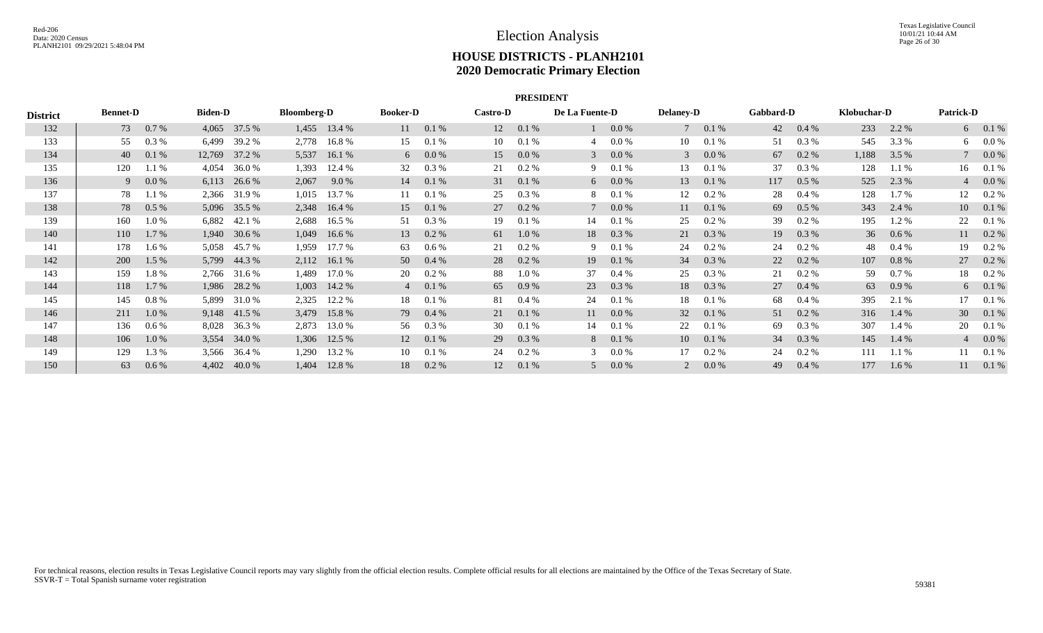|                 | <b>PRESIDENT</b> |         |                |              |                    |                |                 |         |                 |          |                |         |                  |          |           |          |             |          |                  |           |
|-----------------|------------------|---------|----------------|--------------|--------------------|----------------|-----------------|---------|-----------------|----------|----------------|---------|------------------|----------|-----------|----------|-------------|----------|------------------|-----------|
| <b>District</b> | <b>Bennet-D</b>  |         | <b>Biden-D</b> |              | <b>Bloomberg-D</b> |                | <b>Booker-D</b> |         | <b>Castro-D</b> |          | De La Fuente-D |         | <b>Delaney-D</b> |          | Gabbard-D |          | Klobuchar-D |          | <b>Patrick-D</b> |           |
| 132             | 73               | 0.7 %   | 4,065          | 37.5 %       | 1,455              | 13.4 %         | 11              | 0.1%    | 12              | 0.1%     |                | $0.0\%$ | $\tau$           | 0.1%     | 42        | $0.4\%$  | 233         | 2.2 %    |                  | 6 0.1 %   |
| 133             | 55               | $0.3\%$ | 6,499          | 39.2 %       |                    | 2,778 16.8 %   | 15              | 0.1%    | 10              | 0.1 %    | 4              | 0.0 %   | 10               | 0.1 %    | 51        | $0.3\%$  | 545         | 3.3 %    |                  | 6 $0.0\%$ |
| 134             | 40               | 0.1%    | 12,769         | 37.2 %       | 5,537              | 16.1%          | 6               | 0.0 %   | 15              | $0.0\%$  | 3              | $0.0\%$ |                  | 0.0 %    | 67        | $0.2 \%$ | 1,188       | 3.5 %    |                  | $0.0\%$   |
| 135             | 120              | 1.1 %   | 4,054          | 36.0%        | 1,393              | 12.4 %         | 32              | 0.3 %   | 21              | $0.2 \%$ | 9              | $0.1\%$ | 13               | 0.1%     | 37        | 0.3 %    | 128         | 1.1 %    | 16               | 0.1%      |
| 136             | 9                | $0.0\%$ | 6,113          | 26.6 %       | 2,067              | $9.0\%$        | 14              | 0.1%    | 31              | 0.1%     | 6              | $0.0\%$ | 13               | 0.1%     | 117       | $0.5\%$  | 525         | 2.3 %    |                  | $0.0\%$   |
| 137             | 78               | 1.1 %   |                | 2,366 31.9 % | 1,015              | 13.7 %         | 11              | 0.1%    | 25              | 0.3 %    | 8              | 0.1%    | 12               | 0.2 %    | 28        | $0.4\%$  | 128         | $1.7\%$  | 12               | 0.2 %     |
| 138             | 78               | $0.5\%$ | 5,096          | 35.5 %       | 2,348              | 16.4 %         | 15              | 0.1%    | 27              | $0.2 \%$ |                | $0.0\%$ | 11               | 0.1%     | 69        | $0.5\%$  | 343         | 2.4 %    | 10               | 0.1%      |
| 139             | 160              | 1.0 %   | 6,882          | 42.1 %       | 2,688              | 16.5 %         | 51              | 0.3 %   | 19              | 0.1%     | 14             | 0.1%    | 25               | $0.2~\%$ | 39        | 0.2 %    | 195         | 1.2 %    | 22               | 0.1%      |
| 140             | 110              | $1.7\%$ | 1,940          | 30.6 %       | 1,049              | 16.6%          | 13              | $0.2\%$ | 61              | $1.0\%$  | 18             | 0.3 %   | 21               | $0.3\%$  | 19        | $0.3\%$  | 36          | $0.6\%$  | 11               | $0.2\%$   |
| 141             | 178              | $1.6\%$ | 5,058          | 45.7 %       | 1,959              | 17.7 %         | 63              | 0.6 %   | 21              | $0.2 \%$ | 9              | 0.1%    | 24               | $0.2\%$  | 24        | $0.2 \%$ | 48          | $0.4\%$  | 19               | 0.2 %     |
| 142             | <b>200</b>       | $1.5\%$ | 5,799          | 44.3 %       | 2,112              | 16.1 %         | 50              | 0.4%    | 28              | $0.2 \%$ | 19             | 0.1%    | 34               | $0.3\%$  | 22        | $0.2\%$  | 107         | $0.8 \%$ | 27               | $0.2\%$   |
| 143             | 159              | 1.8%    |                | 2,766 31.6 % | 1,489              | 17.0 %         | 20              | 0.2 %   | 88              | $1.0\%$  | 37             | 0.4 %   | 25               | $0.3\%$  | 21        | $0.2 \%$ | 59          | $0.7\%$  | 18               | $0.2\%$   |
| 144             | 118              | $1.7\%$ |                | 1,986 28.2 % |                    | $1,003$ 14.2 % | $\overline{4}$  | 0.1%    | 65              | 0.9%     | 23             | 0.3 %   | 18               | $0.3\%$  | 27        | $0.4\%$  | 63          | 0.9%     |                  | 6 0.1 %   |
| 145             | 145              | $0.8\%$ | 5,899          | 31.0%        | 2,325              | 12.2 %         | 18              | 0.1%    | 81              | $0.4\%$  | 24             | 0.1%    | 18               | 0.1%     | 68        | $0.4\%$  | 395         | 2.1 %    | 17               | 0.1%      |
| 146             | 211              | $1.0\%$ |                | 9,148 41.5 % | 3,479              | 15.8%          | 79              | 0.4%    | 21              | 0.1%     | 11             | 0.0 %   | 32               | 0.1%     | 51        | $0.2\%$  | 316         | 1.4 %    | 30 <sup>°</sup>  | 0.1%      |
| 147             | 136              | $0.6\%$ | 8,028          | 36.3 %       | 2,873              | 13.0 %         | 56              | 0.3 %   | 30              | 0.1%     | 14             | 0.1%    | 22               | 0.1%     | 69        | 0.3 %    | 307         | 1.4 %    | 20               | 0.1%      |
| 148             | 106              | $1.0\%$ |                | 3,554 34.0 % |                    | 1,306 12.5 %   | 12              | 0.1%    | 29              | $0.3\%$  | 8              | 0.1%    | 10               | 0.1%     | 34        | 0.3 %    | 145         | 1.4 %    |                  | $40.0\%$  |
| 149             | 129              | 1.3 %   | 3,566          | 36.4 %       | 1,290              | 13.2 %         | 10              | 0.1%    | 24              | 0.2 %    | $\mathcal{R}$  | 0.0 %   | 17               | 0.2 %    | 24        | 0.2 %    | 111         | $1.1\%$  |                  | 0.1%      |
| 150             | 63               | 0.6 %   | 4,402          | 40.0 %       | 1,404              | 12.8 %         | 18              | $0.2\%$ | 12              | 0.1%     | .5             | 0.0 %   |                  | 0.0 %    | 49        | $0.4\%$  | 177         | $1.6\%$  | 11               | 0.1%      |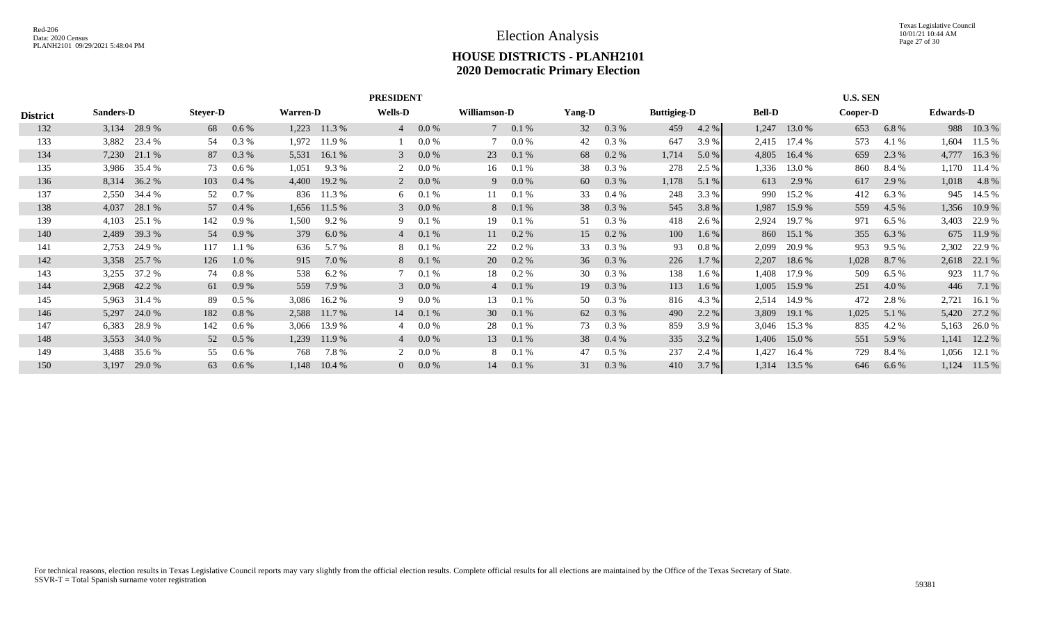|                 | <b>PRESIDENT</b> |              |                 |         |                 |              |                |          |                 |                |        |          |                    | <b>U.S. SEN</b> |               |        |          |       |                  |              |
|-----------------|------------------|--------------|-----------------|---------|-----------------|--------------|----------------|----------|-----------------|----------------|--------|----------|--------------------|-----------------|---------------|--------|----------|-------|------------------|--------------|
| <b>District</b> | <b>Sanders-D</b> |              | <b>Steyer-D</b> |         | <b>Warren-D</b> |              | <b>Wells-D</b> |          | Williamson-D    |                | Yang-D |          | <b>Buttigieg-D</b> |                 | <b>Bell-D</b> |        | Cooper-D |       | <b>Edwards-D</b> |              |
| 132             |                  | 3,134 28.9 % | 68              | $0.6\%$ | 1,223           | 11.3 %       | $\overline{4}$ | 0.0 %    |                 | $70.1\%$       | 32     | 0.3%     | 459                | 4.2 %           | 1,247         | 13.0 % | 653      | 6.8%  |                  | 988 10.3 %   |
| 133             | 3,882            | 23.4 %       | 54              | 0.3%    | 1,972           | 11.9 %       |                | 0.0 %    |                 | 0.0 %          | 42     | 0.3%     | 647                | 3.9%            | 2,415         | 17.4 % | 573      | 4.1 % | 1,604            | 11.5 %       |
| 134             | 7,230            | 21.1 %       | 87              | $0.3\%$ | 5,531           | 16.1 %       | 3              | $0.0\%$  | 23              | 0.1%           | 68     | $0.2~\%$ | 1,714              | 5.0 %           | 4,805         | 16.4%  | 659      | 2.3 % | 4,777            | 16.3%        |
| 135             | 3,986            | 35.4 %       | 73              | $0.6\%$ | 1,051           | 9.3 %        | 2              | 0.0 %    | 16              | 0.1%           | 38     | $0.3~\%$ | 278                | 2.5 %           | 1,336         | 13.0 % | 860      | 8.4 % | 1,170            | 11.4 %       |
| 136             | 8,314            | 36.2 %       | 103             | $0.4\%$ | 4,400           | 19.2 %       | 2              | $0.0\%$  | 9               | $0.0\%$        | 60     | 0.3 %    | 1,178              | 5.1%            | 613           | 2.9 %  | 617      | 2.9 % |                  | 1,018 4.8 %  |
| 137             | 2,550            | 34.4 %       | 52              | $0.7\%$ | 836             | 11.3 %       | 6              | 0.1%     |                 | 0.1%           | 33     | $0.4\%$  | 248                | 3.3 %           | 990           | 15.2 % | 412      | 6.3%  | 945              | 14.5 %       |
| 138             | 4,037            | 28.1 %       | 57              | $0.4\%$ |                 | 1,656 11.5 % | 3 <sup>7</sup> | $0.0\%$  | 8               | $0.1 \%$       | 38     | 0.3%     | 545                | 3.8 %           | 1,987         | 15.9 % | 559      | 4.5 % |                  | 1,356 10.9 % |
| 139             | 4,103            | 25.1 %       | 142             | $0.9\%$ | 1,500           | $9.2\%$      | 9              | 0.1%     | 19              | 0.1%           | 51     | 0.3 %    | 418                | 2.6 %           | 2,924         | 19.7 % | 971      | 6.5%  | 3,403            | 22.9 %       |
| 140             | 2,489            | 39.3 %       | 54              | $0.9\%$ | 379             | 6.0%         |                | $40.1\%$ |                 | 11 0.2 %       | 15     | 0.2 %    | 100                | $1.6\%$         | 860           | 15.1 % | 355      | 6.3 % |                  | 675 11.9 %   |
| 141             | 2,753            | 24.9 %       | 117             | 1.1%    | 636             | 5.7 %        | 8              | 0.1%     | 22              | $0.2 \%$       | 33     | 0.3%     | 93                 | $0.8\%$         | 2,099         | 20.9 % | 953      | 9.5%  | 2,302            | 22.9 %       |
| 142             | 3,358            | 25.7 %       | 126             | $1.0\%$ | 915             | 7.0 %        |                | 8 0.1 %  | 20              | $0.2 \%$       | 36     | $0.3\%$  | 226                | 1.7%            | 2,207         | 18.6 % | 1,028    | 8.7 % |                  | 2,618 22.1 % |
| 143             | 3,255            | 37.2 %       | 74              | $0.8\%$ | 538             | 6.2 %        | $7^{\circ}$    | 0.1%     | 18              | $0.2 \%$       | 30     | 0.3 %    | 138                | $1.6\%$         | 1,408         | 17.9 % | 509      | 6.5%  | 923              | 11.7 %       |
| 144             |                  | 2,968 42.2 % | 61              | 0.9%    | 559             | 7.9 %        | $\mathcal{E}$  | $0.0\%$  |                 | $4\quad 0.1\%$ | 19     | 0.3 %    | 113                | $1.6\%$         | 1,005         | 15.9 % | 251      | 4.0 % | 446              | 7.1%         |
| 145             | 5,963            | 31.4 %       | 89              | $0.5\%$ | 3,086           | 16.2 %       | 9.             | $0.0\%$  | 13              | 0.1%           | 50     | $0.3\%$  | 816                | 4.3 %           | 2,514         | 14.9 % | 472      | 2.8 % | 2,721            | 16.1 %       |
| 146             | 5,297            | 24.0 %       | 182             | $0.8\%$ | 2,588           | 11.7 %       | 14             | 0.1%     | 30 <sup>2</sup> | 0.1%           | 62     | 0.3 %    | 490                | 2.2%            | 3,809         | 19.1 % | 1,025    | 5.1 % | 5,420            | 27.2 %       |
| 147             | 6,383            | 28.9%        | 142             | $0.6\%$ | 3,066           | 13.9 %       | 4              | 0.0 %    | 28              | 0.1%           | 73     | 0.3 %    | 859                | 3.9%            | 3,046         | 15.3 % | 835      | 4.2 % | 5,163            | 26.0%        |
| 148             | 3,553            | 34.0 %       | 52              | $0.5\%$ | 1,239           | 11.9 %       | $\overline{4}$ | $0.0\%$  | 13              | $0.1 \%$       | 38     | $0.4\%$  | 335                | 3.2 %           | 1,406         | 15.0 % | 551      | 5.9 % | 1,141            | 12.2 %       |
| 149             | 3,488            | 35.6 %       | 55              | $0.6\%$ | 768             | 7.8 %        |                | 0.0 %    | 8               | 0.1%           | 47     | $0.5\%$  | 237                | 2.4 %           | 1,427         | 16.4 % | 729      | 8.4 % | 1,056            | 12.1 %       |
| 150             | 3,197            | 29.0 %       | 63              | 0.6%    | 1,148           | 10.4%        | $\overline{0}$ | $0.0\%$  | 14              | 0.1%           | 31     | $0.3\%$  | 410                | 3.7%            | 1,314         | 13.5 % | 646      | 6.6%  | 1,124            | 11.5 %       |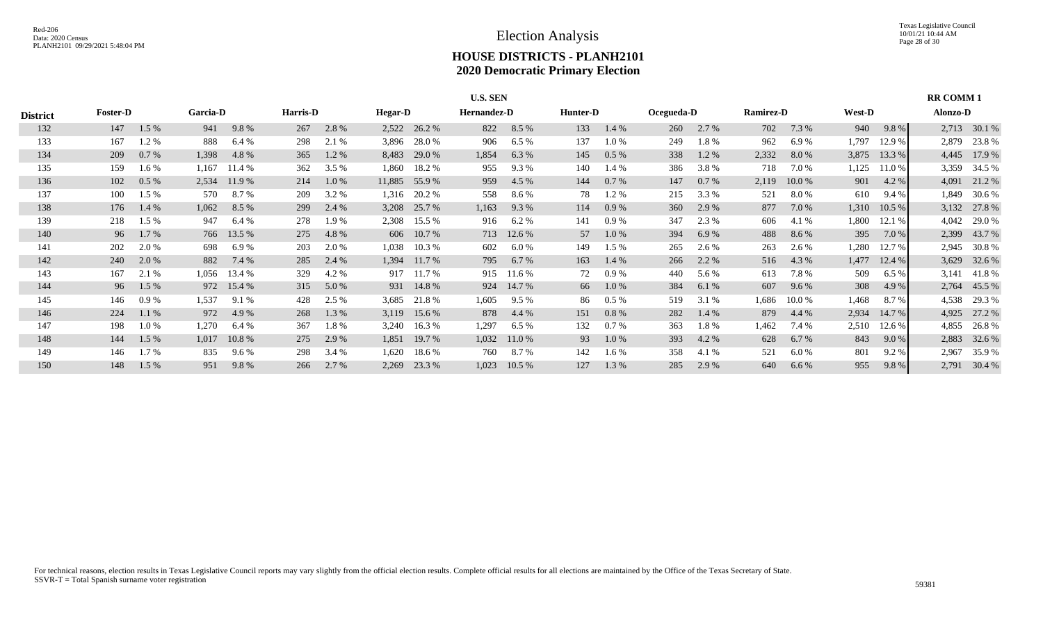|                 | <b>U.S. SEN</b> |         |          |            |          |         |                |            |             |        |          |         |            |       | <b>RR COMM1</b>  |          |               |         |          |              |
|-----------------|-----------------|---------|----------|------------|----------|---------|----------------|------------|-------------|--------|----------|---------|------------|-------|------------------|----------|---------------|---------|----------|--------------|
| <b>District</b> | <b>Foster-D</b> |         | Garcia-D |            | Harris-D |         | <b>Hegar-D</b> |            | Hernandez-D |        | Hunter-D |         | Ocegueda-D |       | <b>Ramirez-D</b> |          | <b>West-D</b> |         | Alonzo-D |              |
| 132             | 147             | 1.5 %   | 941      | 9.8%       | 267      | 2.8%    | 2,522          | 26.2 %     | 822         | 8.5 %  | 133      | 1.4 %   | 260        | 2.7 % | 702              | 7.3 %    | 940           | $9.8\%$ |          | 2,713 30.1 % |
| 133             | 167             | 1.2%    | 888      | 6.4 %      | 298      | 2.1 %   | 3,896          | 28.0%      | 906         | 6.5%   | 137      | 1.0%    | 249        | 1.8%  | 962              | 6.9%     | 1,797         | 12.9 %  | 2,879    | 23.8%        |
| 134             | 209             | 0.7%    | 1,398    | 4.8 %      | 365      | 1.2 %   | 8,483          | 29.0 %     | 1,854       | 6.3 %  | 145      | $0.5\%$ | 338        | 1.2%  | 2,332            | 8.0%     | 3,875         | 13.3 %  | 4,445    | 17.9 %       |
| 135             | 159             | 1.6 %   | 1,167    | 11.4 %     | 362      | 3.5%    | 1,860          | 18.2 %     | 955         | 9.3%   | 140      | 1.4 %   | 386        | 3.8%  | 718              | 7.0 %    | 1,125         | 11.0%   | 3,359    | 34.5 %       |
| 136             | 102             | 0.5%    | 2,534    | 11.9 %     | 214      | $1.0\%$ | 11,885         | 55.9%      | 959         | 4.5 %  | 144      | 0.7 %   | 147        | 0.7 % | 2,119            | 10.0 %   | 901           | 4.2 %   | 4,091    | 21.2 %       |
| 137             | 100             | 1.5 %   | 570      | 8.7%       | 209      | 3.2 %   | 1,316          | 20.2 %     | 558         | 8.6 %  | 78       | 1.2%    | 215        | 3.3 % | 521              | 8.0 %    | 610           | 9.4 %   | 1,849    | 30.6 %       |
| 138             | 176             | 1.4 %   | 1,062    | 8.5 %      | 299      | 2.4 %   | 3,208          | 25.7 %     | 1,163       | 9.3 %  | 114      | 0.9%    | 360        | 2.9 % | 877              | 7.0 %    | 1,310         | 10.5 %  | 3,132    | 27.8 %       |
| 139             | 218             | 1.5 %   | 947      | 6.4 %      | 278      | 1.9 %   | 2,308          | 15.5 %     | 916         | 6.2%   | 141      | 0.9 %   | 347        | 2.3 % | 606              | 4.1 %    | 1,800         | 12.1 %  | 4,042    | 29.0 %       |
| 140             | 96              | 1.7 %   |          | 766 13.5 % | 275      | 4.8%    |                | 606 10.7 % | 713         | 12.6 % | 57       | $1.0\%$ | 394        | 6.9%  | 488              | 8.6 %    | 395           | 7.0 %   | 2,399    | 43.7 %       |
| 141             | 202             | 2.0 %   | 698      | 6.9%       | 203      | 2.0 %   | 1,038          | 10.3 %     | 602         | 6.0 %  | 149      | $1.5\%$ | 265        | 2.6 % | 263              | 2.6 %    | 1,280         | 12.7 %  | 2,945    | 30.8 %       |
| 142             | 240             | 2.0 %   | 882      | 7.4 %      | 285      | 2.4 %   | 1,394          | 11.7 %     | 795         | 6.7%   | 163      | $1.4\%$ | 266        | 2.2 % | 516              | 4.3 %    | 1,477         | 12.4 %  | 3,629    | 32.6 %       |
| 143             | 167             | 2.1 %   | 1,056    | 13.4 %     | 329      | 4.2 %   | 917            | 11.7 %     | 915         | 11.6 % | 72       | $0.9\%$ | 440        | 5.6 % | 613              | 7.8 %    | 509           | 6.5%    | 3,141    | 41.8%        |
| 144             | 96              | $1.5\%$ |          | 972 15.4 % | 315      | 5.0 %   | 931            | 14.8 %     | 924         | 14.7 % | 66       | $1.0\%$ | 384        | 6.1 % | 607              | $9.6\%$  | 308           | 4.9 %   |          | 2,764 45.5 % |
| 145             | 146             | 0.9%    | 1,537    | 9.1 %      | 428      | 2.5 %   | 3,685          | 21.8%      | 1,605       | 9.5%   | 86       | $0.5\%$ | 519        | 3.1 % | 1,686            | $10.0\%$ | 1,468         | 8.7 %   | 4,538    | 29.3 %       |
| 146             | 224             | 1.1%    | 972      | 4.9 %      | 268      | 1.3 %   | 3,119          | 15.6 %     | 878         | 4.4 %  | 151      | 0.8%    | 282        | 1.4 % | 879              | 4.4 %    | 2,934         | 14.7 %  | 4,925    | 27.2 %       |
| 147             | 198             | 1.0%    | 1,270    | 6.4 %      | 367      | 1.8%    | 3,240          | 16.3 %     | 1,297       | 6.5%   | 132      | 0.7 %   | 363        | 1.8%  | 1,462            | 7.4 %    | 2,510         | 12.6%   | 4,855    | 26.8%        |
| 148             | 144             | 1.5 %   | 1,017    | 10.8%      | 275      | 2.9 %   | 1,851          | 19.7 %     | 1,032       | 11.0 % | 93       | 1.0%    | 393        | 4.2 % | 628              | 6.7%     | 843           | $9.0\%$ | 2,883    | 32.6 %       |
| 149             | 146             | 1.7 %   | 835      | 9.6 %      | 298      | 3.4 %   | 1,620          | 18.6 %     | 760         | 8.7 %  | 142      | 1.6 %   | 358        | 4.1 % | 521              | 6.0 %    | 801           | $9.2\%$ | 2,967    | 35.9%        |
| 150             | 148             | 1.5 %   | 951      | 9.8%       | 266      | 2.7 %   | 2,269          | 23.3 %     | 1,023       | 10.5%  | 127      | 1.3 %   | 285        | 2.9 % | 640              | 6.6 %    | 955           | 9.8%    | 2,791    | 30.4 %       |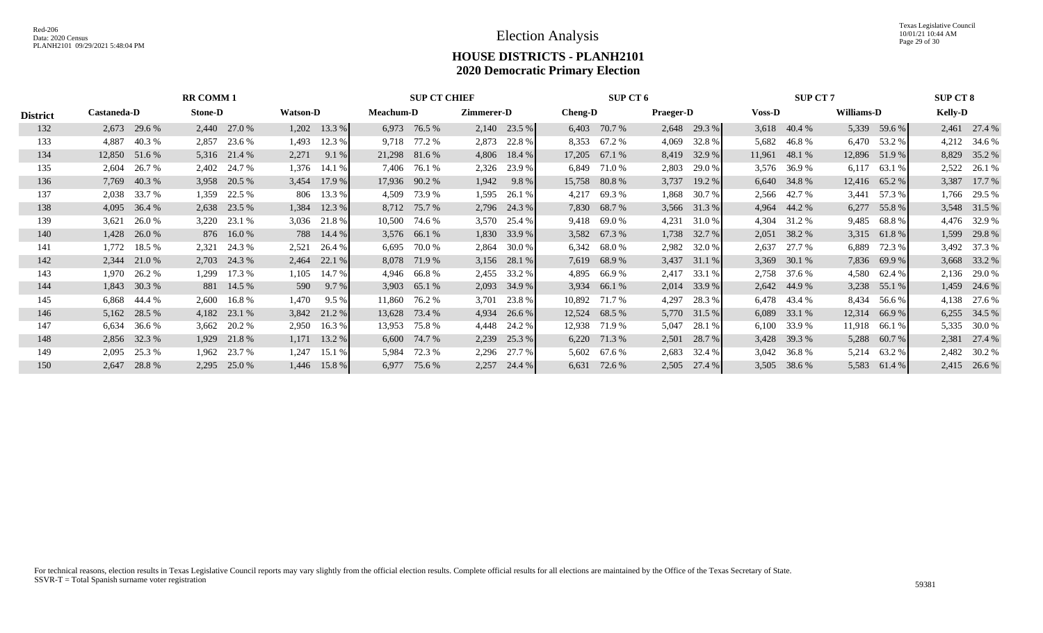|                 | <b>RR COMM 1</b> |        |                |              |  |                 |         |                  | <b>SUP CT CHIEF</b> |            | SUP CT 6     |                |              |                  | <b>SUP CT 7</b> |               |              |            | <b>SUP CT 8</b> |                |              |
|-----------------|------------------|--------|----------------|--------------|--|-----------------|---------|------------------|---------------------|------------|--------------|----------------|--------------|------------------|-----------------|---------------|--------------|------------|-----------------|----------------|--------------|
| <b>District</b> | Castaneda-D      |        | <b>Stone-D</b> |              |  | <b>Watson-D</b> |         | <b>Meachum-D</b> |                     | Zimmerer-D |              | <b>Cheng-D</b> |              | <b>Praeger-D</b> |                 | <b>Voss-D</b> |              | Williams-D |                 | <b>Kelly-D</b> |              |
| 132             | 2,673 29.6 %     |        |                | 2,440 27.0 % |  | $1,202$ 13.3 %  |         | 6,973            | 76.5 %              | 2,140      | 23.5 %       | 6,403          | 70.7 %       |                  | $2,648$ 29.3 %  | 3,618         | 40.4 %       |            | 5,339 59.6 %    |                | 2,461 27.4 % |
| 133             | 4,887            | 40.3%  | 2,857          | 23.6 %       |  | 1,493           | 12.3 %  |                  | 9,718 77.2 %        |            | 2,873 22.8 % | 8,353          | 67.2 %       | 4,069            | 32.8%           | 5,682         | 46.8 %       |            | 6,470 53.2 %    |                | 4,212 34.6 % |
| 134             | 12,850           | 51.6 % | 5,316          | 21.4 %       |  | 2,271           | 9.1 %   | 21,298 81.6 %    |                     | 4,806      | 18.4 %       | 17,205         | 67.1 %       | 8,419            | 32.9 %          | 11,961        | 48.1 %       | 12,896     | 51.9 %          | 8,829          | 35.2 %       |
| 135             | 2,604            | 26.7 % | 2,402          | 24.7 %       |  | 1,376           | 14.1 %  | 7,406            | 76.1 %              | 2,326      | 23.9 %       | 6,849          | 71.0 %       | 2,803            | 29.0 %          | 3,576         | 36.9 %       | 6,117      | 63.1 %          | 2,522          | 26.1 %       |
| 136             | 7,769            | 40.3 % | 3,958          | 20.5 %       |  | 3,454           | 17.9 %  |                  | 17,936 90.2 %       | 1,942      | 9.8%         | 15,758         | 80.8%        | 3,737            | 19.2 %          | 6,640         | 34.8%        |            | 12,416 65.2 %   | 3,387          | 17.7 %       |
| 137             | 2,038 33.7 %     |        | 1,359          | 22.5 %       |  | 806 13.3 %      |         | 4,509            | 73.9 %              | 1,595      | 26.1 %       | 4,217          | 69.3%        | 1,868            | 30.7 %          | 2,566         | 42.7 %       | 3,441      | 57.3 %          |                | 1,766 29.5 % |
| 138             | 4,095            | 36.4 % | 2,638          | 23.5 %       |  | 1,384           | 12.3 %  | 8,712            | 75.7 %              | 2,796      | 24.3 %       | 7,830          | 68.7 %       | 3,566            | 31.3 %          | 4,964         | 44.2 %       | 6,277      | 55.8 %          |                | 3,548 31.5 % |
| 139             | 3,621            | 26.0%  | 3,220          | 23.1 %       |  | 3,036           | 21.8 %  | 10,500           | 74.6 %              | 3,570      | 25.4 %       | 9,418          | 69.0 %       | 4,231            | 31.0 %          | 4,304         | 31.2 %       | 9,485      | 68.8%           |                | 4,476 32.9 % |
| 140             | 1,428            | 26.0 % |                | 876 16.0 %   |  | 788 14.4 %      |         |                  | 3,576 66.1 %        | 1,830      | 33.9 %       | 3,582          | 67.3 %       | 1,738            | 32.7 %          | 2,051         | 38.2 %       |            | 3,315 61.8 %    | 1,599          | 29.8%        |
| 141             | 1,772            | 18.5 % | 2,321          | 24.3 %       |  | 2,521           | 26.4 %  | 6,695            | 70.0%               | 2,864      | 30.0 %       | 6,342          | 68.0 %       | 2,982            | 32.0 %          | 2,637         | 27.7 %       | 6,889      | 72.3 %          |                | 3,492 37.3 % |
| 142             | 2,344            | 21.0 % | 2,703          | 24.3 %       |  | 2,464           | 22.1 %  | 8,078            | 71.9 %              | 3,156      | 28.1 %       | 7,619          | 68.9%        | 3,437            | 31.1%           | 3,369         | 30.1 %       | 7,836      | 69.9 %          | 3,668          | 33.2 %       |
| 143             | 1,970            | 26.2 % | 1,299          | 17.3 %       |  | 1,105           | 14.7 %  | 4,946            | 66.8%               | 2,455      | 33.2 %       | 4,895          | 66.9%        | 2,417            | 33.1 %          | 2,758         | 37.6 %       | 4,580      | 62.4 %          | 2,136          | 29.0 %       |
| 144             | 1,843 30.3 %     |        |                | 881 14.5 %   |  | 590             | 9.7%    |                  | 3,903 65.1 %        | 2,093      | 34.9 %       | 3,934          | 66.1%        | 2,014            | 33.9 %          |               | 2,642 44.9 % |            | 3,238 55.1 %    |                | 1,459 24.6 % |
| 145             | 6,868            | 44.4 % | 2,600          | 16.8%        |  | 1,470           | $9.5\%$ | 11,860           | 76.2 %              | 3,701      | 23.8%        | 10,892         | 71.7 %       | 4,297            | 28.3 %          |               | 6,478 43.4 % | 8,434      | 56.6 %          | 4,138          | 27.6 %       |
| 146             | 5,162            | 28.5 % | 4,182          | 23.1 %       |  | 3,842 21.2 %    |         | 13,628           | 73.4 %              | 4,934      | 26.6 %       | 12,524         | 68.5 %       | 5,770            | 31.5 %          | 6,089         | 33.1 %       | 12,314     | 66.9 %          | 6,255          | 34.5 %       |
| 147             | 6,634            | 36.6 % | 3,662          | 20.2 %       |  | 2,950           | 16.3%   | 13,953           | 75.8 %              | 4,448      | 24.2 %       | 12,938         | 71.9 %       | 5,047            | 28.1 %          | 6,100         | 33.9 %       | 11,918     | 66.1 %          | 5,335          | 30.0 %       |
| 148             | 2,856 32.3 %     |        | 1,929          | 21.8%        |  | $1,171$ 13.2 %  |         |                  | 6,600 74.7 %        | 2,239      | 25.3 %       |                | 6,220 71.3 % | 2,501            | 28.7 %          | 3,428         | 39.3 %       |            | 5,288 60.7 %    |                | 2,381 27.4 % |
| 149             | 2,095            | 25.3 % | 1,962          | 23.7 %       |  | 1,247           | 15.1 %  | 5,984            | 72.3 %              | 2,296      | 27.7 %       | 5,602          | 67.6 %       | 2,683            | 32.4 %          | 3,042         | 36.8%        | 5,214      | 63.2%           | 2,482          | 30.2 %       |
| 150             | 2,647            | 28.8%  | 2,295          | 25.0 %       |  | 1,446           | 15.8 %  | 6,977            | 75.6 %              | 2,257      | 24.4 %       | 6,631          | 72.6 %       | 2,505            | 27.4 %          | 3,505         | 38.6 %       | 5,583      | 61.4 %          | 2,415          | 26.6 %       |